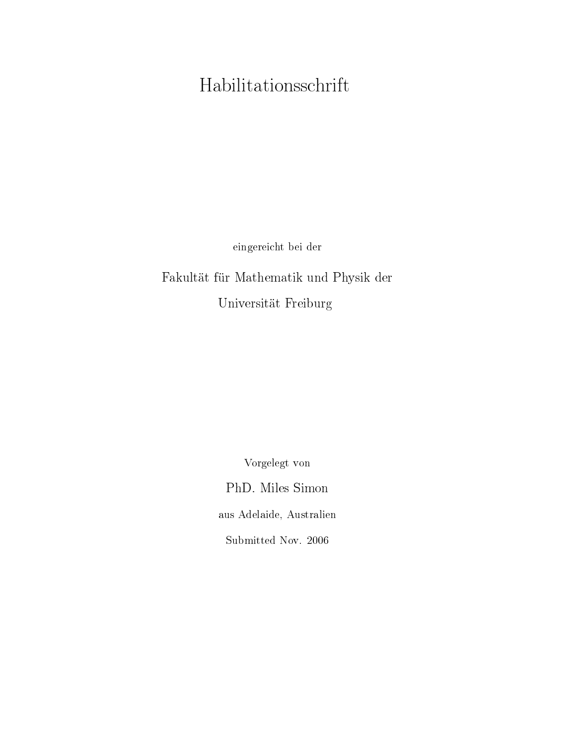## Habilitationsschrift

eingereicht bei der

Fakultät für Mathematik und Physik der Universität Freiburg

> Vorgelegt von PhD. Miles Simon aus Adelaide, Australien Submitted Nov. 2006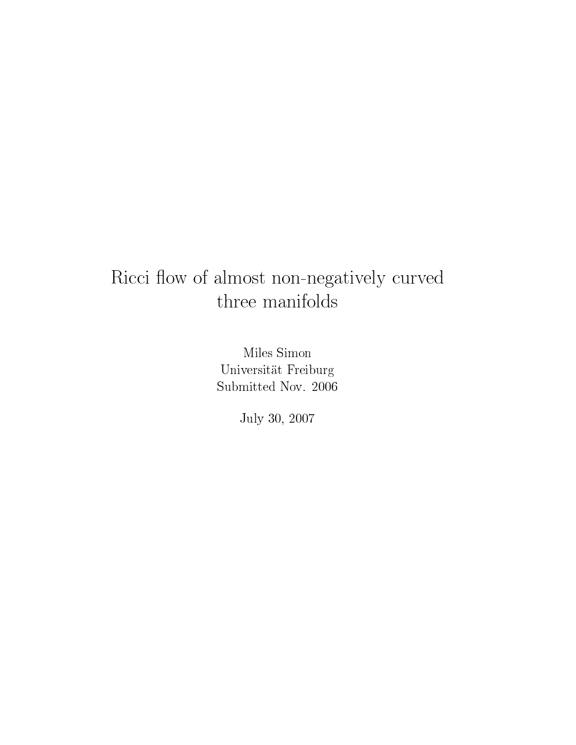### Ricci flow of almost non-negatively curved three manifolds

Miles Simon Universität Freiburg Submitted Nov. 2006

July 30, 2007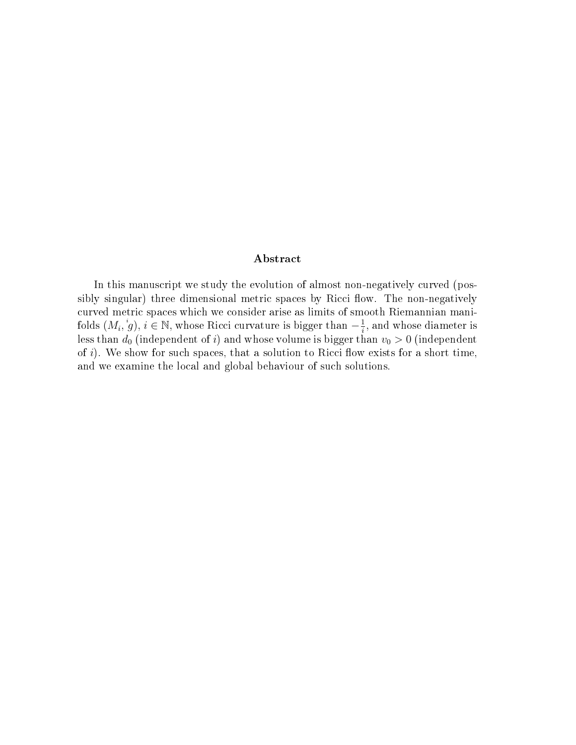#### Abstract

In this manuscript we study the evolution of almost non-negatively curved (possibly singular) three dimensional metric spaces by Ricci flow. The non-negatively curved metric spaces which we consider arise as limits of smooth Riemannian manifolds  $(M_i, \overset{i}{g}), i \in \mathbb{N}$ , whose Ricci curvature is bigger than  $-\frac{1}{i}$  $\frac{1}{i}$ , and whose diameter is less than  $d_0$  (independent of  $i$ ) and whose volume is bigger than  $v_0 > 0$  (independent of  $i$ ). We show for such spaces, that a solution to Ricci flow exists for a short time, and we examine the local and global behaviour of such solutions.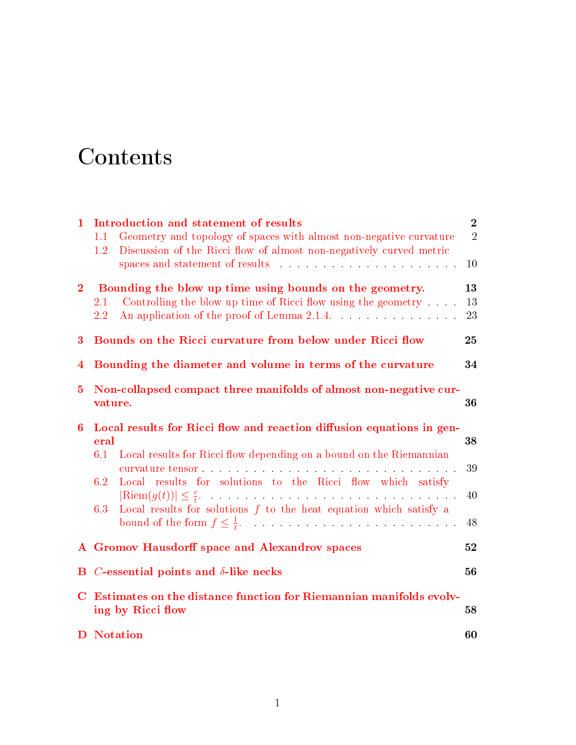# **Contents**

| 1              | Introduction and statement of results                                                                                                         | $\overline{2}$ |  |  |  |  |
|----------------|-----------------------------------------------------------------------------------------------------------------------------------------------|----------------|--|--|--|--|
|                | Geometry and topology of spaces with almost non-negative curvature<br>1.1                                                                     | $\overline{2}$ |  |  |  |  |
|                | Discussion of the Ricci flow of almost non-negatively curved metric<br>$1.2\,$                                                                | 10             |  |  |  |  |
| 2 <sub>1</sub> | Bounding the blow up time using bounds on the geometry.                                                                                       | 13             |  |  |  |  |
|                | Controlling the blow up time of Ricci flow using the geometry $\ldots$ .<br>$2.1\,$<br>An application of the proof of Lemma 2.1.4.<br>$2.2\,$ | 13<br>23       |  |  |  |  |
| 3              | Bounds on the Ricci curvature from below under Ricci flow                                                                                     |                |  |  |  |  |
| $\bf{4}$       | Bounding the diameter and volume in terms of the curvature                                                                                    |                |  |  |  |  |
| $\bf{5}$       | Non-collapsed compact three manifolds of almost non-negative cur-<br>vature.                                                                  |                |  |  |  |  |
| 6              | Local results for Ricci flow and reaction diffusion equations in gen-<br>eral                                                                 |                |  |  |  |  |
|                | 6.1<br>Local results for Ricci flow depending on a bound on the Riemannian                                                                    | 38<br>39       |  |  |  |  |
|                | Local results for solutions to the Ricci flow which satisfy<br>6.2                                                                            |                |  |  |  |  |
|                | $ \text{Riem}(g(t))  \leq \frac{c}{t}$ .<br>Local results for solutions $f$ to the heat equation which satisfy a<br>6.3                       | 40             |  |  |  |  |
|                | bound of the form $f \leq \frac{1}{t}$ .                                                                                                      | 48             |  |  |  |  |
|                | A Gromov Hausdorff space and Alexandrov spaces                                                                                                |                |  |  |  |  |
| $\bf{B}$       | <i>C</i> -essential points and $\delta$ -like necks                                                                                           |                |  |  |  |  |
| $\bf C$        | Estimates on the distance function for Riemannian manifolds evolv-<br>ing by Ricci flow<br>58                                                 |                |  |  |  |  |
|                | <b>D</b> Notation                                                                                                                             | 60             |  |  |  |  |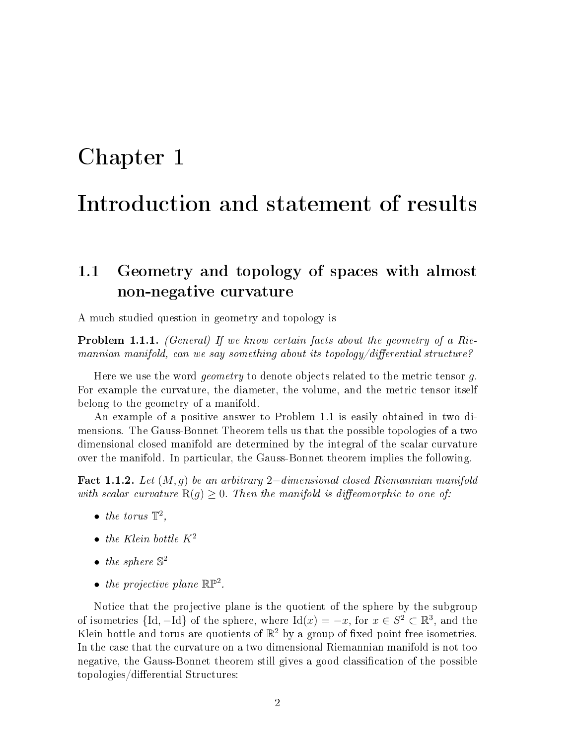## <span id="page-7-0"></span>Chapter 1

### Introduction and statement of results

#### <span id="page-7-1"></span>1.1 Geometry and topology of spaces with almost non-negative curvature

A much studied question in geometry and topology is

**Problem 1.1.1.** (General) If we know certain facts about the geometry of a Riemannian manifold, can we say something about its topology/differential structure?

Here we use the word *geometry* to denote objects related to the metric tensor g. For example the curvature, the diameter, the volume, and the metric tensor itself belong to the geometry of a manifold.

An example of a positive answer to Problem 1.1 is easily obtained in two dimensions. The Gauss-Bonnet Theorem tells us that the possible topologies of a two dimensional closed manifold are determined by the integral of the scalar curvature over the manifold. In particular, the Gauss-Bonnet theorem implies the following.

<span id="page-7-2"></span>Fact 1.1.2. Let  $(M, g)$  be an arbitrary 2–dimensional closed Riemannian manifold with scalar curvature  $R(q) \geq 0$ . Then the manifold is diffeomorphic to one of:

- $\bullet$  the torus  $\mathbb{T}^2$ ,
- the Klein bottle  $K^2$
- the sphere  $\mathbb{S}^2$
- the projective plane  $\mathbb{RP}^2$ .

Notice that the projective plane is the quotient of the sphere by the subgroup of isometries  $\{\mathrm{Id}, -\mathrm{Id}\}$  of the sphere, where  $\mathrm{Id}(x) = -x$ , for  $x \in S^2 \subset \mathbb{R}^3$ , and the Klein bottle and torus are quotients of  $\mathbb{R}^2$  by a group of fixed point free isometries. In the case that the curvature on a two dimensional Riemannian manifold is not too negative, the Gauss-Bonnet theorem still gives a good classification of the possible topologies/differential Structures: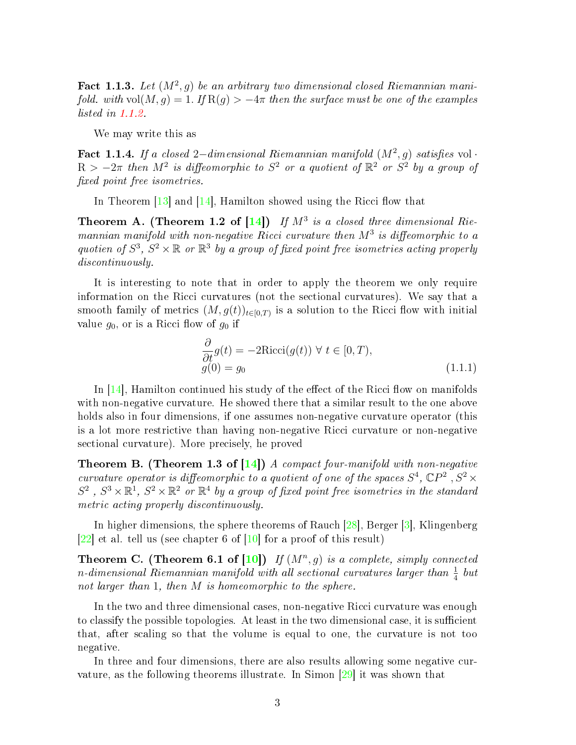Fact 1.1.3. Let  $(M^2, g)$  be an arbitrary two dimensional closed Riemannian manifold. with vol $(M, g) = 1$ . If  $R(g) > -4\pi$  then the surface must be one of the examples listed in [1.1.2.](#page-7-2)

We may write this as

Fact 1.1.4. If a closed 2–dimensional Riemannian manifold  $(M^2, g)$  satisfies vol ·  $R > -2\pi$  then  $M^2$  is diffeomorphic to  $S^2$  or a quotient of  $\mathbb{R}^2$  or  $S^2$  by a group of fixed point free isometries.

In Theorem  $[13]$  and  $[14]$ , Hamilton showed using the Ricci flow that

**Theorem A.** (Theorem 1.2 of  $[14]$ ) If  $M^3$  is a closed three dimensional Riemannian manifold with non-negative Ricci curvature then  $M^3$  is diffeomorphic to a quotien of  $S^3$ ,  $S^2 \times \mathbb{R}$  or  $\mathbb{R}^3$  by a group of fixed point free isometries acting properly discontinuously.

It is interesting to note that in order to apply the theorem we only require information on the Ricci curvatures (not the sectional curvatures). We say that a smooth family of metrics  $(M, g(t))_{t \in [0,T)}$  is a solution to the Ricci flow with initial value  $g_0$ , or is a Ricci flow of  $g_0$  if

$$
\frac{\partial}{\partial t}g(t) = -2\text{Ricci}(g(t)) \ \forall \ t \in [0, T), g(0) = g_0
$$
\n(1.1.1)

In  $[14]$ , Hamilton continued his study of the effect of the Ricci flow on manifolds with non-negative curvature. He showed there that a similar result to the one above holds also in four dimensions, if one assumes non-negative curvature operator (this is a lot more restrictive than having non-negative Ricci curvature or non-negative sectional curvature). More precisely, he proved

**Theorem B.** (Theorem 1.3 of  $[14]$ ) A compact four-manifold with non-negative curvature operator is diffeomorphic to a quotient of one of the spaces  $S^4$ ,  $\mathbb{C}P^2$ ,  $S^2$   $\times$  $S^2$ ,  $S^3 \times \mathbb{R}^1$ ,  $S^2 \times \mathbb{R}^2$  or  $\mathbb{R}^4$  by a group of fixed point free isometries in the standard metric acting properly discontinuously.

In higher dimensions, the sphere theorems of Rauch [\[28\]](#page-69-1), Berger [\[3\]](#page-68-1), Klingenberg  $[22]$  et al. tell us (see chapter 6 of  $[10]$  for a proof of this result)

**Theorem C.** (Theorem 6.1 of  $[10]$ ) If  $(M^n, g)$  is a complete, simply connected n-dimensional Riemannian manifold with all sectional curvatures larger than  $\frac{1}{4}$  but not larger than 1, then M is homeomorphic to the sphere.

In the two and three dimensional cases, non-negative Ricci curvature was enough to classify the possible topologies. At least in the two dimensional case, it is sufficient that, after scaling so that the volume is equal to one, the curvature is not too negative.

In three and four dimensions, there are also results allowing some negative curvature, as the following theorems illustrate. In Simon [\[29\]](#page-69-3) it was shown that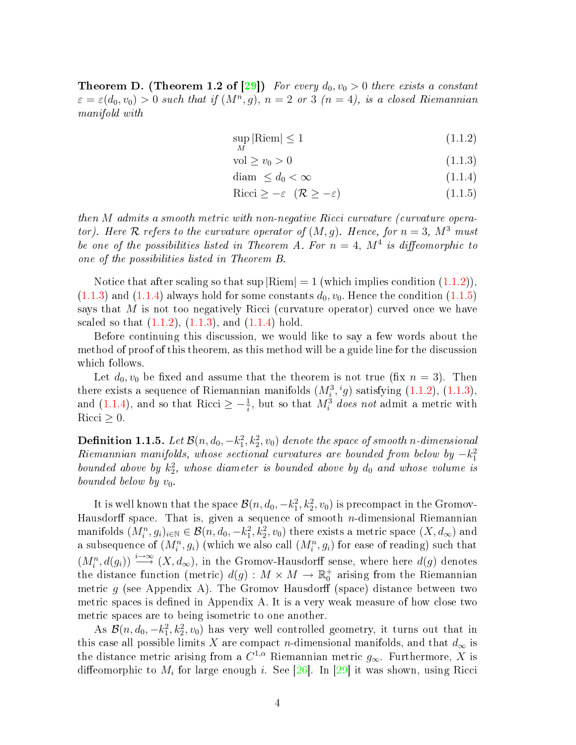**Theorem D.** (Theorem 1.2 of [\[29\]](#page-69-3)) For every  $d_0, v_0 > 0$  there exists a constant  $\varepsilon = \varepsilon(d_0, v_0) > 0$  such that if  $(M^n, g)$ ,  $n = 2$  or 3  $(n = 4)$ , is a closed Riemannian manifold with

<span id="page-9-0"></span>
$$
\sup_{M} |\text{Riem}| \le 1 \tag{1.1.2}
$$

$$
\text{vol} \ge v_0 > 0 \tag{1.1.3}
$$

$$
\text{diam }\leq d_0 < \infty \tag{1.1.4}
$$

$$
Ricci \ge -\varepsilon \quad (\mathcal{R} \ge -\varepsilon) \tag{1.1.5}
$$

then M admits a smooth metric with non-negative Ricci curvature (curvature operator). Here R refers to the curvature operator of  $(M, g)$ . Hence, for  $n = 3$ ,  $M^3$  must be one of the possibilities listed in Theorem A. For  $n=4$ ,  $M^4$  is diffeomorphic to one of the possibilities listed in Theorem B.

Notice that after scaling so that  $\sup |\text{Riem}| = 1$  (which implies condition  $(1.1.2)$ ).  $(1.1.3)$  and  $(1.1.4)$  always hold for some constants  $d_0$ ,  $v_0$ . Hence the condition  $(1.1.5)$ says that  $M$  is not too negatively Ricci (curvature operator) curved once we have scaled so that  $(1.1.2)$ ,  $(1.1.3)$ , and  $(1.1.4)$  hold.

Before continuing this discussion, we would like to say a few words about the method of proof of this theorem, as this method will be a guide line for the discussion which follows.

Let  $d_0, v_0$  be fixed and assume that the theorem is not true (fix  $n = 3$ ). Then there exists a sequence of Riemannian manifolds  $(M_i^3, {^i}g)$  satisfying  $(1.1.2), (1.1.3),$  $(1.1.2), (1.1.3),$  $(1.1.2), (1.1.3),$  $(1.1.2), (1.1.3),$ and [\(1.1.4\)](#page-9-0), and so that Ricci  $\geq -\frac{1}{i}$ , but so that  $M_i^3$  does not admit a metric with Ricci  $\geq 0$ .

 ${\bf Definition \ 1.1.5.} \ \ Let \ {\cal B}(n,d_0,-k_1^2,k_2^2,v_0) \ \ denote \ \ the \ space \ \ of \ smooth \ \ n\-dimensional \$  $Riemannian$  manifolds, whose sectional curvatures are bounded from below by  $-k_1^2$ bounded above by  $k_2^2$ , whose diameter is bounded above by  $d_0$  and whose volume is bounded below by  $v_0$ .

It is well known that the space  $\mathcal{B}(n, d_0, -k_1^2, k_2^2, v_0)$  is precompact in the Gromov-Hausdorff space. That is, given a sequence of smooth *n*-dimensional Riemannian manifolds  $(M^n_i, g_i)_{i\in\mathbb{N}}\in\mathcal{B}(n,d_0,-k_1^2,k_2^2,v_0)$  there exists a metric space  $(X,d_\infty)$  and a subsequence of  $(M^n_i, g_i)$  (which we also call  $(M^n_i, g_i)$  for ease of reading) such that  $(M_i^n, d(g_i)) \stackrel{i\to\infty}{\longrightarrow} (X, d_\infty)$ , in the Gromov-Hausdorff sense, where here  $d(g)$  denotes the distance function (metric)  $d(g) : M \times M \to \mathbb{R}^+_0$  arising from the Riemannian metric g (see Appendix A). The Gromov Hausdorff (space) distance between two metric spaces is defined in Appendix A. It is a very weak measure of how close two metric spaces are to being isometric to one another.

As  $\mathcal{B}(n, d_0, -k_1^2, k_2^2, v_0)$  has very well controlled geometry, it turns out that in this case all possible limits X are compact n-dimensional manifolds, and that  $d_{\infty}$  is the distance metric arising from a  $C^{1,\alpha}$  Riemannian metric  $g_{\infty}$ . Furthermore, X is diffeomorphic to  $M_i$  for large enough  $i$ . See [\[26\]](#page-69-4). In [\[29\]](#page-69-3) it was shown, using Ricci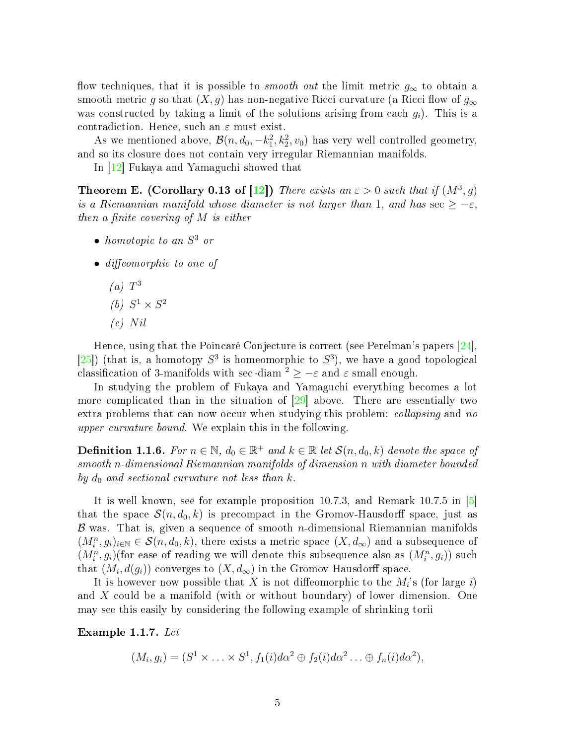flow techniques, that it is possible to *smooth out* the limit metric  $g_{\infty}$  to obtain a smooth metric g so that  $(X, g)$  has non-negative Ricci curvature (a Ricci flow of  $g_{\infty}$ was constructed by taking a limit of the solutions arising from each  $g_i$ ). This is a contradiction. Hence, such an  $\varepsilon$  must exist.

As we mentioned above,  $\mathcal{B}(n, d_0, -k_1^2, k_2^2, v_0)$  has very well controlled geometry, and so its closure does not contain very irregular Riemannian manifolds.

In [\[12\]](#page-68-3) Fukaya and Yamaguchi showed that

**Theorem E.** (Corollary 0.13 of [\[12\]](#page-68-3)) There exists an  $\varepsilon > 0$  such that if  $(M^3, g)$ is a Riemannian manifold whose diameter is not larger than 1, and has  $\sec \geq -\varepsilon$ , then a finite covering of  $M$  is either

- $\bullet$  homotopic to an  $S^3$  or
- $\bullet$  diffeomorphic to one of
	- $(a)$   $T^3$ (b)  $S^1 \times S^2$
	- $(c)$  Nil

Hence, using that the Poincaré Conjecture is correct (see Perelman's papers [\[24\]](#page-69-5), [\[25\]](#page-69-6)) (that is, a homotopy  $S^3$  is homeomorphic to  $S^3$ ), we have a good topological classification of 3-manifolds with sec diam  $2 \ge -\varepsilon$  and  $\varepsilon$  small enough.

In studying the problem of Fukaya and Yamaguchi everything becomes a lot more complicated than in the situation of [\[29\]](#page-69-3) above. There are essentially two extra problems that can now occur when studying this problem: *collapsing* and no upper curvature bound. We explain this in the following.

**Definition 1.1.6.** For  $n \in \mathbb{N}$ ,  $d_0 \in \mathbb{R}^+$  and  $k \in \mathbb{R}$  let  $\mathcal{S}(n, d_0, k)$  denote the space of smooth n-dimensional Riemannian manifolds of dimension n with diameter bounded by  $d_0$  and sectional curvature not less than k.

It is well known, see for example proposition 10.7.3, and Remark 10.7.5 in [\[5\]](#page-68-4) that the space  $\mathcal{S}(n, d_0, k)$  is precompact in the Gromov-Hausdorff space, just as  $\beta$  was. That is, given a sequence of smooth *n*-dimensional Riemannian manifolds  $(M_i^n, g_i)_{i \in \mathbb{N}} \in \mathcal{S}(n, d_0, k)$ , there exists a metric space  $(X, d_\infty)$  and a subsequence of  $(M_i^n, g_i)$ (for ease of reading we will denote this subsequence also as  $(M_i^n, g_i)$ ) such that  $(M_i, d(g_i))$  converges to  $(X, d_\infty)$  in the Gromov Hausdorff space.

It is however now possible that X is not diffeomorphic to the  $M_i$ 's (for large i) and X could be a manifold (with or without boundary) of lower dimension. One may see this easily by considering the following example of shrinking torii

Example 1.1.7. Let

$$
(M_i, g_i) = (S^1 \times \ldots \times S^1, f_1(i) d\alpha^2 \oplus f_2(i) d\alpha^2 \ldots \oplus f_n(i) d\alpha^2),
$$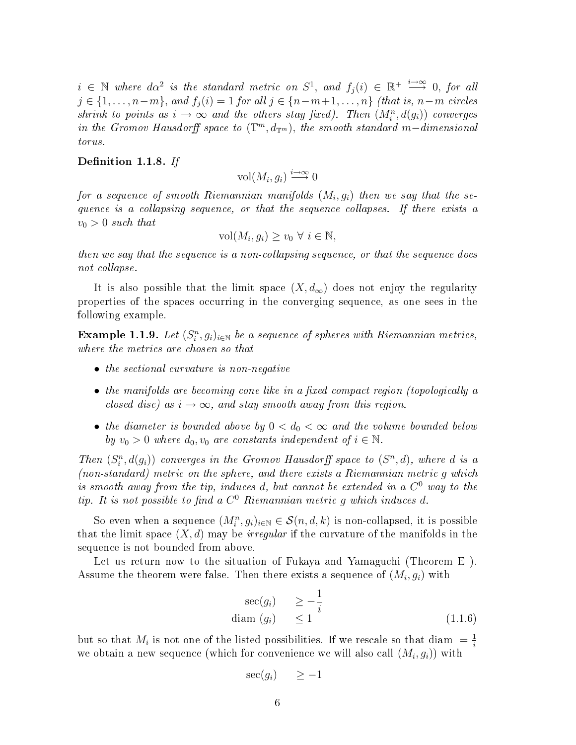$i \in \mathbb{N}$  where  $d\alpha^2$  is the standard metric on  $S^1$ , and  $f_j(i) \in \mathbb{R}^+ \stackrel{i\to\infty}{\longrightarrow} 0$ , for all  $j \in \{1, \ldots, n-m\}$ , and  $f_i(i) = 1$  for all  $j \in \{n-m+1, \ldots, n\}$  (that is,  $n-m$  circles shrink to points as  $i \to \infty$  and the others stay fixed). Then  $(M_i^n, d(g_i))$  converges in the Gromov Hausdorff space to  $(\mathbb{T}^m, d_{\mathbb{T}^m})$ , the smooth standard m-dimensional torus.

#### Definition 1.1.8. If

vol $(M_i, g_i) \stackrel{i \to \infty}{\longrightarrow} 0$ 

for a sequence of smooth Riemannian manifolds  $(M_i,g_i)$  then we say that the sequence is a collapsing sequence, or that the sequence collapses. If there exists a  $v_0 > 0$  such that

$$
\text{vol}(M_i, g_i) \ge v_0 \ \forall \ i \in \mathbb{N},
$$

then we say that the sequence is a non-collapsing sequence, or that the sequence does not collapse.

It is also possible that the limit space  $(X, d_{\infty})$  does not enjoy the regularity properties of the spaces occurring in the converging sequence, as one sees in the following example.

<span id="page-11-0"></span>**Example 1.1.9.** Let  $(S_i^n, g_i)_{i \in \mathbb{N}}$  be a sequence of spheres with Riemannian metrics, where the metrics are chosen so that

- the sectional curvature is non-negative
- $\bullet$  the manifolds are becoming cone like in a fixed compact region (topologically a closed disc) as  $i \rightarrow \infty$ , and stay smooth away from this region.
- the diameter is bounded above by  $0 < d_0 < \infty$  and the volume bounded below by  $v_0 > 0$  where  $d_0, v_0$  are constants independent of  $i \in \mathbb{N}$ .

Then  $(S_i^n, d(g_i))$  converges in the Gromov Hausdorff space to  $(S^n, d)$ , where d is a (non-standard) metric on the sphere, and there exists a Riemannian metric g which is smooth away from the tip, induces d, but cannot be extended in a  $C^0$  way to the tip. It is not possible to find a  $C^0$  Riemannian metric g which induces d.

So even when a sequence  $(M_i^n, g_i)_{i \in \mathbb{N}} \in \mathcal{S}(n, d, k)$  is non-collapsed, it is possible that the limit space  $(X, d)$  may be *irregular* if the curvature of the manifolds in the sequence is not bounded from above.

Let us return now to the situation of Fukaya and Yamaguchi (Theorem E ). Assume the theorem were false. Then there exists a sequence of  $(M_i, g_i)$  with

$$
\sec(g_i) \ge -\frac{1}{i}
$$
  
diam  $(g_i) \le 1$  (1.1.6)

but so that  $M_i$  is not one of the listed possibilities. If we rescale so that diam  $=$   $\frac{1}{i}$ i we obtain a new sequence (which for convenience we will also call  $\left(M_i, g_i\right)$ ) with

$$
\sec(g_i) \quad \geq -1
$$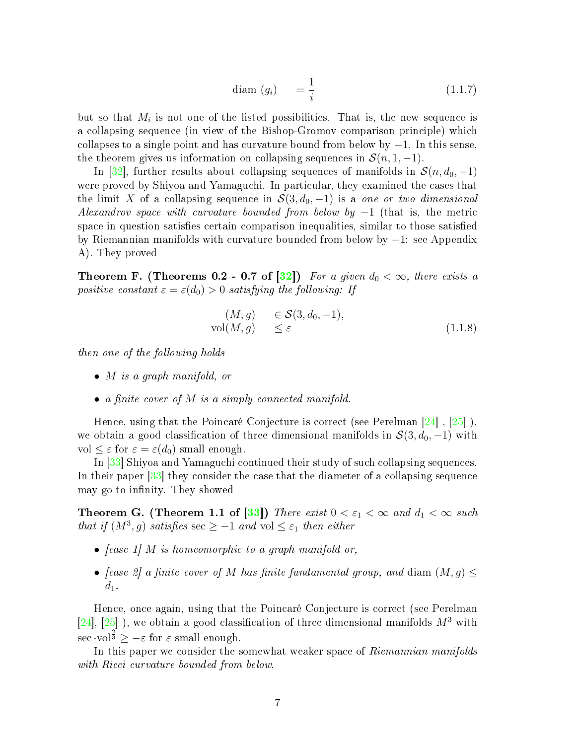$$
\text{diam}\ (g_i) \quad = \frac{1}{i} \tag{1.1.7}
$$

but so that  $M_i$  is not one of the listed possibilities. That is, the new sequence is a collapsing sequence (in view of the Bishop-Gromov comparison principle) which collapses to a single point and has curvature bound from below by  $-1$ . In this sense, the theorem gives us information on collapsing sequences in  $\mathcal{S}(n, 1, -1)$ .

In [\[32\]](#page-70-0), further results about collapsing sequences of manifolds in  $\mathcal{S}(n, d_0, -1)$ were proved by Shiyoa and Yamaguchi. In particular, they examined the cases that the limit X of a collapsing sequence in  $S(3, d_0, -1)$  is a one or two dimensional Alexandrov space with curvature bounded from below by  $-1$  (that is, the metric space in question satisfies certain comparison inequalities, similar to those satisfied by Riemannian manifolds with curvature bounded from below by −1: see Appendix A). They proved

**Theorem F.** (Theorems 0.2 - 0.7 of [\[32\]](#page-70-0)) For a given  $d_0 < \infty$ , there exists a positive constant  $\varepsilon = \varepsilon(d_0) > 0$  satisfying the following: If

$$
(M, g) \in \mathcal{S}(3, d_0, -1),
$$
  
vol $(M, g) \leq \varepsilon$  (1.1.8)

then one of the following holds

- *M* is a graph manifold, or
- a finite cover of  $M$  is a simply connected manifold.

Hence, using that the Poincaré Conjecture is correct (see Perelman [\[24\]](#page-69-5) , [\[25\]](#page-69-6) ), we obtain a good classification of three dimensional manifolds in  $\mathcal{S}(3, d_0, -1)$  with vol  $\leq \varepsilon$  for  $\varepsilon = \varepsilon(d_0)$  small enough.

In [\[33\]](#page-70-1) Shiyoa and Yamaguchi continued their study of such collapsing sequences. In their paper [\[33\]](#page-70-1) they consider the case that the diameter of a collapsing sequence may go to infinity. They showed

**Theorem G.** (Theorem 1.1 of [\[33\]](#page-70-1)) There exist  $0 < \varepsilon_1 < \infty$  and  $d_1 < \infty$  such that if  $(M^3, g)$  satisfies  $\sec \geq -1$  and  $\mathrm{vol} \leq \varepsilon_1$  then either

- [case 1] M is homeomorphic to a graph manifold or,
- [case 2] a finite cover of M has finite fundamental group, and diam  $(M, g) \leq$  $d_1$ .

Hence, once again, using that the Poincaré Conjecture is correct (see Perelman [\[24\]](#page-69-5), [\[25\]](#page-69-6)), we obtain a good classification of three dimensional manifolds  $M^3$  with sec ·vol<sup> $\frac{2}{3}$ </sup>  $\geq -\varepsilon$  for  $\varepsilon$  small enough.

In this paper we consider the somewhat weaker space of Riemannian manifolds with Ricci curvature bounded from below.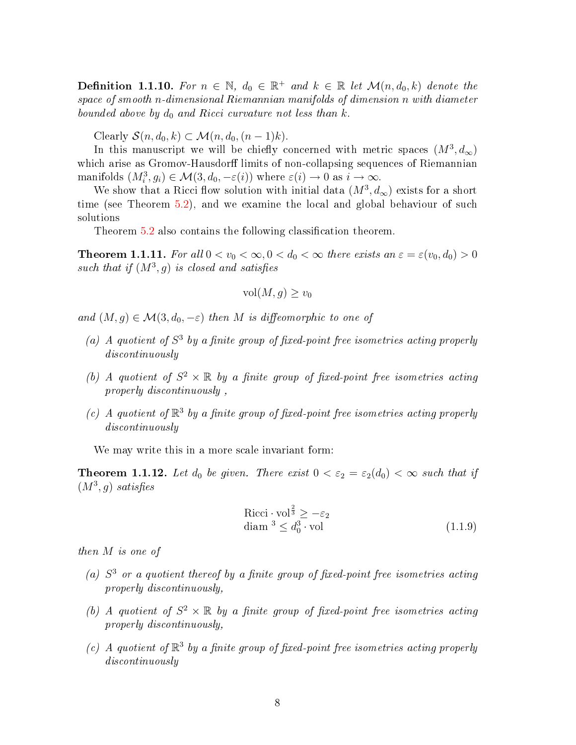**Definition 1.1.10.** For  $n \in \mathbb{N}$ ,  $d_0 \in \mathbb{R}^+$  and  $k \in \mathbb{R}$  let  $\mathcal{M}(n, d_0, k)$  denote the space of smooth n-dimensional Riemannian manifolds of dimension n with diameter bounded above by  $d_0$  and Ricci curvature not less than k.

Clearly  $\mathcal{S}(n, d_0, k) \subset \mathcal{M}(n, d_0, (n-1)k)$ .

In this manuscript we will be chiefly concerned with metric spaces  $(M^3, d_\infty)$ which arise as Gromov-Hausdorff limits of non-collapsing sequences of Riemannian manifolds  $(M_i^3, g_i) \in \mathcal{M}(3, d_0, -\varepsilon(i))$  where  $\varepsilon(i) \to 0$  as  $i \to \infty$ .

We show that a Ricci flow solution with initial data  $(M^3, d_\infty)$  exists for a short time (see Theorem [5.2\)](#page-42-0), and we examine the local and global behaviour of such solutions

Theorem [5.2](#page-42-0) also contains the following classification theorem.

<span id="page-13-0"></span>**Theorem 1.1.11.** For all  $0 < v_0 < \infty, 0 < d_0 < \infty$  there exists an  $\varepsilon = \varepsilon(v_0, d_0) > 0$ such that if  $(M^3, g)$  is closed and satisfies

$$
\text{vol}(M,g) \ge v_0
$$

and  $(M, g) \in \mathcal{M}(3, d_0, -\varepsilon)$  then M is diffeomorphic to one of

- (a) A quotient of  $S<sup>3</sup>$  by a finite group of fixed-point free isometries acting properly discontinuously
- (b) A quotient of  $S^2 \times \mathbb{R}$  by a finite group of fixed-point free isometries acting properly discontinuously ,
- (c) A quotient of  $\mathbb{R}^3$  by a finite group of fixed-point free isometries acting properly discontinuously

We may write this in a more scale invariant form:

**Theorem 1.1.12.** Let  $d_0$  be given. There exist  $0 < \varepsilon_2 = \varepsilon_2(d_0) < \infty$  such that if  $(M^3, g)$  satisfies

$$
\begin{aligned} \text{Ricci} \cdot \text{vol}^{\frac{2}{3}} &\geq -\varepsilon_2\\ \text{diam} \,^3 &\leq d_0^3 \cdot \text{vol} \end{aligned} \tag{1.1.9}
$$

then M is one of

- (a)  $S<sup>3</sup>$  or a quotient thereof by a finite group of fixed-point free isometries acting properly discontinuously,
- (b) A quotient of  $S^2 \times \mathbb{R}$  by a finite group of fixed-point free isometries acting properly discontinuously,
- (c) A quotient of  $\mathbb{R}^3$  by a finite group of fixed-point free isometries acting properly discontinuously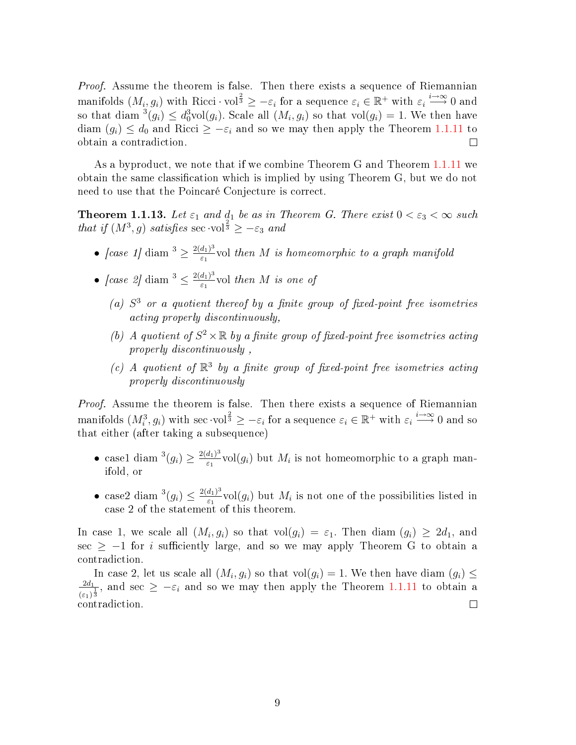Proof. Assume the theorem is false. Then there exists a sequence of Riemannian manifolds  $(M_i,g_i)$  with Ricci·vol $^{\frac{2}{3}} \geq -\varepsilon_i$  for a sequence  $\varepsilon_i \in \mathbb{R}^+$  with  $\varepsilon_i \stackrel{i\to\infty}{\longrightarrow} 0$  and so that diam  $^{3}(g_{i}) \leq d_{0}^{3}$ vol $(g_{i})$ . Scale all  $(M_{i}, g_{i})$  so that vol $(g_{i}) = 1$ . We then have diam  $(g_i) \leq d_0$  and Ricci  $\geq -\varepsilon_i$  and so we may then apply the Theorem [1.1.11](#page-13-0) to obtain a contradiction.  $\Box$ 

As a byproduct, we note that if we combine Theorem G and Theorem [1.1.11](#page-13-0) we obtain the same classification which is implied by using Theorem G, but we do not need to use that the Poincaré Conjecture is correct.

**Theorem 1.1.13.** Let  $\varepsilon_1$  and  $d_1$  be as in Theorem G. There exist  $0 < \varepsilon_3 < \infty$  such that if  $(M^3, g)$  satisfies sec ·vol<sup>3</sup>  $\geq -\varepsilon_3$  and

- $\int \csc 1/\sin^3 \geq \frac{2(d_1)^3}{5}$  $\frac{a_1}{\varepsilon_1}$ vol then  $M$  is homeomorphic to a graph manifold
- $\int \csc 2 \, d \, \mathrm{d} \, \mathrm{d} \, \mathrm{d} \, \mathrm{d} \, \leq \frac{2(d_1)^3}{5}$  $\frac{a_1}{\varepsilon_1}$  vol then M is one of
	- (a)  $S<sup>3</sup>$  or a quotient thereof by a finite group of fixed-point free isometries acting properly discontinuously,
	- (b) A quotient of  $S^2 \times \mathbb{R}$  by a finite group of fixed-point free isometries acting properly discontinuously ,
	- (c) A quotient of  $\mathbb{R}^3$  by a finite group of fixed-point free isometries acting properly discontinuously

Proof. Assume the theorem is false. Then there exists a sequence of Riemannian manifolds  $(M_i^3,g_i)$  with sec  $\cdot{\mathrm{vol}}^{\frac{2}{3}} \geq -\varepsilon_i$  for a sequence  $\varepsilon_i \in \mathbb{R}^+$  with  $\varepsilon_i \overset{i\to\infty}{\longrightarrow} 0$  and so that either (after taking a subsequence)

- case1 diam<sup>3</sup> $(g_i) \geq \frac{2(d_1)^3}{\epsilon_1}$  $\frac{a_1}{\varepsilon_1}$  vol $(g_i)$  but  $M_i$  is not homeomorphic to a graph manifold, or
- case2 diam<sup>3</sup> $(g_i) \leq \frac{2(d_1)^3}{\varepsilon_1}$  $\frac{a_{1}^{\prime\prime}}{\varepsilon_{1}}$ vol $(g_{i})$  but  $M_{i}$  is not one of the possibilities listed in case 2 of the statement of this theorem.

In case 1, we scale all  $(M_i, g_i)$  so that  $\mathrm{vol}(g_i) = \varepsilon_1$ . Then diam  $(g_i) \geq 2d_1$ , and sec  $\geq -1$  for *i* sufficiently large, and so we may apply Theorem G to obtain a contradiction.

In case 2, let us scale all  $(M_i, g_i)$  so that  $vol(g_i) = 1$ . We then have diam  $(g_i) \leq$  $2d_1$  $\frac{2d_1}{(\varepsilon_1)^{\frac{1}{3}}}$ , and sec  $\geq -\varepsilon_i$  and so we may then apply the Theorem [1.1.11](#page-13-0) to obtain a contradiction.  $\Box$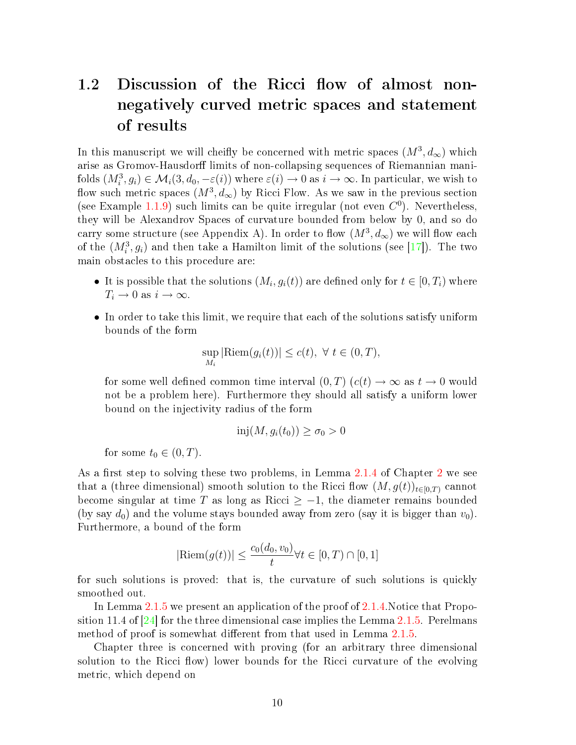#### <span id="page-15-0"></span>1.2 Discussion of the Ricci flow of almost nonnegatively curved metric spaces and statement of results

In this manuscript we will cheifly be concerned with metric spaces  $(M^3, d_\infty)$  which arise as Gromov-Hausdorff limits of non-collapsing sequences of Riemannian manifolds  $(M_i^3, g_i) \in \mathcal{M}_i(3, d_0, -\varepsilon(i))$  where  $\varepsilon(i) \to 0$  as  $i \to \infty$ . In particular, we wish to flow such metric spaces  $(M^3, d_\infty)$  by Ricci Flow. As we saw in the previous section (see Example [1.1.9\)](#page-11-0) such limits can be quite irregular (not even  $C^0$ ). Nevertheless, they will be Alexandrov Spaces of curvature bounded from below by 0, and so do carry some structure (see Appendix A). In order to flow  $(M^3, d_\infty)$  we will flow each of the  $(M_i^3, g_i)$  and then take a Hamilton limit of the solutions (see [\[17\]](#page-69-7)). The two main obstacles to this procedure are:

- It is possible that the solutions  $(M_i, g_i(t))$  are defined only for  $t \in [0, T_i)$  where  $T_i \to 0$  as  $i \to \infty$ .
- In order to take this limit, we require that each of the solutions satisfy uniform bounds of the form

$$
\sup_{M_i} |\text{Riem}(g_i(t))| \le c(t), \ \forall \ t \in (0, T),
$$

for some well defined common time interval  $(0, T)$   $(c(t) \rightarrow \infty$  as  $t \rightarrow 0$  would not be a problem here). Furthermore they should all satisfy a uniform lower bound on the injectivity radius of the form

$$
inj(M, g_i(t_0)) \ge \sigma_0 > 0
$$

for some  $t_0 \in (0, T)$ .

As a first step to solving these two problems, in Lemma [2.1.4](#page-19-0) of Chapter [2](#page-18-0) we see that a (three dimensional) smooth solution to the Ricci flow  $(M, g(t))_{t\in[0,T)}$  cannot become singular at time T as long as Ricci  $\geq -1$ , the diameter remains bounded (by say  $d_0$ ) and the volume stays bounded away from zero (say it is bigger than  $v_0$ ). Furthermore, a bound of the form

$$
|\text{Riem}(g(t))| \le \frac{c_0(d_0, v_0)}{t} \forall t \in [0, T) \cap [0, 1]
$$

for such solutions is proved: that is, the curvature of such solutions is quickly smoothed out.

In Lemma [2.1.5](#page-19-1) we present an application of the proof of [2.1.4.](#page-19-0)Notice that Proposition 11.4 of  $[24]$  for the three dimensional case implies the Lemma [2.1.5.](#page-19-1) Perelmans method of proof is somewhat different from that used in Lemma [2.1.5.](#page-19-1)

Chapter three is concerned with proving (for an arbitrary three dimensional solution to the Ricci flow) lower bounds for the Ricci curvature of the evolving metric, which depend on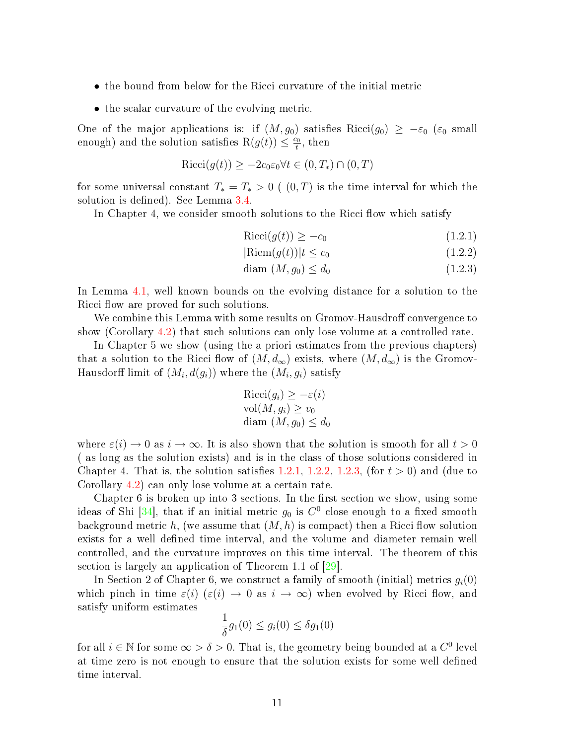- the bound from below for the Ricci curvature of the initial metric
- the scalar curvature of the evolving metric.

One of the major applications is: if  $(M, g_0)$  satisfies Ricci $(g_0) \geq -\varepsilon_0$  ( $\varepsilon_0$  small enough) and the solution satisfies  $R(g(t)) \leq \frac{c_0}{t}$  $\frac{20}{t}$ , then

$$
Ricci(g(t)) \ge -2c_0\varepsilon_0 \forall t \in (0, T_*) \cap (0, T)
$$

for some universal constant  $T_* = T_* > 0$  (  $(0, T)$  is the time interval for which the solution is defined). See Lemma [3.4.](#page-34-0)

In Chapter 4, we consider smooth solutions to the Ricci flow which satisfy

$$
Ricci(g(t)) \ge -c_0 \tag{1.2.1}
$$

<span id="page-16-0"></span>
$$
|\text{Riem}(g(t))|t \le c_0 \tag{1.2.2}
$$

$$
\text{diam } (M, g_0) \le d_0 \tag{1.2.3}
$$

In Lemma [4.1,](#page-39-1) well known bounds on the evolving distance for a solution to the Ricci flow are proved for such solutions.

We combine this Lemma with some results on Gromov-Hausdroff convergence to show (Corollary [4.2\)](#page-40-0) that such solutions can only lose volume at a controlled rate.

In Chapter 5 we show (using the a priori estimates from the previous chapters) that a solution to the Ricci flow of  $(M, d_{\infty})$  exists, where  $(M, d_{\infty})$  is the Gromov-Hausdorff limit of  $(M_i,d(g_i))$  where the  $(M_i,g_i)$  satisfy

$$
Ricci(g_i) \ge -\varepsilon(i)
$$
  
vol(M, g\_i) \ge v\_0  
diam (M, g\_0) \le d\_0

where  $\varepsilon(i) \to 0$  as  $i \to \infty$ . It is also shown that the solution is smooth for all  $t > 0$ ( as long as the solution exists) and is in the class of those solutions considered in Chapter 4. That is, the solution satisfies [1.2.1,](#page-16-0) [1.2.2,](#page-16-0) [1.2.3,](#page-16-0) (for  $t > 0$ ) and (due to Corollary [4.2\)](#page-40-0) can only lose volume at a certain rate.

Chapter  $6$  is broken up into 3 sections. In the first section we show, using some ideas of Shi [\[34\]](#page-70-2), that if an initial metric  $g_0$  is  $C^0$  close enough to a fixed smooth background metric h, (we assume that  $(M, h)$  is compact) then a Ricci flow solution exists for a well defined time interval, and the volume and diameter remain well controlled, and the curvature improves on this time interval. The theorem of this section is largely an application of Theorem 1.1 of  $\left|29\right|$ .

In Section 2 of Chapter 6, we construct a family of smooth (initial) metrics  $q_i(0)$ which pinch in time  $\varepsilon(i)$  ( $\varepsilon(i) \to 0$  as  $i \to \infty$ ) when evolved by Ricci flow, and satisfy uniform estimates

$$
\frac{1}{\delta}g_1(0) \le g_i(0) \le \delta g_1(0)
$$

for all  $i \in \mathbb{N}$  for some  $\infty > \delta > 0$ . That is, the geometry being bounded at a  $C^0$  level at time zero is not enough to ensure that the solution exists for some well defined time interval.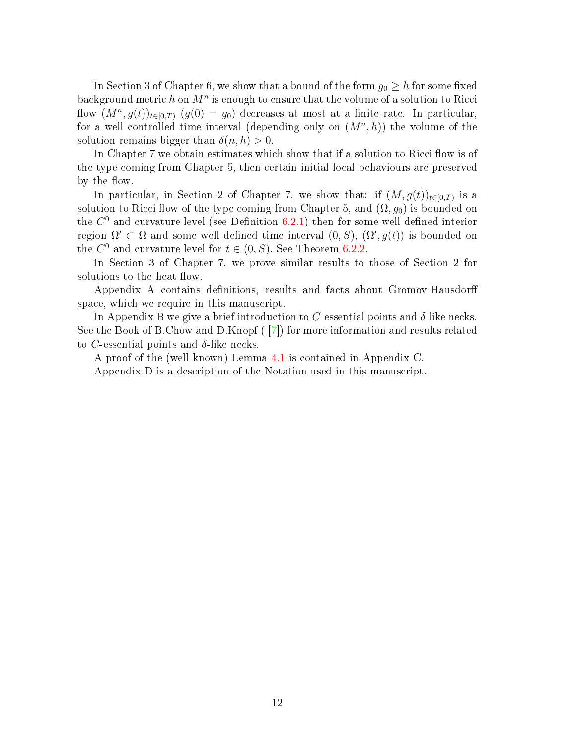In Section 3 of Chapter 6, we show that a bound of the form  $g_0 \geq h$  for some fixed background metric  $h$  on  $M^n$  is enough to ensure that the volume of a solution to Ricci flow  $(M^n, g(t))_{t\in[0,T)}$   $(g(0) = g_0)$  decreases at most at a finite rate. In particular, for a well controlled time interval (depending only on  $(M^n, h)$ ) the volume of the solution remains bigger than  $\delta(n, h) > 0$ .

In Chapter 7 we obtain estimates which show that if a solution to Ricci flow is of the type coming from Chapter 5, then certain initial local behaviours are preserved by the flow.

In particular, in Section 2 of Chapter 7, we show that: if  $(M, g(t))_{t \in [0,T)}$  is a solution to Ricci flow of the type coming from Chapter 5, and  $(\Omega, g_0)$  is bounded on the  $C^0$  and curvature level (see Definition [6.2.1\)](#page-45-1) then for some well defined interior region  $\Omega' \subset \Omega$  and some well defined time interval  $(0, S)$ ,  $(\Omega', g(t))$  is bounded on the  $C^0$  and curvature level for  $t \in (0, S)$ . See Theorem [6.2.2.](#page-46-0)

In Section 3 of Chapter 7, we prove similar results to those of Section 2 for solutions to the heat flow.

Appendix A contains definitions, results and facts about Gromov-Hausdorff space, which we require in this manuscript.

In Appendix B we give a brief introduction to C-essential points and  $\delta$ -like necks. See the Book of B.Chow and D.Knopf ( [\[7\]](#page-68-5)) for more information and results related to C-essential points and  $\delta$ -like necks.

A proof of the (well known) Lemma [4.1](#page-39-1) is contained in Appendix C.

Appendix D is a description of the Notation used in this manuscript.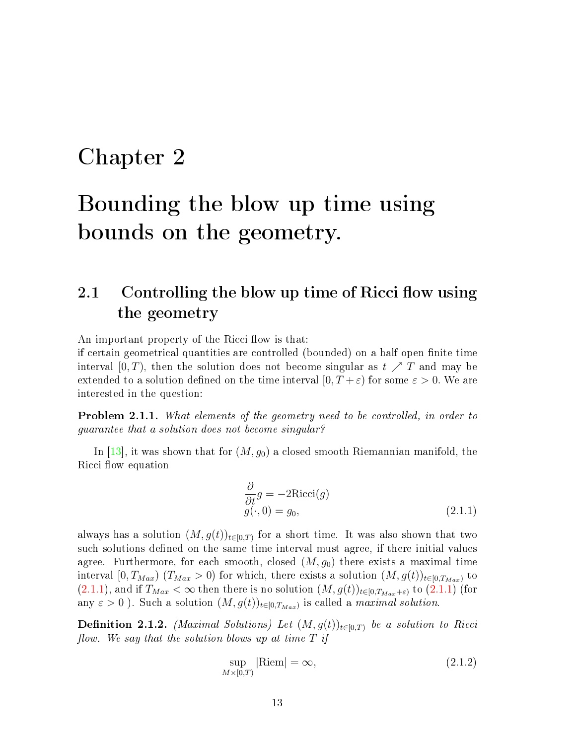### <span id="page-18-0"></span>Chapter 2

## Bounding the blow up time using bounds on the geometry.

#### <span id="page-18-1"></span>2.1 Controlling the blow up time of Ricci flow using the geometry

An important property of the Ricci flow is that:

if certain geometrical quantities are controlled (bounded) on a half open finite time interval  $[0, T)$ , then the solution does not become singular as  $t \nearrow T$  and may be extended to a solution defined on the time interval  $[0, T + \varepsilon)$  for some  $\varepsilon > 0$ . We are interested in the question:

**Problem 2.1.1.** What elements of the geometry need to be controlled, in order to guarantee that a solution does not become singular?

In [\[13\]](#page-68-0), it was shown that for  $(M, g_0)$  a closed smooth Riemannian manifold, the Ricci flow equation

<span id="page-18-2"></span>
$$
\frac{\partial}{\partial t}g = -2Ricci(g)
$$
  
 
$$
g(\cdot, 0) = g_0,
$$
 (2.1.1)

always has a solution  $(M, g(t))_{t \in [0,T)}$  for a short time. It was also shown that two such solutions defined on the same time interval must agree, if there initial values agree. Furthermore, for each smooth, closed  $(M, g_0)$  there exists a maximal time interval  $[0, T_{Max})$   $(T_{Max} > 0)$  for which, there exists a solution  $(M, g(t))_{t \in [0, T_{Max})}$  to  $(2.1.1)$ , and if  $T_{Max} < \infty$  then there is no solution  $(M, g(t))_{t \in [0, T_{Max} + \varepsilon)}$  to  $(2.1.1)$  (for any  $\varepsilon > 0$ ). Such a solution  $(M, g(t))_{t \in [0, T_{Max})}$  is called a *maximal solution*.

**Definition 2.1.2.** (Maximal Solutions) Let  $(M, g(t))_{t\in[0,T)}$  be a solution to Ricci flow. We say that the solution blows up at time  $T$  if

$$
\sup_{M \times [0,T)} |\text{Riem}| = \infty, \tag{2.1.2}
$$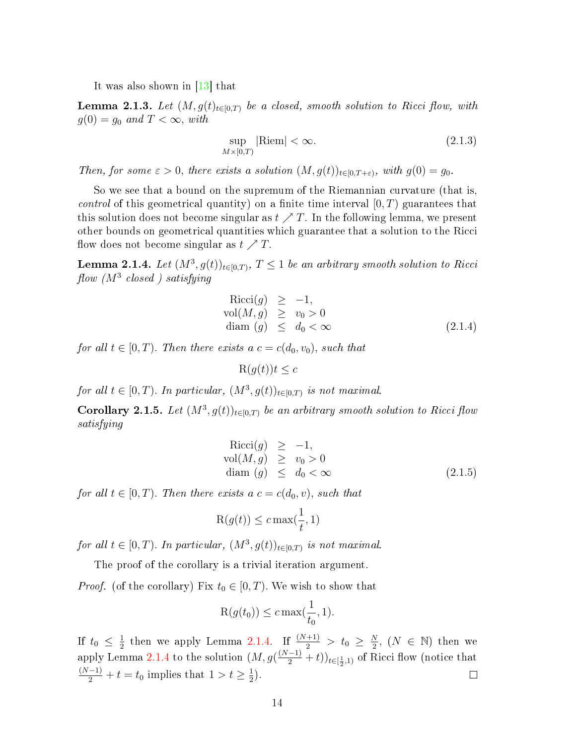It was also shown in [\[13\]](#page-68-0) that

**Lemma 2.1.3.** Let  $(M, g(t))_{t\in [0,T)}$  be a closed, smooth solution to Ricci flow, with  $g(0) = g_0$  and  $T < \infty$ , with

$$
\sup_{M \times [0,T)} |\text{Riem}| < \infty. \tag{2.1.3}
$$

Then, for some  $\varepsilon > 0$ , there exists a solution  $(M, g(t))_{t \in [0, T + \varepsilon)}$ , with  $g(0) = g_0$ .

So we see that a bound on the supremum of the Riemannian curvature (that is, *control* of this geometrical quantity) on a finite time interval  $[0, T)$  guarantees that this solution does not become singular as  $t \nearrow T$ . In the following lemma, we present other bounds on geometrical quantities which guarantee that a solution to the Ricci flow does not become singular as  $t \nearrow T$ .

<span id="page-19-0"></span>**Lemma 2.1.4.** Let  $(M^3, g(t))_{t\in[0,T)}$ ,  $T\leq 1$  be an arbitrary smooth solution to Ricci  $\emph{flow}$  (M<sup>3</sup> closed) satisfying

<span id="page-19-2"></span>
$$
Ricci(g) \ge -1,\nvol(M, g) \ge v_0 > 0\ndiam (g) \le d_0 < \infty
$$
\n(2.1.4)

for all  $t \in [0, T)$ . Then there exists a  $c = c(d_0, v_0)$ , such that

 $R(q(t))t \leq c$ 

for all  $t \in [0, T)$ . In particular,  $(M^3, g(t))_{t \in [0, T)}$  is not maximal.

<span id="page-19-1"></span>**Corollary 2.1.5.** Let  $(M^3, g(t))_{t \in [0,T)}$  be an arbitrary smooth solution to Ricci flow satisfying

$$
Ricci(g) \ge -1,\nvol(M, g) \ge v_0 > 0\ndiam (g) \le d_0 < \infty
$$
\n(2.1.5)

for all  $t \in [0, T)$ . Then there exists a  $c = c(d_0, v)$ , such that

$$
R(g(t)) \le c \max(\frac{1}{t}, 1)
$$

for all  $t \in [0, T)$ . In particular,  $(M^3, g(t))_{t \in [0, T)}$  is not maximal.

The proof of the corollary is a trivial iteration argument.

*Proof.* (of the corollary) Fix  $t_0 \in [0, T)$ . We wish to show that

$$
\mathcal{R}(g(t_0)) \le c \max(\frac{1}{t_0}, 1).
$$

 $\frac{1}{2}$  then we apply Lemma [2.1.4.](#page-19-0) If  $\frac{(N+1)}{2}$  >  $t_0 \geq \frac{N}{2}$  $\frac{N}{2}$ ,  $(N \in \mathbb{N})$  then we If  $t_0 \leq \frac{1}{2}$ apply Lemma [2.1.4](#page-19-0) to the solution  $(M, g(\frac{(N-1)}{2} + t))_{t \in [\frac{1}{2}, 1)}$  of Ricci flow (notice that  $\frac{(N-1)}{2} + t = t_0$  implies that  $1 > t \geq \frac{1}{2}$  $(\frac{1}{2})$ .  $\Box$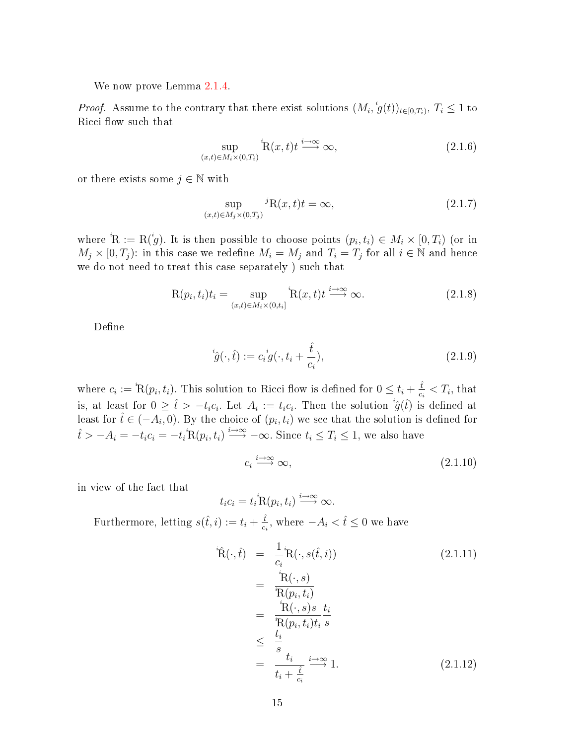We now prove Lemma [2.1.4.](#page-19-0)

*Proof.* Assume to the contrary that there exist solutions  $(M_i, {}^i g(t))_{t\in[0,T_i)}$ ,  $T_i \leq 1$  to Ricci flow such that

$$
\sup_{(x,t)\in M_i\times(0,T_i)} \mathbf{R}(x,t)t \xrightarrow{i\to\infty} \infty,
$$
\n(2.1.6)

or there exists some  $j \in \mathbb{N}$  with

$$
\sup_{(x,t)\in M_j\times(0,T_j)} {}^{j}R(x,t)t = \infty,
$$
\n(2.1.7)

where  ${}^{i}R := R({}^{i}g)$ . It is then possible to choose points  $(p_i, t_i) \in M_i \times [0, T_i)$  (or in  $M_j \times [0, T_j)$ : in this case we redefine  $M_i = M_j$  and  $T_i = T_j$  for all  $i \in \mathbb{N}$  and hence we do not need to treat this case separately ) such that

$$
R(p_i, t_i)t_i = \sup_{(x, t) \in M_i \times (0, t_i]} R(x, t)t \xrightarrow{i \to \infty} \infty.
$$
 (2.1.8)

Define

$$
\dot{\hat{g}}(\cdot,\hat{t}) := c_i^{\ i} g(\cdot, t_i + \frac{\hat{t}}{c_i}),\tag{2.1.9}
$$

where  $c_i := \mathbb{R}(p_i, t_i)$ . This solution to Ricci flow is defined for  $0 \leq t_i + \frac{\hat{t}}{c_i}$  $\frac{t}{c_i} < T_i$ , that is, at least for  $0 \geq \hat{t} > -t_i c_i$ . Let  $A_i := t_i c_i$ . Then the solution  ${}^i \hat{g}(\hat{t})$  is defined at least for  $\hat{t} \in (-A_i, 0)$ . By the choice of  $(p_i, t_i)$  we see that the solution is defined for  $\hat{t} > -A_i = -t_i c_i = -t_i \overset{i}{\text{R}} (p_i, t_i) \overset{i \to \infty}{\longrightarrow} -\infty.$  Since  $t_i \leq T_i \leq 1$ , we also have

<span id="page-20-0"></span>
$$
c_i \stackrel{i \to \infty}{\longrightarrow} \infty,\tag{2.1.10}
$$

in view of the fact that

$$
t_i c_i = t_i^i \mathcal{R}(p_i, t_i) \stackrel{i \to \infty}{\longrightarrow} \infty.
$$

Furthermore, letting  $s(\hat{t}, i) := t_i + \frac{\hat{t}}{c_i}$  $\frac{\hat{t}}{c_i}$ , where  $-A_i < \hat{t} \leq 0$  we have

<span id="page-20-1"></span>
$$
\dot{R}(\cdot,\hat{t}) = \frac{1}{c_i} R(\cdot, s(\hat{t}, i))
$$
\n
$$
= \frac{{}^{i}R(\cdot, s)}{{}^{i}R(p_i, t_i)}
$$
\n
$$
= \frac{{}^{i}R(\cdot, s)s}{{}^{i}R(p_i, t_i)t_i} \frac{t_i}{s}
$$
\n
$$
\leq \frac{t_i}{s}
$$
\n
$$
= \frac{t_i}{t_i + \frac{\hat{t}}{c_i}} \xrightarrow{i \to \infty} 1.
$$
\n(2.1.12)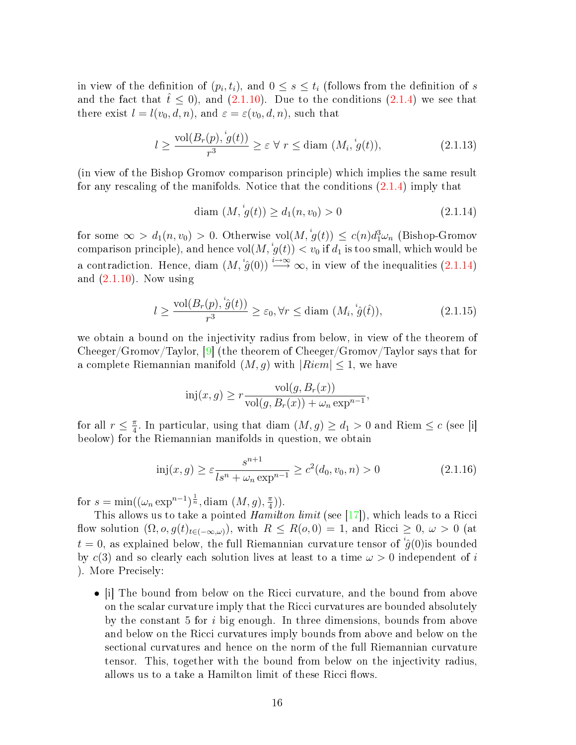in view of the definition of  $(p_i, t_i)$ , and  $0 \leq s \leq t_i$  (follows from the definition of  $s$ and the fact that  $t \leq 0$ , and  $(2.1.10)$ . Due to the conditions  $(2.1.4)$  we see that there exist  $l = l(v_0, d, n)$ , and  $\varepsilon = \varepsilon(v_0, d, n)$ , such that

$$
l \ge \frac{\text{vol}(B_r(p), {}^i g(t))}{r^3} \ge \varepsilon \,\forall \, r \le \text{diam } (M_i, {}^i g(t)),\tag{2.1.13}
$$

(in view of the Bishop Gromov comparison principle) which implies the same result for any rescaling of the manifolds. Notice that the conditions [\(2.1.4\)](#page-19-2) imply that

<span id="page-21-0"></span>
$$
diam (M, \dot{g}(t)) \ge d_1(n, v_0) > 0
$$
\n(2.1.14)

for some  $\infty > d_1(n, v_0) > 0$ . Otherwise  $\text{vol}(M, \, g(t)) \leq c(n) d_1^3 \omega_n$  (Bishop-Gromov comparison principle), and hence  $\mathrm{vol}(M, {}^ig(t)) < v_0$  if  $d_1$  is too small, which would be a contradiction. Hence, diam  $(M, \overset{i}{g}(0)) \overset{i\to\infty}{\longrightarrow} \infty$ , in view of the inequalities  $(2.1.14)$ and  $(2.1.10)$ . Now using

$$
l \ge \frac{\text{vol}(B_r(p), \dot{\hat{g}}(t))}{r^3} \ge \varepsilon_0, \forall r \le \text{diam } (M_i, \dot{\hat{g}}(\hat{t})), \tag{2.1.15}
$$

we obtain a bound on the injectivity radius from below, in view of the theorem of Cheeger/Gromov/Taylor, [\[9\]](#page-68-6) (the theorem of Cheeger/Gromov/Taylor says that for a complete Riemannian manifold  $(M, g)$  with  $|Riem| \leq 1$ , we have

$$
inj(x, g) \ge r \frac{\text{vol}(g, B_r(x))}{\text{vol}(g, B_r(x)) + \omega_n \exp^{n-1}},
$$

for all  $r \leq \frac{\pi}{4}$  $\frac{\pi}{4}$ . In particular, using that diam  $(M, g) \geq d_1 > 0$  and Riem  $\leq c$  (see [i] beolow) for the Riemannian manifolds in question, we obtain

$$
\text{inj}(x, g) \ge \varepsilon \frac{s^{n+1}}{\text{Ls}^n + \omega_n \exp^{n-1}} \ge c^2(d_0, v_0, n) > 0 \tag{2.1.16}
$$

for  $s = \min((\omega_n \exp^{n-1})^{\frac{1}{n}}, \text{diam}(M, g), \frac{\pi}{4})$  $\frac{\pi}{4})$ ).

This allows us to take a pointed Hamilton limit (see [\[17\]](#page-69-7)), which leads to a Ricci flow solution  $(\Omega, o, g(t)_{t\in(-\infty,\omega)})$ , with  $R \leq R(o, 0) = 1$ , and Ricci  $\geq 0$ ,  $\omega > 0$  (at  $t=0,$  as explained below, the full Riemannian curvature tensor of  $^i\hat{g}(0)$ is bounded by  $c(3)$  and so clearly each solution lives at least to a time  $\omega > 0$  independent of i ). More Precisely:

• il The bound from below on the Ricci curvature, and the bound from above on the scalar curvature imply that the Ricci curvatures are bounded absolutely by the constant 5 for i big enough. In three dimensions, bounds from above and below on the Ricci curvatures imply bounds from above and below on the sectional curvatures and hence on the norm of the full Riemannian curvature tensor. This, together with the bound from below on the injectivity radius, allows us to a take a Hamilton limit of these Ricci flows.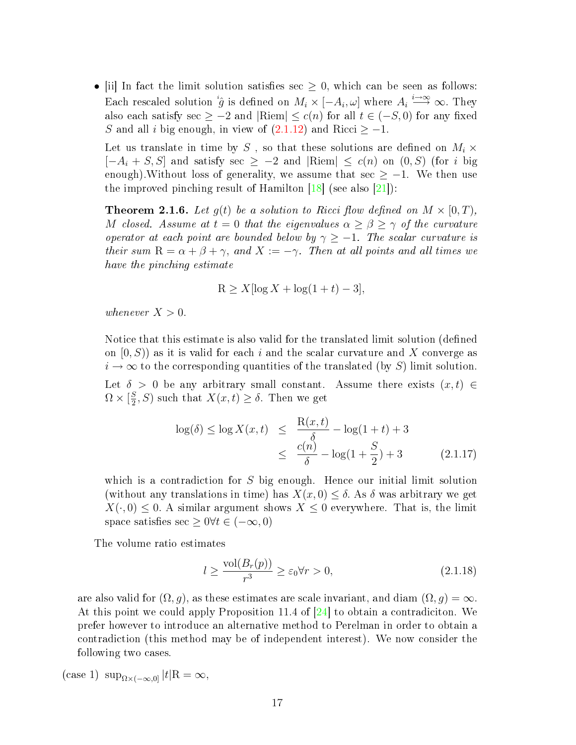• [ii] In fact the limit solution satisfies sec  $\geq 0$ , which can be seen as follows: Each rescaled solution  $^i\hat{g}$  is defined on  $M_i \times [-A_i, \omega]$  where  $A_i \stackrel{i \to \infty}{\longrightarrow} \infty$ . They also each satisfy sec  $\geq -2$  and  $|\text{Riem}| \leq c(n)$  for all  $t \in (-S, 0)$  for any fixed S and all i big enough, in view of  $(2.1.12)$  and Ricci > -1.

Let us translate in time by S , so that these solutions are defined on  $M_i \times$  $[-A_i + S, S]$  and satisfy sec  $\geq -2$  and  $|\text{Riem}| \leq c(n)$  on  $(0, S)$  (for i big enough). Without loss of generality, we assume that sec  $\geq -1$ . We then use the improved pinching result of Hamilton  $[18]$  (see also  $[21]$ ):

**Theorem 2.1.6.** Let  $q(t)$  be a solution to Ricci flow defined on  $M \times [0, T)$ , M closed. Assume at  $t = 0$  that the eigenvalues  $\alpha \geq \beta \geq \gamma$  of the curvature operator at each point are bounded below by  $\gamma \geq -1$ . The scalar curvature is their sum  $R = \alpha + \beta + \gamma$ , and  $X := -\gamma$ . Then at all points and all times we have the pinching estimate

$$
R \ge X[\log X + \log(1+t) - 3],
$$

whenever  $X > 0$ .

Notice that this estimate is also valid for the translated limit solution (defined on  $[0, S)$  as it is valid for each i and the scalar curvature and X converge as  $i \to \infty$  to the corresponding quantities of the translated (by S) limit solution. Let  $\delta > 0$  be any arbitrary small constant. Assume there exists  $(x, t) \in$  $\Omega \times \left[\frac{S}{2}\right]$  $(\frac{S}{2}, S)$  such that  $X(x, t) \geq \delta$ . Then we get

$$
\log(\delta) \le \log X(x, t) \le \frac{R(x, t)}{\delta} - \log(1 + t) + 3
$$
  

$$
\le \frac{c(n)}{\delta} - \log(1 + \frac{S}{2}) + 3
$$
 (2.1.17)

which is a contradiction for S big enough. Hence our initial limit solution (without any translations in time) has  $X(x, 0) \leq \delta$ . As  $\delta$  was arbitrary we get  $X(\cdot, 0) \leq 0$ . A similar argument shows  $X \leq 0$  everywhere. That is, the limit space satisfies sec  $\geq 0 \forall t \in (-\infty, 0)$ 

The volume ratio estimates

<span id="page-22-0"></span>
$$
l \ge \frac{\text{vol}(B_r(p))}{r^3} \ge \varepsilon_0 \forall r > 0,
$$
\n(2.1.18)

are also valid for  $(\Omega, g)$ , as these estimates are scale invariant, and diam  $(\Omega, g) = \infty$ . At this point we could apply Proposition 11.4 of [\[24\]](#page-69-5) to obtain a contradiciton. We prefer however to introduce an alternative method to Perelman in order to obtain a contradiction (this method may be of independent interest). We now consider the following two cases.

(case 1)  $\sup_{\Omega\times(-\infty,0]}|t|\mathbf{R}=\infty,$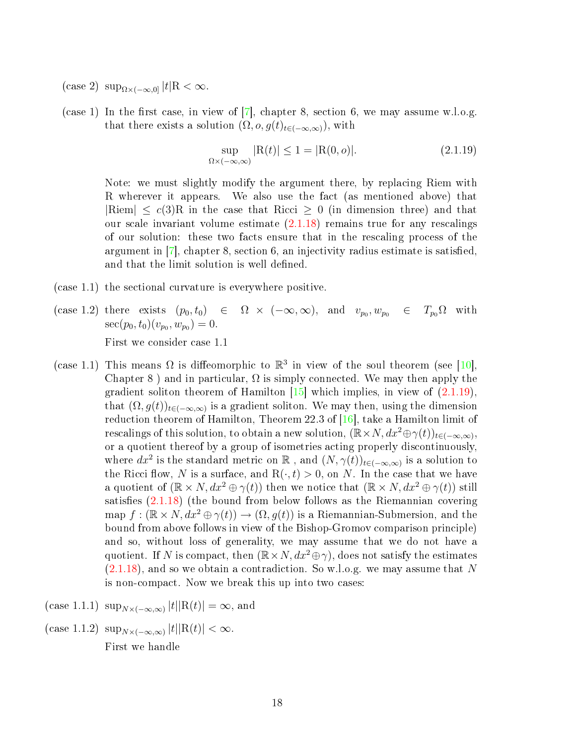- (case 2)  $\sup_{\Omega\times(-\infty,0]}|t|\mathbb{R}<\infty.$
- (case 1) In the first case, in view of  $[7]$ , chapter 8, section 6, we may assume w.l.o.g. that there exists a solution  $(\Omega, o, g(t)_{t\in(-\infty,\infty)})$ , with

<span id="page-23-0"></span>
$$
\sup_{\Omega \times (-\infty,\infty)} |R(t)| \le 1 = |R(0,o)|. \tag{2.1.19}
$$

Note: we must slightly modify the argument there, by replacing Riem with R wherever it appears. We also use the fact (as mentioned above) that  $|Riem| \leq c(3)R$  in the case that Ricci  $\geq 0$  (in dimension three) and that our scale invariant volume estimate  $(2.1.18)$  remains true for any rescalings of our solution: these two facts ensure that in the rescaling process of the argument in  $|7|$ , chapter 8, section 6, an injectivity radius estimate is satisfied, and that the limit solution is well defined.

- (case 1.1) the sectional curvature is everywhere positive.
- $(\text{case 1.2}) \text{ there exists } (p_0, t_0) \in \Omega \times (-\infty, \infty), \text{ and } v_{p_0}, w_{p_0} \in T_{p_0}\Omega \text{ with }$  $\sec(p_0, t_0)(v_{p_0}, w_{p_0}) = 0.$ First we consider case 1.1
- (case 1.1) This means  $\Omega$  is diffeomorphic to  $\mathbb{R}^3$  in view of the soul theorem (see [\[10\]](#page-68-2), Chapter 8 ) and in particular,  $\Omega$  is simply connected. We may then apply the gradient soliton theorem of Hamilton  $[15]$  which implies, in view of  $(2.1.19)$ , that  $(\Omega, g(t))_{t \in (-\infty,\infty)}$  is a gradient soliton. We may then, using the dimension reduction theorem of Hamilton, Theorem 22.3 of [\[16\]](#page-69-11), take a Hamilton limit of rescalings of this solution, to obtain a new solution,  $(\mathbb{R} \times N, dx^2 \oplus \gamma(t))_{t \in (-\infty,\infty)}$ , or a quotient thereof by a group of isometries acting properly discontinuously, where  $dx^2$  is the standard metric on  $\mathbb R$ , and  $(N, \gamma(t))_{t \in (-\infty,\infty)}$  is a solution to the Ricci flow, N is a surface, and  $R(\cdot, t) > 0$ , on N. In the case that we have a quotient of  $(\mathbb{R} \times N, dx^2 \oplus \gamma(t))$  then we notice that  $(\mathbb{R} \times N, dx^2 \oplus \gamma(t))$  still satisfies  $(2.1.18)$  (the bound from below follows as the Riemannian covering map  $f : (\mathbb{R} \times N, dx^2 \oplus \gamma(t)) \to (\Omega, q(t))$  is a Riemannian-Submersion, and the bound from above follows in view of the Bishop-Gromov comparison principle) and so, without loss of generality, we may assume that we do not have a quotient. If N is compact, then  $(\mathbb{R} \times N, dx^2 \oplus \gamma)$ , does not satisfy the estimates  $(2.1.18)$ , and so we obtain a contradiction. So w.l.o.g. we may assume that N is non-compact. Now we break this up into two cases:
- (case 1.1.1)  $\sup_{N \times (-\infty,\infty)} |t| |\mathcal{R}(t)| = \infty$ , and
- (case 1.1.2)  $\sup_{N\times(-\infty,\infty)}|t||R(t)| < \infty$ . First we handle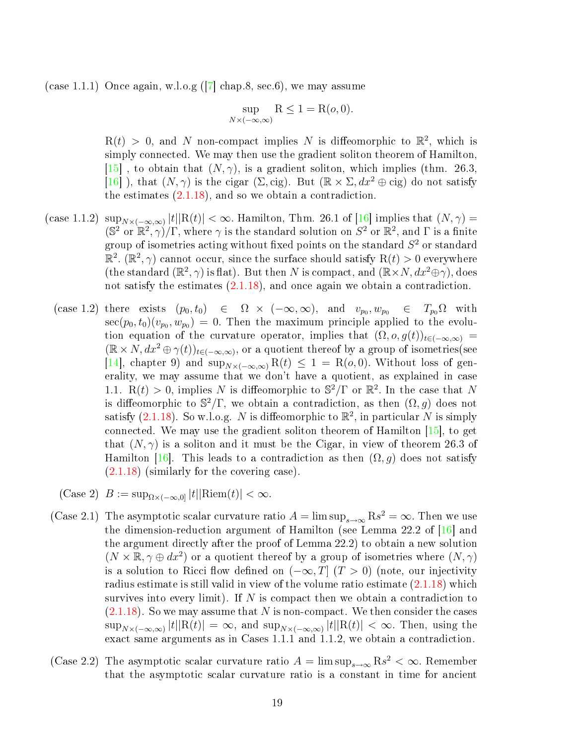(case 1.1.1) Once again, w.l.o.g ( $\boxed{7}$  chap.8, sec.6), we may assume

$$
\sup_{N \times (-\infty,\infty)} \mathcal{R} \le 1 = \mathcal{R}(o,0).
$$

 $R(t) > 0$ , and N non-compact implies N is diffeomorphic to  $\mathbb{R}^2$ , which is simply connected. We may then use the gradient soliton theorem of Hamilton, [\[15\]](#page-69-10), to obtain that  $(N, \gamma)$ , is a gradient soliton, which implies (thm. 26.3, [\[16\]](#page-69-11) ), that  $(N, \gamma)$  is the cigar  $(\Sigma, \text{cig})$ . But  $(\mathbb{R} \times \Sigma, dx^2 \oplus \text{cig})$  do not satisfy the estimates [\(2.1.18\)](#page-22-0), and so we obtain a contradiction.

- (case 1.1.2)  $\sup_{N\times(-\infty,\infty)}|t||R(t)|<\infty$ . Hamilton, Thm. 26.1 of [\[16\]](#page-69-11) implies that  $(N,\gamma)$  =  $(\mathbb{S}^2 \text{ or } \mathbb{R}^2, \gamma)/\Gamma$ , where  $\gamma$  is the standard solution on  $S^2$  or  $\mathbb{R}^2$ , and  $\Gamma$  is a finite group of isometries acting without fixed points on the standard  $S^2$  or standard  $\mathbb{R}^2$ .  $(\mathbb{R}^2, \gamma)$  cannot occur, since the surface should satisfy  $\mathrm{R}(t) > 0$  everywhere (the standard  $(\mathbb{R}^2, \gamma)$  is flat). But then N is compact, and  $(\mathbb{R} \times N, dx^2 \oplus \gamma)$ , does not satisfy the estimates [\(2.1.18\)](#page-22-0), and once again we obtain a contradiction.
	- $(\text{case 1.2}) \text{ there exists } (p_0, t_0) \in \Omega \times (-\infty, \infty), \text{ and } v_{p_0}, w_{p_0} \in T_{p_0}\Omega \text{ with }$  $\sec(p_0, t_0)(v_{p_0}, w_{p_0}) = 0.$  Then the maximum principle applied to the evolution equation of the curvature operator, implies that  $(\Omega, o, g(t))_{t\in(-\infty,\infty)}$  $(\mathbb{R}\times N, dx^2 \oplus \gamma(t))_{t\in (-\infty,\infty)}$ , or a quotient thereof by a group of isometries (see [\[14\]](#page-69-0), chapter 9) and  $\sup_{N\times(-\infty,\infty)}$  R(t)  $\leq 1 =$  R(o,0). Without loss of generality, we may assume that we don't have a quotient, as explained in case 1.1. R(t) > 0, implies N is diffeomorphic to  $\mathbb{S}^2/\Gamma$  or  $\mathbb{R}^2$ . In the case that N is diffeomorphic to  $\mathbb{S}^2/\Gamma$ , we obtain a contradiction, as then  $(\Omega, g)$  does not satisfy [\(2.1.18\)](#page-22-0). So w.l.o.g. N is diffeomorphic to  $\mathbb{R}^2$ , in particular N is simply connected. We may use the gradient soliton theorem of Hamilton [\[15\]](#page-69-10), to get that  $(N, \gamma)$  is a soliton and it must be the Cigar, in view of theorem 26.3 of Hamilton [\[16\]](#page-69-11). This leads to a contradiction as then  $(\Omega, g)$  does not satisfy [\(2.1.18\)](#page-22-0) (similarly for the covering case).
	- (Case 2)  $B := \sup_{\Omega \times (-\infty,0]} |t| |\text{Riem}(t)| < \infty.$
- (Case 2.1) The asymptotic scalar curvature ratio  $A = \limsup_{s \to \infty} \text{R} s^2 = \infty$ . Then we use the dimension-reduction argument of Hamilton (see Lemma 22.2 of [\[16\]](#page-69-11) and the argument directly after the proof of Lemma 22.2) to obtain a new solution  $(N \times \mathbb{R}, \gamma \oplus dx^2)$  or a quotient thereof by a group of isometries where  $(N, \gamma)$ is a solution to Ricci flow defined on  $(-\infty, T]$   $(T > 0)$  (note, our injectivity radius estimate is still valid in view of the volume ratio estimate [\(2.1.18\)](#page-22-0) which survives into every limit). If  $N$  is compact then we obtain a contradiction to  $(2.1.18)$ . So we may assume that N is non-compact. We then consider the cases  $\sup_{N\times(-\infty,\infty)}|t||R(t)| = \infty$ , and  $\sup_{N\times(-\infty,\infty)}|t||R(t)| < \infty$ . Then, using the exact same arguments as in Cases 1.1.1 and 1.1.2, we obtain a contradiction.
- (Case 2.2) The asymptotic scalar curvature ratio  $A = \limsup_{s \to \infty} \text{Rs}^2 < \infty$ . Remember that the asymptotic scalar curvature ratio is a constant in time for ancient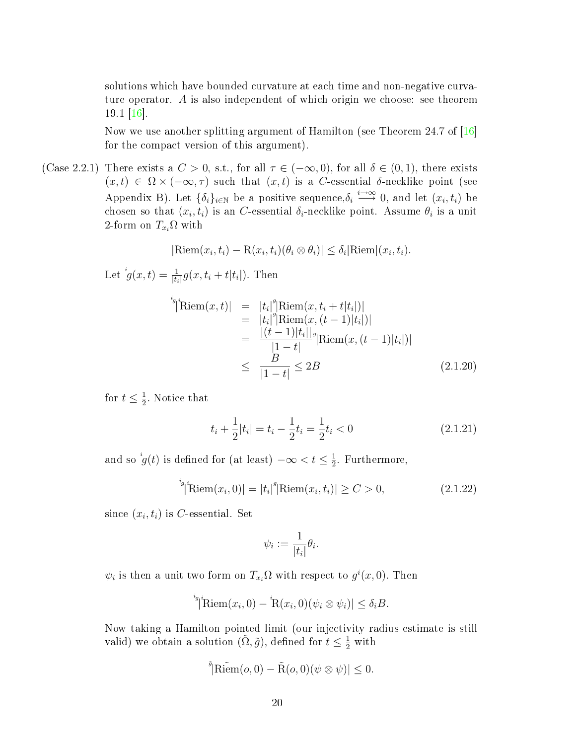solutions which have bounded curvature at each time and non-negative curvature operator. A is also independent of which origin we choose: see theorem  $19.1 \, |16|$ .

Now we use another splitting argument of Hamilton (see Theorem 24.7 of [\[16\]](#page-69-11) for the compact version of this argument).

(Case 2.2.1) There exists a  $C > 0$ , s.t., for all  $\tau \in (-\infty, 0)$ , for all  $\delta \in (0, 1)$ , there exists  $(x, t) \in \Omega \times (-\infty, \tau)$  such that  $(x, t)$  is a C-essential δ-necklike point (see Appendix B). Let  $\{\delta_i\}_{i\in\mathbb{N}}$  be a positive sequence,  $\delta_i \stackrel{i\to\infty}{\longrightarrow} 0$ , and let  $(x_i, t_i)$  be chosen so that  $(x_i, t_i)$  is an C-essential  $\delta_i$ -necklike point. Assume  $\theta_i$  is a unit 2-form on  $T_{x_i}\Omega$  with

$$
|\text{Riem}(x_i, t_i) - \text{R}(x_i, t_i)(\theta_i \otimes \theta_i)| \leq \delta_i |\text{Riem}|(x_i, t_i).
$$

Let  ${}^{i}g(x,t) = \frac{1}{|t_i|} g(x,t_i + t|t_i|)$ . Then

$$
\begin{aligned}\n\text{Riem}(x,t) &= |t_i|^g |\text{Riem}(x,t_i+t|t_i|)| \\
&= |t_i|^g |\text{Riem}(x,(t-1)|t_i|)| \\
&= \frac{|(t-1)|t_i|}{|1-t|}^g |\text{Riem}(x,(t-1)|t_i|)| \\
&\leq \frac{B}{|1-t|} \leq 2B\n\end{aligned} \tag{2.1.20}
$$

for  $t \leq \frac{1}{2}$  $\frac{1}{2}$ . Notice that

$$
t_i + \frac{1}{2}|t_i| = t_i - \frac{1}{2}t_i = \frac{1}{2}t_i < 0\tag{2.1.21}
$$

and so  $ig(t)$  is defined for (at least)  $-\infty < t \leq \frac{1}{2}$  $\frac{1}{2}$ . Furthermore,

<span id="page-25-0"></span><sup>*i<sub>g</sub>*<sub>*i*</sub> Riem
$$
(x_i, 0)
$$
| = |*t<sub>i</sub>*|<sup>*g*</sup>|Riem $(x_i, t_i)$ |  $\geq C > 0$ , (2.1.22)</sup>

since  $(x_i, t_i)$  is C-essential. Set

$$
\psi_i := \frac{1}{|t_i|} \theta_i.
$$

 $\psi_i$  is then a unit two form on  $T_{x_i}\Omega$  with respect to  $g^i(x,0)$ . Then

<sup>*i<sub>g</sub>*</sup><sub>*j*</sub> Riem
$$
(x_i, 0) - \mathcal{R}(x_i, 0) (\psi_i \otimes \psi_i) \leq \delta_i B.
$$

Now taking a Hamilton pointed limit (our injectivity radius estimate is still valid) we obtain a solution  $(\tilde{\Omega}, \tilde{g})$ , defined for  $t \leq \frac{1}{2}$  with

$$
\mathbf{\tilde{\P}}[\widetilde{\text{Riem}}(o,0)-\widetilde{\text{R}}(o,0)(\psi\otimes\psi)]\leq 0.
$$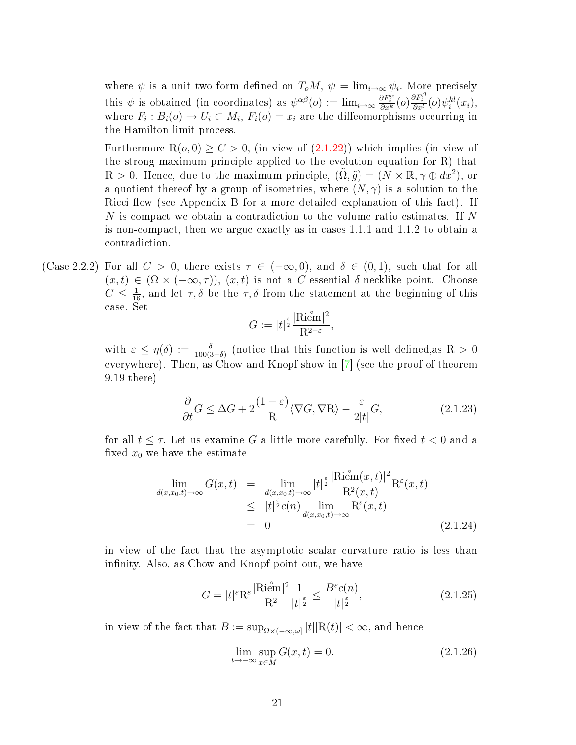where  $\psi$  is a unit two form defined on  $T_oM$ ,  $\psi = \lim_{i \to \infty} \psi_i$ . More precisely this  $\psi$  is obtained (in coordinates) as  $\psi^{\alpha\beta}(o) := \lim_{i \to \infty} \frac{\partial F_i^{\alpha}}{\partial x^k}(o) \frac{\partial F_i^{\beta}}{\partial x^l}(o) \psi_i^{kl}(x_i)$ , where  $F_i : B_i(o) \to U_i \subset M_i, F_i(o) = x_i$  are the diffeomorphisms occurring in the Hamilton limit process.

Furthermore  $R(o, 0) \ge C > 0$ , (in view of  $(2.1.22)$ ) which implies (in view of the strong maximum principle applied to the evolution equation for R) that  $R > 0$ . Hence, due to the maximum principle,  $(\tilde{\Omega}, \tilde{g}) = (N \times \mathbb{R}, \gamma \oplus dx^2)$ , or a quotient thereof by a group of isometries, where  $(N, \gamma)$  is a solution to the Ricci flow (see Appendix B for a more detailed explanation of this fact). If  $N$  is compact we obtain a contradiction to the volume ratio estimates. If  $N$ is non-compact, then we argue exactly as in cases 1.1.1 and 1.1.2 to obtain a contradiction.

(Case 2.2.2) For all  $C > 0$ , there exists  $\tau \in (-\infty, 0)$ , and  $\delta \in (0, 1)$ , such that for all  $(x, t) \in (\Omega \times (-\infty, \tau))$ ,  $(x, t)$  is not a C-essential δ-necklike point. Choose  $C \leq \frac{1}{16}$ , and let  $\tau, \delta$  be the  $\tau, \delta$  from the statement at the beginning of this case. Set

$$
G:=|t|^{\frac{\varepsilon}{2}}\frac{|\mathrm{Riem}|^2}{\mathrm{R}^{2-\varepsilon}},
$$

with  $\varepsilon \leq \eta(\delta) := \frac{\delta}{100(3-\delta)}$  (notice that this function is well defined, as R > 0 everywhere). Then, as Chow and Knopf show in [\[7\]](#page-68-5) (see the proof of theorem 9.19 there)

<span id="page-26-0"></span>
$$
\frac{\partial}{\partial t} G \le \Delta G + 2 \frac{(1 - \varepsilon)}{R} \langle \nabla G, \nabla R \rangle - \frac{\varepsilon}{2|t|} G,\tag{2.1.23}
$$

for all  $t \leq \tau$ . Let us examine G a little more carefully. For fixed  $t < 0$  and a fixed  $x_0$  we have the estimate

$$
\lim_{d(x,x_0,t)\to\infty} G(x,t) = \lim_{\substack{d(x,x_0,t)\to\infty \\ \leq |t|^{\frac{\varepsilon}{2}}} t^{\frac{\varepsilon}{2}} \frac{|\mathrm{Riem}(x,t)|^2}{\mathrm{R}^2(x,t)} \mathrm{R}^{\varepsilon}(x,t) \n\leq |t|^{\frac{\varepsilon}{2}} c(n) \lim_{d(x,x_0,t)\to\infty} \mathrm{R}^{\varepsilon}(x,t) \n= 0
$$
\n(2.1.24)

in view of the fact that the asymptotic scalar curvature ratio is less than infinity. Also, as Chow and Knopf point out, we have

$$
G = |t|^{\varepsilon} \mathcal{R}^{\varepsilon} \frac{|\text{Riem}|^2}{\mathcal{R}^2} \frac{1}{|t|^{\frac{\varepsilon}{2}}} \le \frac{B^{\varepsilon} c(n)}{|t|^{\frac{\varepsilon}{2}}},\tag{2.1.25}
$$

in view of the fact that  $B:=\sup_{\Omega\times (-\infty,\omega]}|t| |\mathrm{R}(t)|<\infty,$  and hence

$$
\lim_{t \to -\infty} \sup_{x \in M} G(x, t) = 0. \tag{2.1.26}
$$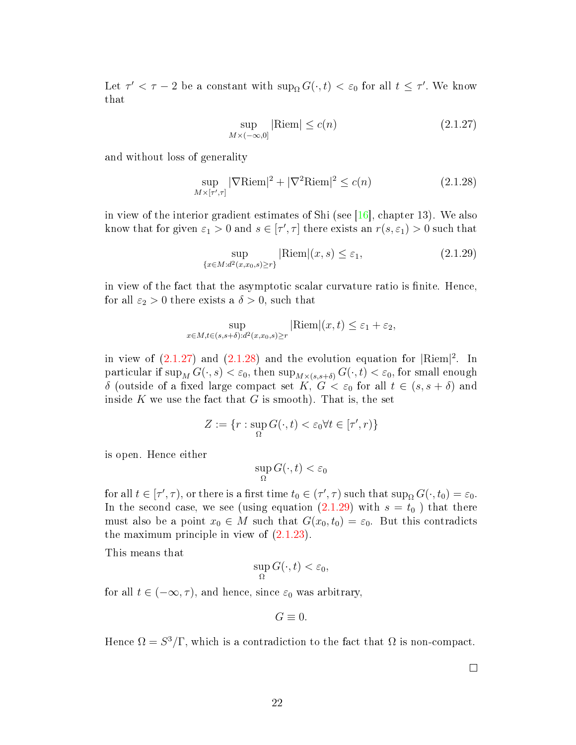Let  $\tau' < \tau - 2$  be a constant with  $\sup_{\Omega} G(\cdot, t) < \varepsilon_0$  for all  $t \leq \tau'$ . We know that

<span id="page-27-0"></span>
$$
\sup_{M \times (-\infty,0]} |\text{Riem}| \le c(n) \tag{2.1.27}
$$

and without loss of generality

<span id="page-27-1"></span>
$$
\sup_{M \times [\tau',\tau]} |\nabla \text{Riem}|^2 + |\nabla^2 \text{Riem}|^2 \le c(n)
$$
\n(2.1.28)

in view of the interior gradient estimates of Shi (see  $[16]$ , chapter 13). We also know that for given  $\varepsilon_1 > 0$  and  $s \in [\tau', \tau]$  there exists an  $r(s, \varepsilon_1) > 0$  such that

<span id="page-27-2"></span>
$$
\sup_{\{x \in M : d^2(x, x_0, s) \ge r\}} |\text{Riem}|(x, s) \le \varepsilon_1,\tag{2.1.29}
$$

in view of the fact that the asymptotic scalar curvature ratio is finite. Hence, for all  $\varepsilon_2 > 0$  there exists a  $\delta > 0$ , such that

$$
\sup_{x \in M, t \in (s, s+\delta):d^2(x, x_0, s) \ge r} |\text{Riem}|(x, t) \le \varepsilon_1 + \varepsilon_2,
$$

in view of  $(2.1.27)$  and  $(2.1.28)$  and the evolution equation for  $|\text{Riem}|^2$ . In particular if  $\sup_M G(\cdot, s) < \varepsilon_0$ , then  $\sup_{M \times (s, s + \delta)} G(\cdot, t) < \varepsilon_0$ , for small enough δ (outside of a fixed large compact set K,  $G < \varepsilon_0$  for all  $t \in (s, s + \delta)$  and inside K we use the fact that  $G$  is smooth). That is, the set

$$
Z:=\{r: \sup_{\Omega}G(\cdot,t)<\varepsilon_0 \forall t\in[\tau',r)\}
$$

is open. Hence either

$$
\sup_{\Omega} G(\cdot, t) < \varepsilon_0
$$

for all  $t \in [\tau', \tau)$ , or there is a first time  $t_0 \in (\tau', \tau)$  such that  $\sup_{\Omega} G(\cdot, t_0) = \varepsilon_0$ . In the second case, we see (using equation  $(2.1.29)$  with  $s = t_0$ ) that there must also be a point  $x_0 \in M$  such that  $G(x_0, t_0) = \varepsilon_0$ . But this contradicts the maximum principle in view of  $(2.1.23)$ .

This means that

$$
\sup_{\Omega} G(\cdot, t) < \varepsilon_0,
$$

for all  $t \in (-\infty, \tau)$ , and hence, since  $\varepsilon_0$  was arbitrary,

$$
G\equiv 0.
$$

Hence  $\Omega = S^3/\Gamma$ , which is a contradiction to the fact that  $\Omega$  is non-compact.

 $\Box$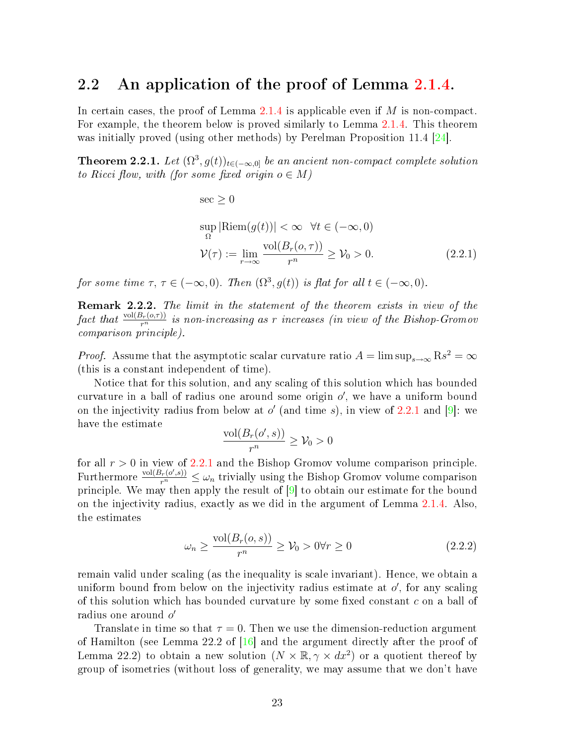#### <span id="page-28-0"></span>2.2 An application of the proof of Lemma [2.1.4.](#page-19-0)

In certain cases, the proof of Lemma [2.1.4](#page-19-0) is applicable even if  $M$  is non-compact. For example, the theorem below is proved similarly to Lemma [2.1.4.](#page-19-0) This theorem was initially proved (using other methods) by Perelman Proposition 11.4 [\[24\]](#page-69-5).

**Theorem 2.2.1.** Let  $(\Omega^3, g(t))_{t \in (-\infty,0]}$  be an ancient non-compact complete solution to Ricci flow, with (for some fixed origin  $o \in M$ )

<span id="page-28-1"></span>
$$
\sec \geq 0
$$
  
\n
$$
\sup_{\Omega} |\text{Riem}(g(t))| < \infty \quad \forall t \in (-\infty, 0)
$$
  
\n
$$
\mathcal{V}(\tau) := \lim_{r \to \infty} \frac{\text{vol}(B_r(o, \tau))}{r^n} \geq \mathcal{V}_0 > 0.
$$
\n(2.2.1)

for some time  $\tau, \tau \in (-\infty, 0)$ . Then  $(\Omega^3, g(t))$  is flat for all  $t \in (-\infty, 0)$ .

Remark 2.2.2. The limit in the statement of the theorem exists in view of the fact that  $\frac{{\rm vol}(B_r(o,\tau))}{r^n}$  is non-increasing as r increases (in view of the Bishop-Gromov comparison principle).

*Proof.* Assume that the asymptotic scalar curvature ratio  $A = \limsup_{s \to \infty} \text{R} s^2 = \infty$ (this is a constant independent of time).

Notice that for this solution, and any scaling of this solution which has bounded curvature in a ball of radius one around some origin  $o'$ , we have a uniform bound on the injectivity radius from below at  $o'$  (and time s), in view of [2.2.1](#page-28-1) and [\[9\]](#page-68-6): we have the estimate

$$
\frac{\text{vol}(B_r(o', s))}{r^n} \ge \mathcal{V}_0 > 0
$$

for all  $r > 0$  in view of [2.2.1](#page-28-1) and the Bishop Gromov volume comparison principle. Furthermore  $\frac{\text{vol}(B_r(o', s))}{r^n} \leq \omega_n$  trivially using the Bishop Gromov volume comparison principle. We may then apply the result of [\[9\]](#page-68-6) to obtain our estimate for the bound on the injectivity radius, exactly as we did in the argument of Lemma [2.1.4.](#page-19-0) Also, the estimates

<span id="page-28-2"></span>
$$
\omega_n \ge \frac{\text{vol}(B_r(o, s))}{r^n} \ge \mathcal{V}_0 > 0 \forall r \ge 0 \tag{2.2.2}
$$

remain valid under scaling (as the inequality is scale invariant). Hence, we obtain a uniform bound from below on the injectivity radius estimate at  $o'$ , for any scaling of this solution which has bounded curvature by some fixed constant  $c$  on a ball of radius one around  $o'$ 

Translate in time so that  $\tau = 0$ . Then we use the dimension-reduction argument of Hamilton (see Lemma 22.2 of [\[16\]](#page-69-11) and the argument directly after the proof of Lemma 22.2) to obtain a new solution  $(N \times \mathbb{R}, \gamma \times dx^2)$  or a quotient thereof by group of isometries (without loss of generality, we may assume that we don't have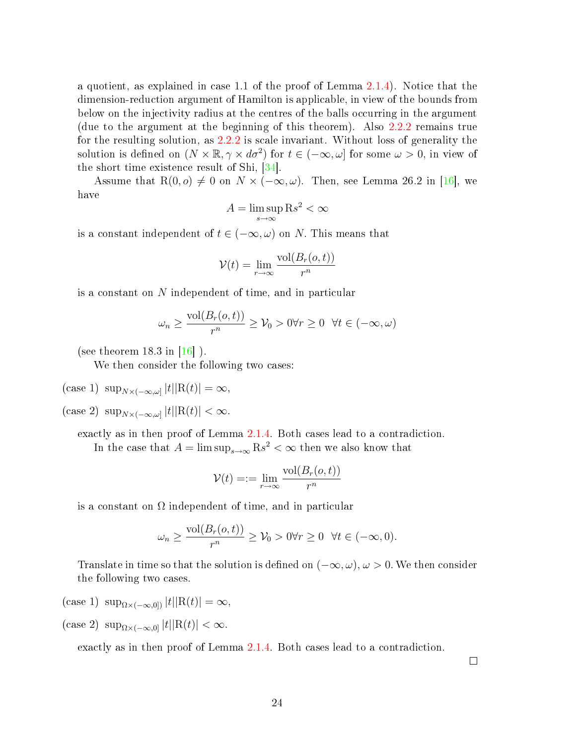a quotient, as explained in case 1.1 of the proof of Lemma [2.1.4\)](#page-19-0). Notice that the dimension-reduction argument of Hamilton is applicable, in view of the bounds from below on the injectivity radius at the centres of the balls occurring in the argument (due to the argument at the beginning of this theorem). Also [2.2.2](#page-28-2) remains true for the resulting solution, as [2.2.2](#page-28-2) is scale invariant. Without loss of generality the solution is defined on  $(N \times \mathbb{R}, \gamma \times d\sigma^2)$  for  $t \in (-\infty, \omega]$  for some  $\omega > 0$ , in view of the short time existence result of Shi, [\[34\]](#page-70-2).

Assume that R(0, o)  $\neq$  0 on N  $\times$  ( $-\infty, \omega$ ). Then, see Lemma 26.2 in [\[16\]](#page-69-11), we have

$$
A = \limsup_{s \to \infty} \mathrm{R} s^2 < \infty
$$

is a constant independent of  $t \in (-\infty, \omega)$  on N. This means that

$$
\mathcal{V}(t) = \lim_{r \to \infty} \frac{\text{vol}(B_r(o, t))}{r^n}
$$

is a constant on N independent of time, and in particular

$$
\omega_n \ge \frac{\text{vol}(B_r(o,t))}{r^n} \ge \mathcal{V}_0 > 0 \forall r \ge 0 \quad \forall t \in (-\infty, \omega)
$$

(see theorem 18.3 in  $[16]$ ).

We then consider the following two cases:

(case 1)  $\sup_{N\times(-\infty,\omega]}|t||R(t)|=\infty,$ 

(case 2)  $\sup_{N \times (-\infty,\omega]} |t| |\mathcal{R}(t)| < \infty$ .

exactly as in then proof of Lemma [2.1.4.](#page-19-0) Both cases lead to a contradiction. In the case that  $A = \limsup_{s \to \infty} \text{Rs}^2 < \infty$  then we also know that

$$
\mathcal{V}(t) = := \lim_{r \to \infty} \frac{\text{vol}(B_r(o, t))}{r^n}
$$

is a constant on  $\Omega$  independent of time, and in particular

$$
\omega_n \ge \frac{\text{vol}(B_r(o,t))}{r^n} \ge \mathcal{V}_0 > 0 \forall r \ge 0 \ \ \forall t \in (-\infty, 0).
$$

Translate in time so that the solution is defined on  $(-\infty, \omega)$ ,  $\omega > 0$ . We then consider the following two cases.

- (case 1)  $\sup_{\Omega \times (-\infty,0]} |t| |\mathcal{R}(t)| = \infty$ ,
- (case 2)  $\sup_{\Omega\times(-\infty,0]}|t||R(t)|<\infty$ .

exactly as in then proof of Lemma [2.1.4.](#page-19-0) Both cases lead to a contradiction.

 $\Box$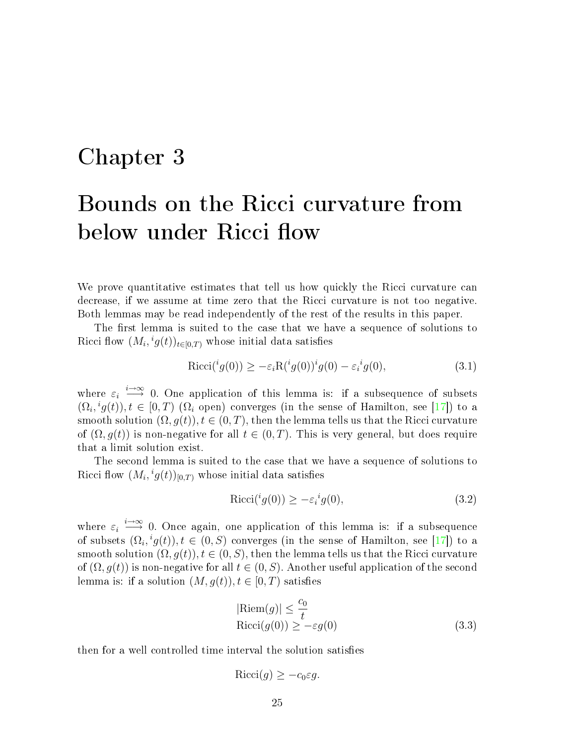### <span id="page-30-0"></span>Chapter 3

# Bounds on the Ricci curvature from below under Ricci flow

We prove quantitative estimates that tell us how quickly the Ricci curvature can decrease, if we assume at time zero that the Ricci curvature is not too negative. Both lemmas may be read independently of the rest of the results in this paper.

The first lemma is suited to the case that we have a sequence of solutions to Ricci flow  $(M_i, {}^ig(t))_{t\in[0,T)}$  whose initial data satisfies

$$
Ricci({}^{i}g(0)) \ge -\varepsilon_i R({}^{i}g(0)){}^{i}g(0) - \varepsilon_i{}^{i}g(0), \tag{3.1}
$$

where  $\varepsilon_i \stackrel{i\to\infty}{\longrightarrow} 0$ . One application of this lemma is: if a subsequence of subsets  $(\Omega_i, ig(t)), t \in [0, T)$  ( $\Omega_i$  open) converges (in the sense of Hamilton, see [\[17\]](#page-69-7)) to a smooth solution  $(\Omega, g(t)), t \in (0, T)$ , then the lemma tells us that the Ricci curvature of  $(\Omega, g(t))$  is non-negative for all  $t \in (0, T)$ . This is very general, but does require that a limit solution exist.

The second lemma is suited to the case that we have a sequence of solutions to Ricci flow  $(M_i, {}^ig(t))_{[0,T)}$  whose initial data satisfies

$$
Ricci({}^{i}g(0)) \ge -\varepsilon_{i} { }^{i}g(0), \qquad (3.2)
$$

where  $\varepsilon_i \stackrel{i\to\infty}{\longrightarrow} 0$ . Once again, one application of this lemma is: if a subsequence of subsets  $(\Omega_i, {}^ig(t)), t \in (0, S)$  converges (in the sense of Hamilton, see [\[17\]](#page-69-7)) to a smooth solution  $(\Omega, g(t))$ ,  $t \in (0, S)$ , then the lemma tells us that the Ricci curvature of  $(\Omega, q(t))$  is non-negative for all  $t \in (0, S)$ . Another useful application of the second lemma is: if a solution  $(M, g(t)), t \in [0, T)$  satisfies

$$
|\text{Riem}(g)| \leq \frac{c_0}{t}
$$
  
 
$$
\text{Ricci}(g(0)) \geq -\varepsilon g(0)
$$
 (3.3)

then for a well controlled time interval the solution satisfies

$$
Ricci(g) \ge -c_0 \varepsilon g.
$$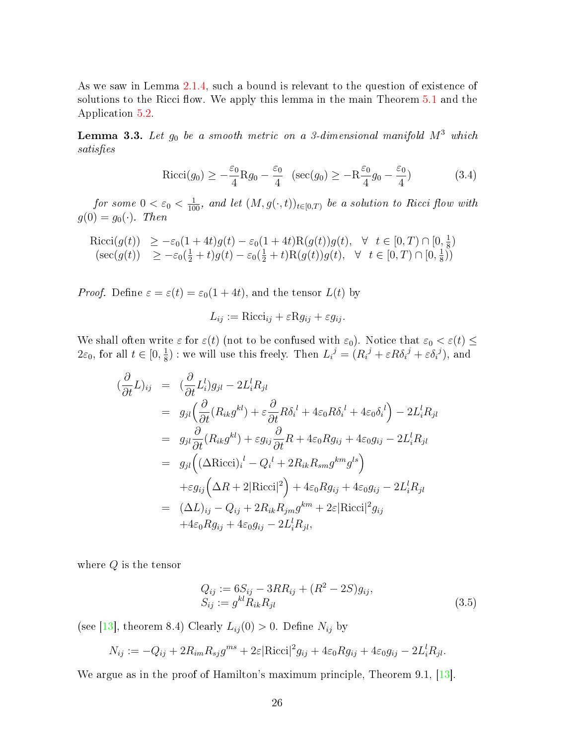As we saw in Lemma [2.1.4,](#page-19-0) such a bound is relevant to the question of existence of solutions to the Ricci flow. We apply this lemma in the main Theorem [5.1](#page-41-1) and the Application [5.2.](#page-42-0)

<span id="page-31-1"></span>**Lemma 3.3.** Let  $g_0$  be a smooth metric on a 3-dimensional manifold  $M^3$  which satisfies

$$
Ricci(g_0) \ge -\frac{\varepsilon_0}{4} Rg_0 - \frac{\varepsilon_0}{4} \quad (\sec(g_0) \ge -R\frac{\varepsilon_0}{4}g_0 - \frac{\varepsilon_0}{4})
$$
\n(3.4)

for some  $0 < \varepsilon_0 < \frac{1}{100}$ , and let  $(M, g(\cdot, t))_{t \in [0,T)}$  be a solution to Ricci flow with  $g(0) = g_0(\cdot)$ . Then

$$
\begin{array}{ll}\text{Ricci}(g(t)) & \geq -\varepsilon_0(1+4t)g(t) - \varepsilon_0(1+4t)\text{R}(g(t))g(t), \quad \forall \quad t \in [0, T) \cap [0, \frac{1}{8})\\ & (\sec(g(t)) \quad \geq -\varepsilon_0(\frac{1}{2}+t)g(t) - \varepsilon_0(\frac{1}{2}+t)\text{R}(g(t))g(t), \quad \forall \quad t \in [0, T) \cap [0, \frac{1}{8})\end{array}
$$

*Proof.* Define  $\varepsilon = \varepsilon(t) = \varepsilon_0(1+4t)$ , and the tensor  $L(t)$  by

$$
L_{ij} := \text{Ricci}_{ij} + \varepsilon \text{R} g_{ij} + \varepsilon g_{ij}.
$$

We shall often write  $\varepsilon$  for  $\varepsilon(t)$  (not to be confused with  $\varepsilon_0$ ). Notice that  $\varepsilon_0 < \varepsilon(t) \leq$  $2\varepsilon_0$ , for all  $t \in [0, \frac{1}{8}]$  $\frac{1}{8}$ ) : we will use this freely. Then  $L_i^j = (R_i^j + \varepsilon R \delta_i^j + \varepsilon \delta_i^j)$ , and

$$
\begin{array}{rcl}\n(\frac{\partial}{\partial t}L)_{ij} & = & (\frac{\partial}{\partial t}L^{l}_{i})g_{jl} - 2L^{l}_{i}R_{jl} \\
& = & g_{jl} \left( \frac{\partial}{\partial t} (R_{ik}g^{kl}) + \varepsilon \frac{\partial}{\partial t} R \delta_{i}^{l} + 4\varepsilon_{0} R \delta_{i}^{l} + 4\varepsilon_{0} \delta_{i}^{l} \right) - 2L^{l}_{i}R_{jl} \\
& = & g_{jl} \frac{\partial}{\partial t} (R_{ik}g^{kl}) + \varepsilon g_{ij} \frac{\partial}{\partial t} R + 4\varepsilon_{0} R g_{ij} + 4\varepsilon_{0} g_{ij} - 2L^{l}_{i}R_{jl} \\
& = & g_{jl} \left( (\Delta \text{Ricci})_{i}^{l} - Q_{i}^{l} + 2R_{ik}R_{sm}g^{km}g^{ls} \right) \\
& & + \varepsilon g_{ij} \left( \Delta R + 2|\text{Ricci}|^{2} \right) + 4\varepsilon_{0} R g_{ij} + 4\varepsilon_{0} g_{ij} - 2L^{l}_{i}R_{jl} \\
& = & (\Delta L)_{ij} - Q_{ij} + 2R_{ik}R_{jm}g^{km} + 2\varepsilon |\text{Ricci}|^{2} g_{ij} \\
& & + 4\varepsilon_{0} R g_{ij} + 4\varepsilon_{0} g_{ij} - 2L^{l}_{i}R_{jl},\n\end{array}
$$

where  $Q$  is the tensor

<span id="page-31-0"></span>
$$
Q_{ij} := 6S_{ij} - 3RR_{ij} + (R^2 - 2S)g_{ij},
$$
  
\n
$$
S_{ij} := g^{kl} R_{ik} R_{jl}
$$
\n(3.5)

(see [\[13\]](#page-68-0), theorem 8.4) Clearly  $L_{ij}(0) > 0$ . Define  $N_{ij}$  by

$$
N_{ij} := -Q_{ij} + 2R_{im}R_{sj}g^{ms} + 2\varepsilon |\text{Ricci}|^2 g_{ij} + 4\varepsilon_0 R g_{ij} + 4\varepsilon_0 g_{ij} - 2L_i^l R_{jl}.
$$

We argue as in the proof of Hamilton's maximum principle, Theorem 9.1, [\[13\]](#page-68-0).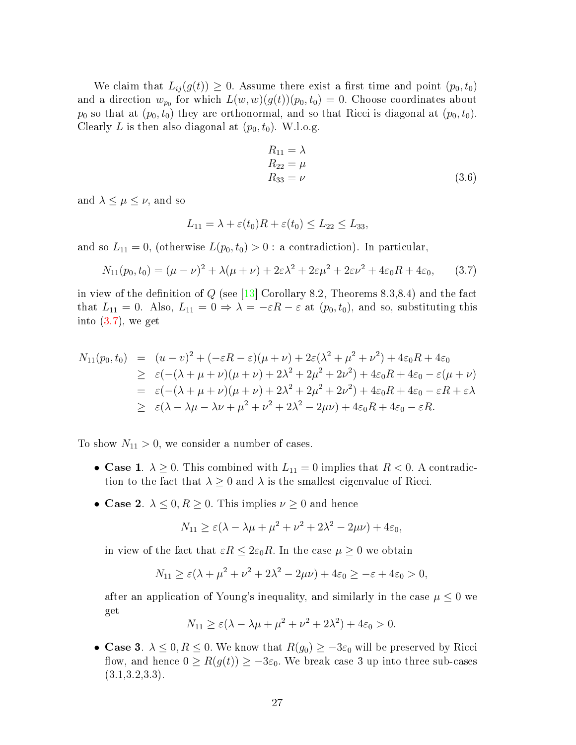We claim that  $L_{ij}(g(t)) \geq 0$ . Assume there exist a first time and point  $(p_0, t_0)$ and a direction  $w_{p_0}$  for which  $L(w, w)(g(t))(p_0, t_0) = 0$ . Choose coordinates about  $p_0$  so that at  $(p_0, t_0)$  they are orthonormal, and so that Ricci is diagonal at  $(p_0, t_0)$ . Clearly L is then also diagonal at  $(p_0, t_0)$ . W.l.o.g.

$$
R_{11} = \lambda
$$
  
\n
$$
R_{22} = \mu
$$
  
\n
$$
R_{33} = \nu
$$
\n(3.6)

and  $\lambda \leq \mu \leq \nu$ , and so

$$
L_{11} = \lambda + \varepsilon(t_0)R + \varepsilon(t_0) \le L_{22} \le L_{33},
$$

and so  $L_{11} = 0$ , (otherwise  $L(p_0, t_0) > 0$ : a contradiction). In particular,

<span id="page-32-0"></span>
$$
N_{11}(p_0, t_0) = (\mu - \nu)^2 + \lambda(\mu + \nu) + 2\varepsilon\lambda^2 + 2\varepsilon\mu^2 + 2\varepsilon\nu^2 + 4\varepsilon_0 R + 4\varepsilon_0,
$$
 (3.7)

in view of the definition of  $Q$  (see [\[13\]](#page-68-0) Corollary 8.2, Theorems 8.3,8.4) and the fact that  $L_{11} = 0$ . Also,  $L_{11} = 0 \Rightarrow \lambda = -\varepsilon R - \varepsilon$  at  $(p_0, t_0)$ , and so, substituting this into  $(3.7)$ , we get

$$
N_{11}(p_0, t_0) = (u - v)^2 + (-\varepsilon R - \varepsilon)(\mu + \nu) + 2\varepsilon(\lambda^2 + \mu^2 + \nu^2) + 4\varepsilon_0 R + 4\varepsilon_0
$$
  
\n
$$
\geq \varepsilon(-(\lambda + \mu + \nu)(\mu + \nu) + 2\lambda^2 + 2\mu^2 + 2\nu^2) + 4\varepsilon_0 R + 4\varepsilon_0 - \varepsilon(\mu + \nu)
$$
  
\n
$$
= \varepsilon(-(\lambda + \mu + \nu)(\mu + \nu) + 2\lambda^2 + 2\mu^2 + 2\nu^2) + 4\varepsilon_0 R + 4\varepsilon_0 - \varepsilon R + \varepsilon\lambda
$$
  
\n
$$
\geq \varepsilon(\lambda - \lambda\mu - \lambda\nu + \mu^2 + \nu^2 + 2\lambda^2 - 2\mu\nu) + 4\varepsilon_0 R + 4\varepsilon_0 - \varepsilon R.
$$

To show  $N_{11} > 0$ , we consider a number of cases.

- Case 1.  $\lambda \geq 0$ . This combined with  $L_{11} = 0$  implies that  $R < 0$ . A contradiction to the fact that  $\lambda \geq 0$  and  $\lambda$  is the smallest eigenvalue of Ricci.
- Case 2.  $\lambda \leq 0, R \geq 0$ . This implies  $\nu \geq 0$  and hence

$$
N_{11} \ge \varepsilon (\lambda - \lambda \mu + \mu^2 + \nu^2 + 2\lambda^2 - 2\mu\nu) + 4\varepsilon_0,
$$

in view of the fact that  $\varepsilon R \leq 2\varepsilon_0 R$ . In the case  $\mu \geq 0$  we obtain

$$
N_{11} \ge \varepsilon (\lambda + \mu^2 + \nu^2 + 2\lambda^2 - 2\mu\nu) + 4\varepsilon_0 \ge -\varepsilon + 4\varepsilon_0 > 0,
$$

after an application of Young's inequality, and similarly in the case  $\mu \leq 0$  we get

$$
N_{11} \ge \varepsilon (\lambda - \lambda \mu + \mu^2 + \nu^2 + 2\lambda^2) + 4\varepsilon_0 > 0.
$$

• Case 3.  $\lambda \leq 0, R \leq 0$ . We know that  $R(g_0) \geq -3\varepsilon_0$  will be preserved by Ricci flow, and hence  $0 \ge R(g(t)) \ge -3\varepsilon_0$ . We break case 3 up into three sub-cases  $(3.1, 3.2, 3.3).$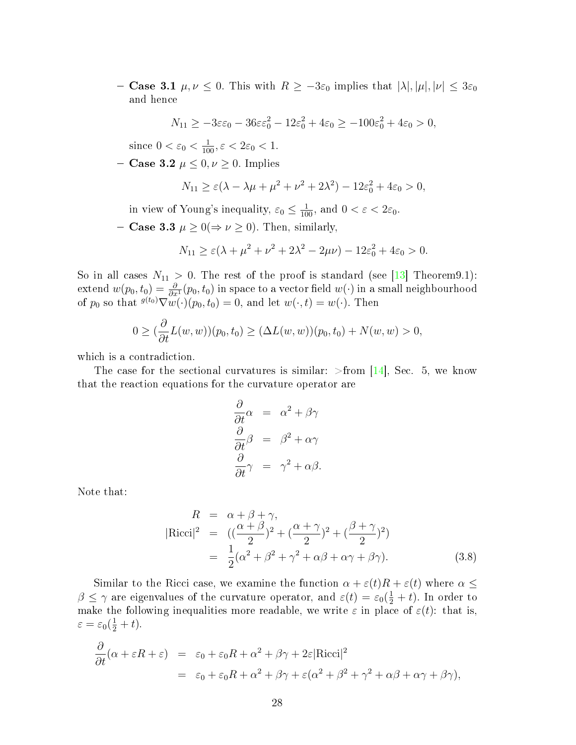- Case 3.1  $\mu, \nu \leq 0$ . This with  $R \geq -3\varepsilon_0$  implies that  $|\lambda|, |\mu|, |\nu| \leq 3\varepsilon_0$ and hence

$$
N_{11} \ge -3\varepsilon\varepsilon_0 - 36\varepsilon\varepsilon_0^2 - 12\varepsilon_0^2 + 4\varepsilon_0 \ge -100\varepsilon_0^2 + 4\varepsilon_0 > 0,
$$

since  $0 < \varepsilon_0 < \frac{1}{100}, \varepsilon < 2\varepsilon_0 < 1$ .

- Case 3.2  $\mu \leq 0, \nu \geq 0$ . Implies

$$
N_{11} \ge \varepsilon (\lambda - \lambda \mu + \mu^2 + \nu^2 + 2\lambda^2) - 12\varepsilon_0^2 + 4\varepsilon_0 > 0,
$$

in view of Young's inequality,  $\varepsilon_0 \le \frac{1}{100}$ , and  $0 < \varepsilon < 2\varepsilon_0$ .

- **Case 3.3**  $\mu \geq 0 \Rightarrow \nu \geq 0$ . Then, similarly,

$$
N_{11} \ge \varepsilon (\lambda + \mu^2 + \nu^2 + 2\lambda^2 - 2\mu\nu) - 12\varepsilon_0^2 + 4\varepsilon_0 > 0.
$$

So in all cases  $N_{11} > 0$ . The rest of the proof is standard (see [\[13\]](#page-68-0) Theorem9.1):  $\text{extend }w(p_0,t_0)=\frac{\partial}{\partial x^1}(p_0,t_0)$  in space to a vector field  $w(\cdot)$  in a small neighbourhood of  $p_0$  so that  $\sqrt[g]{w}(\cdot)(p_0, t_0) = 0$ , and let  $w(\cdot, t) = w(\cdot)$ . Then

$$
0 \ge (\frac{\partial}{\partial t}L(w, w))(p_0, t_0) \ge (\Delta L(w, w))(p_0, t_0) + N(w, w) > 0,
$$

which is a contradiction.

The case for the sectional curvatures is similar:  $\geq$  from [\[14\]](#page-69-0), Sec. 5, we know that the reaction equations for the curvature operator are

$$
\frac{\partial}{\partial t}\alpha = \alpha^2 + \beta\gamma
$$
  

$$
\frac{\partial}{\partial t}\beta = \beta^2 + \alpha\gamma
$$
  

$$
\frac{\partial}{\partial t}\gamma = \gamma^2 + \alpha\beta.
$$

Note that:

<span id="page-33-0"></span>
$$
R = \alpha + \beta + \gamma,
$$
  
\n
$$
|\text{Ricci}|^2 = ((\frac{\alpha + \beta}{2})^2 + (\frac{\alpha + \gamma}{2})^2 + (\frac{\beta + \gamma}{2})^2)
$$
  
\n
$$
= \frac{1}{2}(\alpha^2 + \beta^2 + \gamma^2 + \alpha\beta + \alpha\gamma + \beta\gamma).
$$
\n(3.8)

Similar to the Ricci case, we examine the function  $\alpha + \varepsilon(t)R + \varepsilon(t)$  where  $\alpha \leq$  $\beta \leq \gamma$  are eigenvalues of the curvature operator, and  $\varepsilon(t) = \varepsilon_0(\frac{1}{2} + t)$ . In order to make the following inequalities more readable, we write  $\varepsilon$  in place of  $\varepsilon(t)$ : that is,  $\varepsilon = \varepsilon_0(\frac{1}{2} + t).$ 

$$
\frac{\partial}{\partial t}(\alpha + \varepsilon R + \varepsilon) = \varepsilon_0 + \varepsilon_0 R + \alpha^2 + \beta \gamma + 2\varepsilon |\text{Ricci}|^2
$$
  
=  $\varepsilon_0 + \varepsilon_0 R + \alpha^2 + \beta \gamma + \varepsilon (\alpha^2 + \beta^2 + \gamma^2 + \alpha \beta + \alpha \gamma + \beta \gamma),$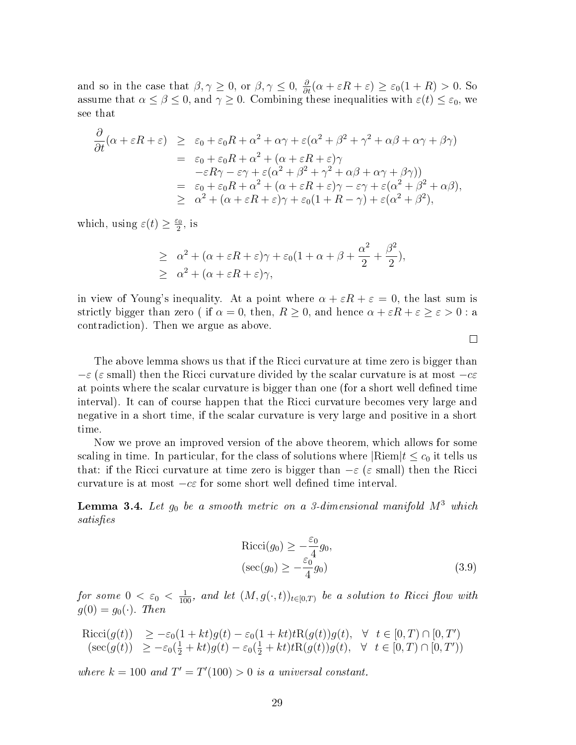and so in the case that  $\beta, \gamma \ge 0$ , or  $\beta, \gamma \le 0$ ,  $\frac{\partial}{\partial t}(\alpha + \varepsilon R + \varepsilon) \ge \varepsilon_0(1 + R) > 0$ . So assume that  $\alpha \leq \beta \leq 0$ , and  $\gamma \geq 0$ . Combining these inequalities with  $\varepsilon(t) \leq \varepsilon_0$ , we see that

$$
\frac{\partial}{\partial t}(\alpha + \varepsilon R + \varepsilon) \geq \varepsilon_0 + \varepsilon_0 R + \alpha^2 + \alpha \gamma + \varepsilon (\alpha^2 + \beta^2 + \gamma^2 + \alpha \beta + \alpha \gamma + \beta \gamma)
$$
\n
$$
= \varepsilon_0 + \varepsilon_0 R + \alpha^2 + (\alpha + \varepsilon R + \varepsilon) \gamma
$$
\n
$$
- \varepsilon R \gamma - \varepsilon \gamma + \varepsilon (\alpha^2 + \beta^2 + \gamma^2 + \alpha \beta + \alpha \gamma + \beta \gamma))
$$
\n
$$
= \varepsilon_0 + \varepsilon_0 R + \alpha^2 + (\alpha + \varepsilon R + \varepsilon) \gamma - \varepsilon \gamma + \varepsilon (\alpha^2 + \beta^2 + \alpha \beta),
$$
\n
$$
\geq \alpha^2 + (\alpha + \varepsilon R + \varepsilon) \gamma + \varepsilon_0 (1 + R - \gamma) + \varepsilon (\alpha^2 + \beta^2),
$$

which, using  $\varepsilon(t) \geq \frac{\varepsilon_0}{2}$  $\frac{c_0}{2}$ , is

$$
\geq \alpha^{2} + (\alpha + \varepsilon R + \varepsilon)\gamma + \varepsilon_{0}(1 + \alpha + \beta + \frac{\alpha^{2}}{2} + \frac{\beta^{2}}{2}),
$$
  

$$
\geq \alpha^{2} + (\alpha + \varepsilon R + \varepsilon)\gamma,
$$

in view of Young's inequality. At a point where  $\alpha + \varepsilon R + \varepsilon = 0$ , the last sum is strictly bigger than zero ( if  $\alpha = 0$ , then,  $R \ge 0$ , and hence  $\alpha + \varepsilon R + \varepsilon \ge \varepsilon > 0$  : a contradiction). Then we argue as above.

The above lemma shows us that if the Ricci curvature at time zero is bigger than  $-\varepsilon$  ( $\varepsilon$  small) then the Ricci curvature divided by the scalar curvature is at most  $-c\varepsilon$ at points where the scalar curvature is bigger than one (for a short well defined time interval). It can of course happen that the Ricci curvature becomes very large and negative in a short time, if the scalar curvature is very large and positive in a short time.

Now we prove an improved version of the above theorem, which allows for some scaling in time. In particular, for the class of solutions where  $\text{Riem}(t \leq c_0)$  it tells us that: if the Ricci curvature at time zero is bigger than  $-\varepsilon$  ( $\varepsilon$  small) then the Ricci curvature is at most  $-c\varepsilon$  for some short well defined time interval.

<span id="page-34-0"></span>**Lemma 3.4.** Let  $g_0$  be a smooth metric on a 3-dimensional manifold  $M^3$  which satisfies

$$
Ricci(g_0) \ge -\frac{\varepsilon_0}{4}g_0,
$$
  
\n
$$
(\sec(g_0) \ge -\frac{\varepsilon_0}{4}g_0)
$$
\n(3.9)

for some  $0 < \varepsilon_0 < \frac{1}{100}$ , and let  $(M, g(\cdot, t))_{t \in [0,T)}$  be a solution to Ricci flow with  $g(0) = g_0(\cdot)$ . Then

$$
\begin{array}{ll}\text{Ricci}(g(t)) & \geq -\varepsilon_0(1+kt)g(t) - \varepsilon_0(1+kt)t\text{R}(g(t))g(t), & \forall \quad t \in [0,T) \cap [0,T')\\ \text{(sec}(g(t)) & \geq -\varepsilon_0(\frac{1}{2}+kt)g(t) - \varepsilon_0(\frac{1}{2}+kt)t\text{R}(g(t))g(t), & \forall \quad t \in [0,T) \cap [0,T')\end{array}
$$

where  $k = 100$  and  $T' = T'(100) > 0$  is a universal constant.

 $\Box$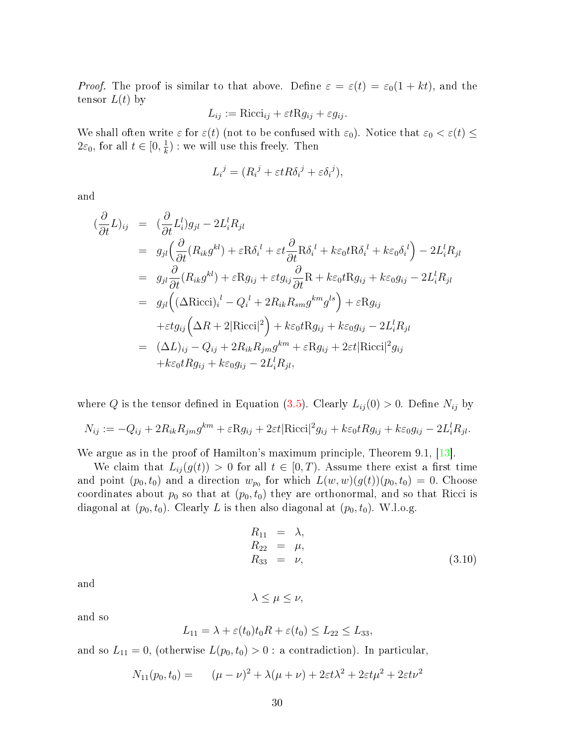*Proof.* The proof is similar to that above. Define  $\varepsilon = \varepsilon(t) = \varepsilon_0(1 + kt)$ , and the tensor  $L(t)$  by

$$
L_{ij} := \text{Ricci}_{ij} + \varepsilon t \text{R} g_{ij} + \varepsilon g_{ij}.
$$

We shall often write  $\varepsilon$  for  $\varepsilon(t)$  (not to be confused with  $\varepsilon_0$ ). Notice that  $\varepsilon_0 < \varepsilon(t) \leq$  $2\varepsilon_0$ , for all  $t \in [0, \frac{1}{k}]$  $\frac{1}{k}$ ) : we will use this freely. Then

$$
L_i^j = (R_i^j + \varepsilon t R \delta_i^j + \varepsilon \delta_i^j),
$$

and

$$
\begin{split}\n(\frac{\partial}{\partial t}L)_{ij} &= (\frac{\partial}{\partial t}L_i^l)g_{jl} - 2L_i^lR_{jl} \\
&= g_{jl} \left(\frac{\partial}{\partial t}(R_{ik}g^{kl}) + \varepsilon R\delta_i^l + \varepsilon t \frac{\partial}{\partial t}R\delta_i^l + k\varepsilon_0 t R\delta_i^l + k\varepsilon_0 \delta_i^l\right) - 2L_i^lR_{jl} \\
&= g_{jl} \frac{\partial}{\partial t}(R_{ik}g^{kl}) + \varepsilon Rg_{ij} + \varepsilon t g_{ij} \frac{\partial}{\partial t}R + k\varepsilon_0 t Rg_{ij} + k\varepsilon_0 g_{ij} - 2L_i^lR_{jl} \\
&= g_{jl} \left( (\Delta \text{Ricci})_i^l - Q_i^l + 2R_{ik}R_{sm}g^{km}g^{ls} \right) + \varepsilon Rg_{ij} \\
&\quad + \varepsilon t g_{ij} \left( \Delta R + 2|\text{Ricci}|^2 \right) + k\varepsilon_0 t Rg_{ij} + k\varepsilon_0 g_{ij} - 2L_i^lR_{jl} \\
&= (\Delta L)_{ij} - Q_{ij} + 2R_{ik}R_{jm}g^{km} + \varepsilon Rg_{ij} + 2\varepsilon t |\text{Ricci}|^2 g_{ij} \\
&\quad + k\varepsilon_0 t Rg_{ij} + k\varepsilon_0 g_{ij} - 2L_i^l R_{jl},\n\end{split}
$$

where Q is the tensor defined in Equation [\(3.5\)](#page-31-0). Clearly  $L_{ij}(0) > 0$ . Define  $N_{ij}$  by

$$
N_{ij} := -Q_{ij} + 2R_{ik}R_{jm}g^{km} + \varepsilon Rg_{ij} + 2\varepsilon t |\text{Ricci}|^2 g_{ij} + k\varepsilon_0 t Rg_{ij} + k\varepsilon_0 g_{ij} - 2L_i^l R_{jl}.
$$

We argue as in the proof of Hamilton's maximum principle, Theorem 9.1, [\[13\]](#page-68-0).

We claim that  $L_{ij}(g(t)) > 0$  for all  $t \in [0, T)$ . Assume there exist a first time and point  $(p_0, t_0)$  and a direction  $w_{p_0}$  for which  $L(w, w)(g(t))(p_0, t_0) = 0$ . Choose coordinates about  $p_0$  so that at  $(p_0, t_0)$  they are orthonormal, and so that Ricci is diagonal at  $(p_0, t_0)$ . Clearly L is then also diagonal at  $(p_0, t_0)$ . W.l.o.g.

$$
R_{11} = \lambda,
$$
  
\n
$$
R_{22} = \mu,
$$
  
\n
$$
R_{33} = \nu,
$$
  
\n(3.10)

and

$$
\lambda \leq \mu \leq \nu,
$$

and so

$$
L_{11} = \lambda + \varepsilon(t_0)t_0 R + \varepsilon(t_0) \le L_{22} \le L_{33},
$$

and so  $L_{11} = 0$ , (otherwise  $L(p_0, t_0) > 0$ : a contradiction). In particular,

$$
N_{11}(p_0, t_0) = (\mu - \nu)^2 + \lambda(\mu + \nu) + 2\varepsilon t \lambda^2 + 2\varepsilon t \mu^2 + 2\varepsilon t \nu^2
$$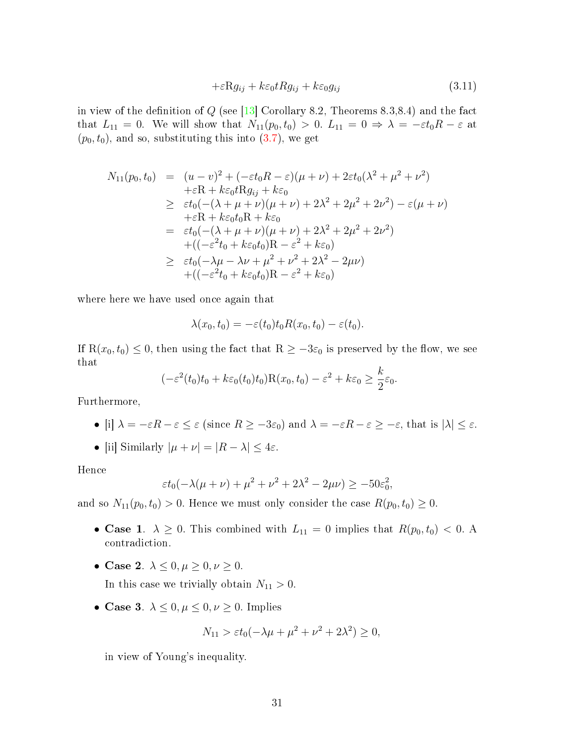$$
+\varepsilon \mathcal{R}g_{ij} + k\varepsilon_0 t R g_{ij} + k\varepsilon_0 g_{ij} \tag{3.11}
$$

in view of the definition of  $Q$  (see [\[13\]](#page-68-0) Corollary 8.2, Theorems 8.3,8.4) and the fact that  $L_{11} = 0$ . We will show that  $N_{11}(p_0, t_0) > 0$ .  $L_{11} = 0 \Rightarrow \lambda = -\varepsilon t_0 R - \varepsilon$  at  $(p_0, t_0)$ , and so, substituting this into  $(3.7)$ , we get

$$
N_{11}(p_0, t_0) = (u - v)^2 + (-\varepsilon t_0 R - \varepsilon)(\mu + \nu) + 2\varepsilon t_0 (\lambda^2 + \mu^2 + \nu^2) + \varepsilon R + k\varepsilon_0 t R g_{ij} + k\varepsilon_0 \n\geq \varepsilon t_0 (-(\lambda + \mu + \nu)(\mu + \nu) + 2\lambda^2 + 2\mu^2 + 2\nu^2) - \varepsilon (\mu + \nu) + \varepsilon R + k\varepsilon_0 t_0 R + k\varepsilon_0 = \varepsilon t_0 (-(\lambda + \mu + \nu)(\mu + \nu) + 2\lambda^2 + 2\mu^2 + 2\nu^2) + ((-\varepsilon^2 t_0 + k\varepsilon_0 t_0)R - \varepsilon^2 + k\varepsilon_0) \n\geq \varepsilon t_0 (-\lambda \mu - \lambda \nu + \mu^2 + \nu^2 + 2\lambda^2 - 2\mu\nu) + ((-\varepsilon^2 t_0 + k\varepsilon_0 t_0)R - \varepsilon^2 + k\varepsilon_0)
$$

where here we have used once again that

$$
\lambda(x_0, t_0) = -\varepsilon(t_0) t_0 R(x_0, t_0) - \varepsilon(t_0).
$$

If  $R(x_0, t_0) \leq 0$ , then using the fact that  $R \geq -3\varepsilon_0$  is preserved by the flow, we see that

$$
(-\varepsilon^2(t_0)t_0 + k\varepsilon_0(t_0)t_0)R(x_0, t_0) - \varepsilon^2 + k\varepsilon_0 \ge \frac{k}{2}\varepsilon_0.
$$

Furthermore,

- [i]  $\lambda = -\varepsilon R \varepsilon \leq \varepsilon$  (since  $R \geq -3\varepsilon_0$ ) and  $\lambda = -\varepsilon R \varepsilon \geq -\varepsilon$ , that is  $|\lambda| \leq \varepsilon$ .
- [ii] Similarly  $|\mu + \nu| = |R \lambda| \leq 4\varepsilon$ .

Hence

$$
\varepsilon t_0(-\lambda(\mu+\nu)+\mu^2+\nu^2+2\lambda^2-2\mu\nu)\geq-50\varepsilon_0^2,
$$

and so  $N_{11}(p_0, t_0) > 0$ . Hence we must only consider the case  $R(p_0, t_0) \geq 0$ .

- Case 1.  $\lambda \geq 0$ . This combined with  $L_{11} = 0$  implies that  $R(p_0, t_0) < 0$ . A contradiction.
- Case 2.  $\lambda \leq 0, \mu \geq 0, \nu \geq 0$ .

In this case we trivially obtain  $N_{11} > 0$ .

• Case 3.  $\lambda \leq 0, \mu \leq 0, \nu \geq 0$ . Implies

$$
N_{11} > \varepsilon t_0(-\lambda \mu + \mu^2 + \nu^2 + 2\lambda^2) \ge 0,
$$

in view of Young's inequality.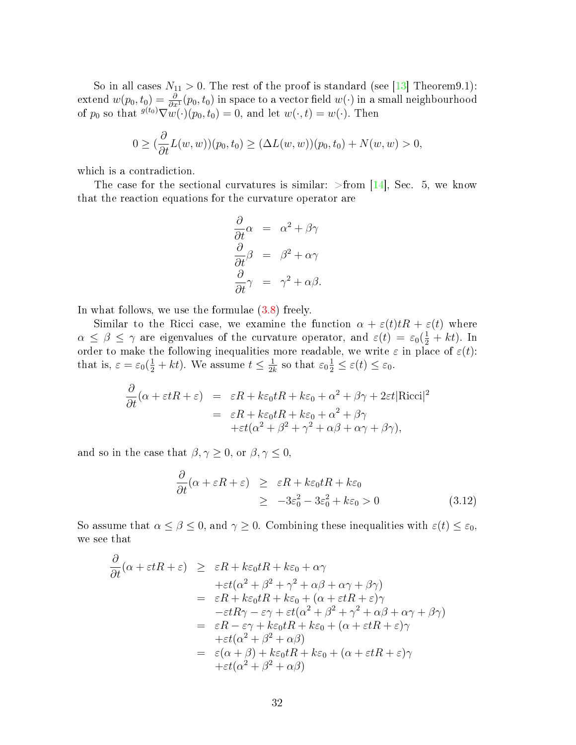So in all cases  $N_{11} > 0$ . The rest of the proof is standard (see [\[13\]](#page-68-0) Theorem9.1):  $\text{extend } w(p_0,t_0)=\frac{\partial}{\partial x^1}(p_0,t_0)$  in space to a vector field  $w(\cdot)$  in a small neighbourhood of  $p_0$  so that  $\sqrt[g]{w}(\cdot)(p_0, t_0) = 0$ , and let  $w(\cdot, t) = w(\cdot)$ . Then

$$
0 \ge (\frac{\partial}{\partial t}L(w, w))(p_0, t_0) \ge (\Delta L(w, w))(p_0, t_0) + N(w, w) > 0,
$$

which is a contradiction.

The case for the sectional curvatures is similar:  $\text{From}$  [\[14\]](#page-69-0), Sec. 5, we know that the reaction equations for the curvature operator are

$$
\frac{\partial}{\partial t}\alpha = \alpha^2 + \beta\gamma
$$
  

$$
\frac{\partial}{\partial t}\beta = \beta^2 + \alpha\gamma
$$
  

$$
\frac{\partial}{\partial t}\gamma = \gamma^2 + \alpha\beta.
$$

In what follows, we use the formulae  $(3.8)$  freely.

Similar to the Ricci case, we examine the function  $\alpha + \varepsilon(t)tR + \varepsilon(t)$  where  $\alpha \leq \beta \leq \gamma$  are eigenvalues of the curvature operator, and  $\varepsilon(t) = \varepsilon_0(\frac{1}{2} + kt)$ . In order to make the following inequalities more readable, we write  $\varepsilon$  in place of  $\varepsilon(t)$ : that is,  $\varepsilon = \varepsilon_0(\frac{1}{2} + kt)$ . We assume  $t \leq \frac{1}{2l}$  $\frac{1}{2k}$  so that  $\varepsilon_0 \frac{1}{2} \leq \varepsilon(t) \leq \varepsilon_0$ .

$$
\frac{\partial}{\partial t}(\alpha + \varepsilon tR + \varepsilon) = \varepsilon R + k\varepsilon_0 tR + k\varepsilon_0 + \alpha^2 + \beta\gamma + 2\varepsilon t|\text{Ricci}|^2
$$
  
=  $\varepsilon R + k\varepsilon_0 tR + k\varepsilon_0 + \alpha^2 + \beta\gamma$   
+  $\varepsilon t(\alpha^2 + \beta^2 + \gamma^2 + \alpha\beta + \alpha\gamma + \beta\gamma),$ 

and so in the case that  $\beta, \gamma \geq 0$ , or  $\beta, \gamma \leq 0$ ,

$$
\frac{\partial}{\partial t}(\alpha + \varepsilon R + \varepsilon) \geq \varepsilon R + k\varepsilon_0 tR + k\varepsilon_0
$$
  
\n
$$
\geq -3\varepsilon_0^2 - 3\varepsilon_0^2 + k\varepsilon_0 > 0
$$
\n(3.12)

So assume that  $\alpha \leq \beta \leq 0$ , and  $\gamma \geq 0$ . Combining these inequalities with  $\varepsilon(t) \leq \varepsilon_0$ , we see that

$$
\frac{\partial}{\partial t}(\alpha + \varepsilon tR + \varepsilon) \geq \varepsilon R + k\varepsilon_0 tR + k\varepsilon_0 + \alpha\gamma
$$
\n
$$
+ \varepsilon t(\alpha^2 + \beta^2 + \gamma^2 + \alpha\beta + \alpha\gamma + \beta\gamma)
$$
\n
$$
= \varepsilon R + k\varepsilon_0 tR + k\varepsilon_0 + (\alpha + \varepsilon tR + \varepsilon)\gamma
$$
\n
$$
- \varepsilon tR\gamma - \varepsilon\gamma + \varepsilon t(\alpha^2 + \beta^2 + \gamma^2 + \alpha\beta + \alpha\gamma + \beta\gamma)
$$
\n
$$
= \varepsilon R - \varepsilon\gamma + k\varepsilon_0 tR + k\varepsilon_0 + (\alpha + \varepsilon tR + \varepsilon)\gamma
$$
\n
$$
+ \varepsilon t(\alpha^2 + \beta^2 + \alpha\beta)
$$
\n
$$
= \varepsilon(\alpha + \beta) + k\varepsilon_0 tR + k\varepsilon_0 + (\alpha + \varepsilon tR + \varepsilon)\gamma
$$
\n
$$
+ \varepsilon t(\alpha^2 + \beta^2 + \alpha\beta)
$$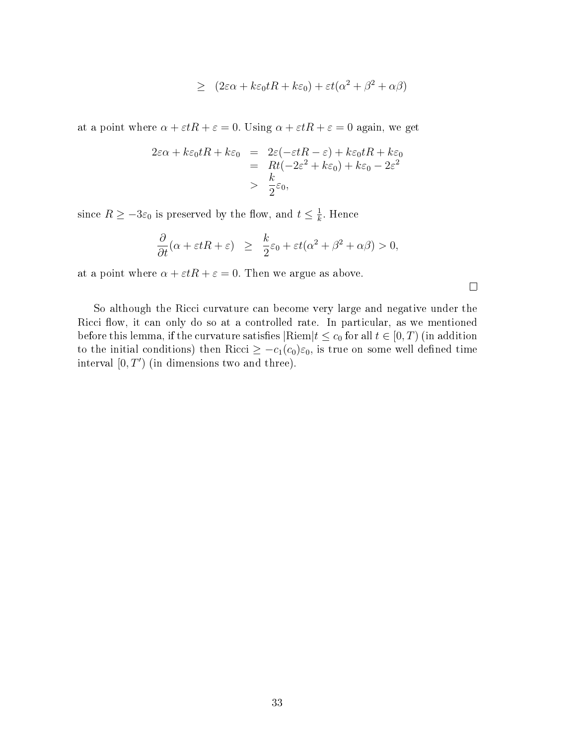$$
\geq (2\varepsilon\alpha + k\varepsilon_0 tR + k\varepsilon_0) + \varepsilon t(\alpha^2 + \beta^2 + \alpha\beta)
$$

at a point where  $\alpha + \varepsilon tR + \varepsilon = 0$ . Using  $\alpha + \varepsilon tR + \varepsilon = 0$  again, we get

$$
2\varepsilon\alpha + k\varepsilon_0 tR + k\varepsilon_0 = 2\varepsilon(-\varepsilon tR - \varepsilon) + k\varepsilon_0 tR + k\varepsilon_0
$$
  
=  $Rt(-2\varepsilon^2 + k\varepsilon_0) + k\varepsilon_0 - 2\varepsilon^2$   
>  $\frac{k}{2}\varepsilon_0$ ,

since  $R \ge -3\varepsilon_0$  is preserved by the flow, and  $t \le \frac{1}{k}$  $\frac{1}{k}$ . Hence

$$
\frac{\partial}{\partial t}(\alpha + \varepsilon t R + \varepsilon) \ge \frac{k}{2}\varepsilon_0 + \varepsilon t(\alpha^2 + \beta^2 + \alpha\beta) > 0,
$$

 $\Box$ 

at a point where  $\alpha + \varepsilon tR + \varepsilon = 0$ . Then we argue as above.

So although the Ricci curvature can become very large and negative under the Ricci flow, it can only do so at a controlled rate. In particular, as we mentioned before this lemma, if the curvature satisfies  $\left|\text{Riem}\right|t \leq c_0$  for all  $t \in [0, T)$  (in addition to the initial conditions) then Ricci  $\geq -c_1(c_0)\varepsilon_0$ , is true on some well defined time interval  $[0, T')$  (in dimensions two and three).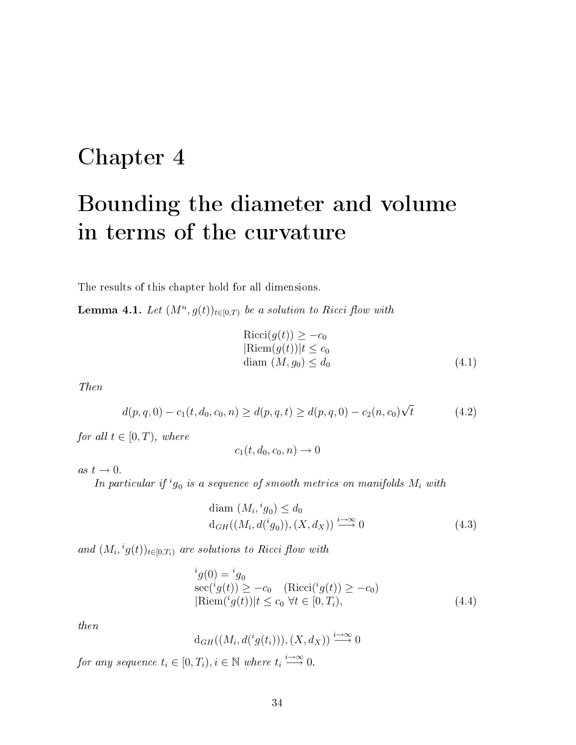## <span id="page-39-0"></span>Chapter 4

# Bounding the diameter and volume in terms of the curvature

<span id="page-39-1"></span>The results of this chapter hold for all dimensions.

**Lemma 4.1.** Let  $(M^n, g(t))_{t \in [0,T)}$  be a solution to Ricci flow with

<span id="page-39-2"></span>
$$
Ricci(g(t)) \ge -c_0
$$
  
\n
$$
Riem(g(t))|t \le c_0
$$
  
\ndiam  $(M, g_0) \le d_0$  (4.1)

Then

$$
d(p,q,0) - c_1(t,d_0,c_0,n) \ge d(p,q,t) \ge d(p,q,0) - c_2(n,c_0)\sqrt{t}
$$
\n(4.2)

for all  $t \in [0, T)$ , where

$$
c_1(t, d_0, c_0, n) \to 0
$$

as  $t \to 0$ .

In particular if  $ig_0$  is a sequence of smooth metrics on manifolds  $M_i$  with

$$
diam (M_i, {}^ig_0) \le d_0
$$
  
\n
$$
d_{GH}((M_i, d({}^ig_0)), (X, d_X)) \stackrel{i \to \infty}{\longrightarrow} 0
$$
\n(4.3)

and  $(M_i, {}^ig(t))_{t \in [0,T_i)}$  are solutions to Ricci flow with

$$
{}^{i}g(0) = {}^{i}g_{0}
$$
  
\n
$$
\sec({}^{i}g(t)) \ge -c_{0} \quad (\text{Ricci}({}^{i}g(t)) \ge -c_{0})
$$
  
\n
$$
|\text{Riem}({}^{i}g(t))|t \le c_{0} \forall t \in [0, T_{i}),
$$
\n(4.4)

then

$$
d_{GH}((M_i, d({}^ig(t_i))), (X, d_X)) \xrightarrow{i \to \infty} 0
$$

for any sequence  $t_i \in [0, T_i), i \in \mathbb{N}$  where  $t_i \stackrel{i \to \infty}{\longrightarrow} 0$ .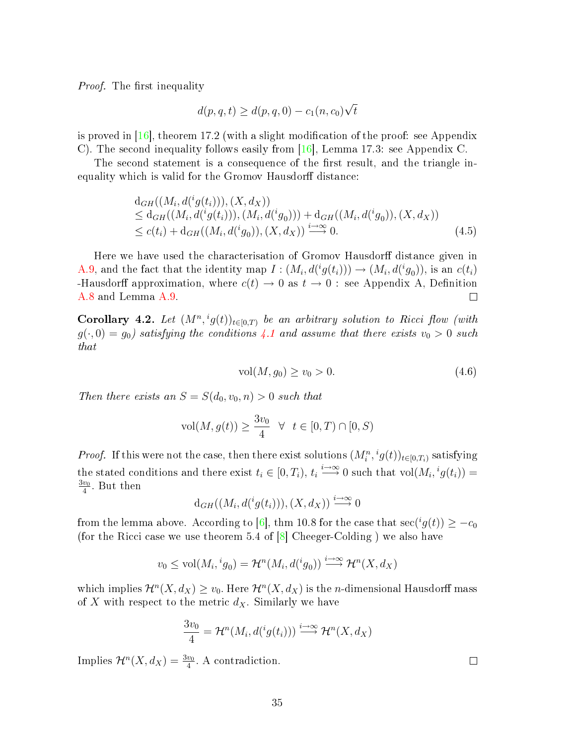*Proof.* The first inequality

$$
d(p,q,t) \ge d(p,q,0) - c_1(n,c_0)\sqrt{t}
$$

is proved in  $[16]$ , theorem 17.2 (with a slight modification of the proof: see Appendix C). The second inequality follows easily from [\[16\]](#page-69-11), Lemma 17.3: see Appendix C.

The second statement is a consequence of the first result, and the triangle inequality which is valid for the Gromov Hausdorff distance:

$$
d_{GH}((M_i, d({}^i g(t_i))), (X, d_X))
$$
  
\n
$$
\leq d_{GH}((M_i, d({}^i g(t_i))), (M_i, d({}^i g_0))) + d_{GH}((M_i, d({}^i g_0)), (X, d_X))
$$
  
\n
$$
\leq c(t_i) + d_{GH}((M_i, d({}^i g_0)), (X, d_X)) \stackrel{i \to \infty}{\longrightarrow} 0.
$$
\n(4.5)

Here we have used the characterisation of Gromov Hausdorff distance given in [A.9,](#page-58-0) and the fact that the identity map  $I: (M_i, d({}^{i}g(t_i))) \rightarrow (M_i, d({}^{i}g_0))$ , is an  $c(t_i)$ -Hausdorff approximation, where  $c(t) \rightarrow 0$  as  $t \rightarrow 0$ : see Appendix A, Definition [A.8](#page-58-1) and Lemma [A.9.](#page-58-0)  $\Box$ 

<span id="page-40-0"></span>**Corollary 4.2.** Let  $(M^n, {}^ig(t))_{t \in [0,T)}$  be an arbitrary solution to Ricci flow (with  $g(\cdot, 0) = g_0$ ) satisfying the conditions [4.1](#page-39-2) and assume that there exists  $v_0 > 0$  such that

$$
vol(M, g_0) \ge v_0 > 0. \tag{4.6}
$$

Then there exists an  $S = S(d_0, v_0, n) > 0$  such that

$$
\text{vol}(M, g(t)) \ge \frac{3v_0}{4} \quad \forall \quad t \in [0, T) \cap [0, S)
$$

*Proof.* If this were not the case, then there exist solutions  $(M_i^n, {}^ig(t))_{t\in[0,T_i)}$  satisfying the stated conditions and there exist  $t_i \in [0, T_i)$ ,  $t_i \stackrel{i \to \infty}{\longrightarrow} 0$  such that  $\text{vol}(M_i, {}^i g(t_i)) =$  $\frac{3v_0}{2}$  $\frac{v_0}{4}$ . But then

$$
d_{GH}((M_i, d({}^ig(t_i))), (X, d_X)) \stackrel{i \to \infty}{\longrightarrow} 0
$$

from the lemma above. According to [\[6\]](#page-68-7), thm 10.8 for the case that  $\sec(i g(t)) \geq -c_0$ (for the Ricci case we use theorem 5.4 of  $[8]$  Cheeger-Colding ) we also have

$$
v_0 \leq \text{vol}(M_i, {}^ig_0) = \mathcal{H}^n(M_i, d({}^ig_0)) \stackrel{i \to \infty}{\longrightarrow} \mathcal{H}^n(X, d_X)
$$

which implies  $\mathcal{H}^n(X,d_X) \ge v_0$ . Here  $\mathcal{H}^n(X,d_X)$  is the *n*-dimensional Hausdorff mass of X with respect to the metric  $d_X$ . Similarly we have

$$
\frac{3v_0}{4} = \mathcal{H}^n(M_i, d({}^ig(t_i))) \stackrel{i \to \infty}{\longrightarrow} \mathcal{H}^n(X, d_X)
$$

Implies  $\mathcal{H}^n(X, d_X) = \frac{3v_0}{4}$ . A contradiction.

 $\Box$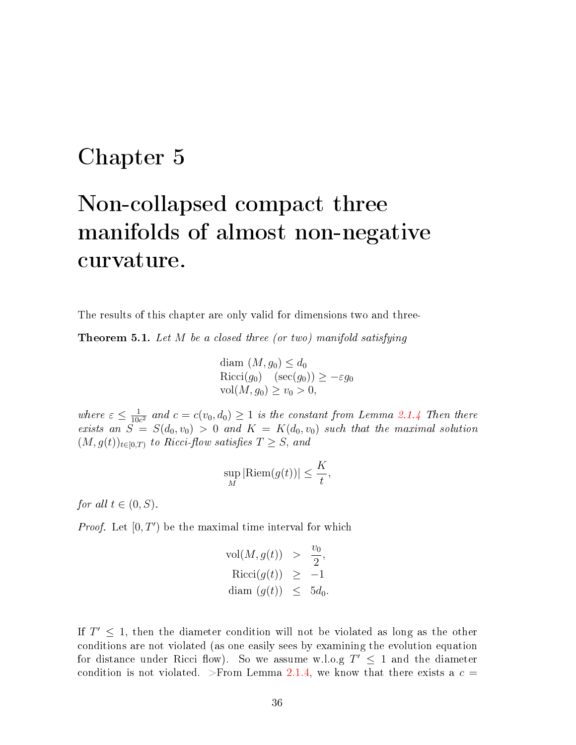### <span id="page-41-0"></span>Chapter 5

# Non-collapsed compact three manifolds of almost non-negative curvature.

<span id="page-41-1"></span>The results of this chapter are only valid for dimensions two and three-

**Theorem 5.1.** Let  $M$  be a closed three (or two) manifold satisfying

$$
\begin{array}{l}\n\text{diam } (M, g_0) \leq d_0 \\
\text{Ricci}(g_0) \quad (\sec(g_0)) \geq -\varepsilon g_0 \\
\text{vol}(M, g_0) \geq v_0 > 0,\n\end{array}
$$

where  $\varepsilon \leq \frac{1}{10}$  $\frac{1}{10c^2}$  and  $c = c(v_0, d_0) \ge 1$  is the constant from Lemma [2.1.4](#page-19-0) Then there exists an  $S = S(d_0, v_0) > 0$  and  $K = K(d_0, v_0)$  such that the maximal solution  $(M, g(t))_{t\in[0,T)}$  to Ricci-flow satisfies  $T \geq S$ , and

$$
\sup_{M} |\text{Riem}(g(t))| \leq \frac{K}{t},
$$

for all  $t \in (0, S)$ .

*Proof.* Let  $[0, T')$  be the maximal time interval for which

$$
\text{vol}(M, g(t)) > \frac{v_0}{2},
$$
  
\n
$$
\text{Ricci}(g(t)) \ge -1
$$
  
\n
$$
\text{diam}(g(t)) \le 5d_0.
$$

If  $T' \leq 1$ , then the diameter condition will not be violated as long as the other conditions are not violated (as one easily sees by examining the evolution equation for distance under Ricci flow). So we assume w.l.o.g  $T' \leq 1$  and the diameter condition is not violated. >From Lemma [2.1.4,](#page-19-0) we know that there exists a  $c =$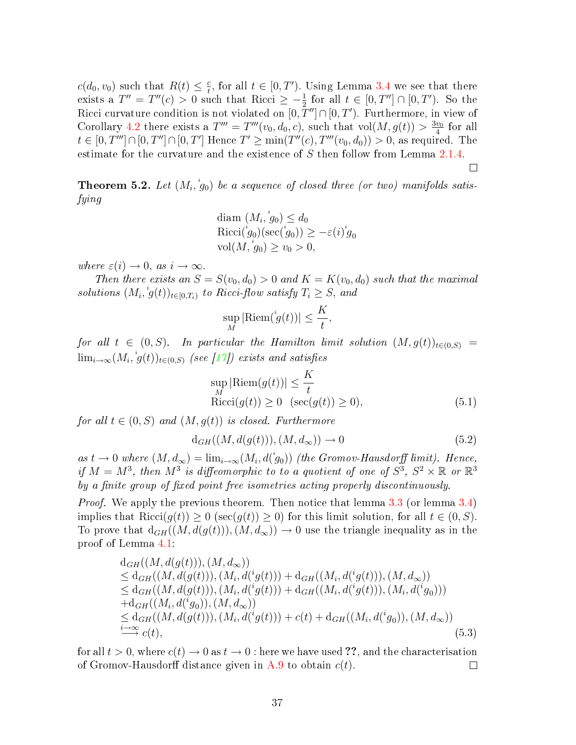$c(d_0, v_0)$  such that  $R(t) \leq \frac{c}{t}$  $\frac{e}{t}$ , for all  $t \in [0, T')$ . Using Lemma [3.4](#page-34-0) we see that there exists a  $T'' = T''(c) > 0$  such that Ricci  $\geq -\frac{1}{2}$  for all  $t \in [0, T''] \cap [0, T')$ . So the Ricci curvature condition is not violated on  $[0,\overline{T}'']\cap[0,T')$ . Furthermore, in view of Corollary [4.2](#page-40-0) there exists a  $T''' = T'''(v_0, d_0, c)$ , such that  $vol(M, g(t)) > \frac{3v_0}{4}$  $rac{v_0}{4}$  for all  $t \in [0, T'''] \cap [0, T''] \cap [0, T']$  Hence  $T' \ge \min(T''(c), T'''(v_0, d_0)) > 0$ , as required. The estimate for the curvature and the existence of S then follow from Lemma [2.1.4.](#page-19-0)

$$
\Box
$$

<span id="page-42-0"></span>**Theorem 5.2.** Let  $(M_i, \overset{i}{g}_0)$  be a sequence of closed three (or two) manifolds satisfying

$$
\begin{array}{l}\n\text{diam } (M_i, \overset{i}{g}_0) \leq d_0 \\
\text{Ricci}(\overset{i}{g}_0)(\sec(\overset{i}{g}_0)) \geq -\varepsilon(i)\overset{i}{g}_0 \\
\text{vol}(M, \overset{i}{g}_0) \geq v_0 > 0,\n\end{array}
$$

where  $\varepsilon(i) \to 0$ , as  $i \to \infty$ .

Then there exists an  $S = S(v_0, d_0) > 0$  and  $K = K(v_0, d_0)$  such that the maximal solutions  $(M_i, {}^i g(t))_{t \in [0,T_i)}$  to Ricci-flow satisfy  $T_i \geq S$ , and

$$
\sup_M |\mathrm{Riem}(\overset{\scriptscriptstyle i}{g}(t))|\leq \frac{K}{t}
$$

for all  $t \in (0, S)$ . In particular the Hamilton limit solution  $(M, g(t))_{t \in (0, S)} =$  $\lim_{i\rightarrow\infty} (M_i, \,{}^i\!g(t))_{t\in(0,S)}$  (see [\[17\]](#page-69-7)) exists and satisfies

$$
\sup_{M} |\text{Riem}(g(t))| \leq \frac{K}{t}
$$
  
\n
$$
\text{Ricci}(g(t)) \geq 0 \quad (\sec(g(t)) \geq 0), \tag{5.1}
$$

,

for all  $t \in (0, S)$  and  $(M, g(t))$  is closed. Furthermore

$$
d_{GH}((M, d(g(t))), (M, d_{\infty})) \to 0 \tag{5.2}
$$

as  $t \to 0$  where  $(M, d_{\infty}) = \lim_{i \to \infty} (M_i, d(j_0))$  (the Gromov-Hausdorff limit). Hence, if  $M = M^3$ , then  $M^3$  is diffeomorphic to to a quotient of one of  $S^3$ ,  $S^2 \times \mathbb{R}$  or  $\mathbb{R}^3$ by a finite group of fixed point free isometries acting properly discontinuously.

Proof. We apply the previous theorem. Then notice that lemma [3.3](#page-31-1) (or lemma [3.4\)](#page-34-0) implies that  $\text{Ricci}(g(t)) \geq 0$  (sec $(g(t)) \geq 0$ ) for this limit solution, for all  $t \in (0, S)$ . To prove that  $d_{GH}((M, d(g(t))), (M, d_{\infty})) \rightarrow 0$  use the triangle inequality as in the proof of Lemma [4.1:](#page-39-1)

$$
d_{GH}((M, d(g(t))), (M, d_{\infty}))
$$
  
\n
$$
\leq d_{GH}((M, d(g(t))), (M_i, d({}^{i}g(t))) + d_{GH}((M_i, d({}^{i}g(t))), (M, d_{\infty}))
$$
  
\n
$$
\leq d_{GH}((M, d(g(t))), (M_i, d({}^{i}g(t))) + d_{GH}((M_i, d({}^{i}g(t))), (M_i, d({}^{i}g_0)))
$$
  
\n
$$
+ d_{GH}((M_i, d({}^{i}g_0)), (M, d_{\infty}))
$$
  
\n
$$
\leq d_{GH}((M, d(g(t))), (M_i, d({}^{i}g(t))) + c(t) + d_{GH}((M_i, d({}^{i}g_0)), (M, d_{\infty}))
$$
  
\n
$$
\stackrel{i \to \infty}{\longrightarrow} c(t),
$$
\n(5.3)

for all  $t > 0$ , where  $c(t) \to 0$  as  $t \to 0$  : here we have used ??, and the characterisation of Gromov-Hausdorff distance given in [A.9](#page-58-0) to obtain  $c(t)$ .  $\Box$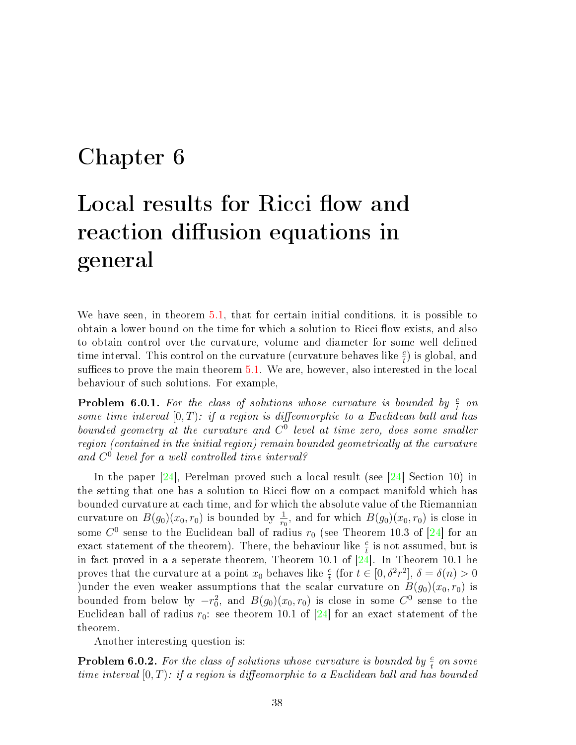### <span id="page-43-0"></span>Chapter 6

# Local results for Ricci flow and reaction diffusion equations in general

We have seen, in theorem [5.1,](#page-41-1) that for certain initial conditions, it is possible to obtain a lower bound on the time for which a solution to Ricci flow exists, and also to obtain control over the curvature, volume and diameter for some well defined time interval. This control on the curvature (curvature behaves like  $\frac{c}{t}$ ) is global, and suffices to prove the main theorem  $5.1$ . We are, however, also interested in the local behaviour of such solutions. For example,

**Problem 6.0.1.** For the class of solutions whose curvature is bounded by  $\frac{c}{t}$  on some time interval  $[0, T)$ : if a region is diffeomorphic to a Euclidean ball and has bounded geometry at the curvature and  $C^0$  level at time zero, does some smaller region (contained in the initial region) remain bounded geometrically at the curvature and C 0 level for a well controlled time interval?

In the paper [\[24\]](#page-69-5), Perelman proved such a local result (see [\[24\]](#page-69-5) Section 10) in the setting that one has a solution to Ricci flow on a compact manifold which has bounded curvature at each time, and for which the absolute value of the Riemannian curvature on  $B(g_0)(x_0, r_0)$  is bounded by  $\frac{1}{r_0}$ , and for which  $B(g_0)(x_0, r_0)$  is close in some  $C^0$  sense to the Euclidean ball of radius  $r_0$  (see Theorem 10.3 of [\[24\]](#page-69-5) for an exact statement of the theorem). There, the behaviour like  $\frac{e}{t}$  is not assumed, but is in fact proved in a a seperate theorem, Theorem 10.1 of  $\left[24\right]$ . In Theorem 10.1 he proves that the curvature at a point  $x_0$  behaves like  $\frac{c}{t}$  (for  $t \in [0, \delta^2 r^2]$ ,  $\delta = \delta(n) > 0$ )under the even weaker assumptions that the scalar curvature on  $B(g_0)(x_0, r_0)$  is bounded from below by  $-r_0^2$ , and  $B(g_0)(x_0, r_0)$  is close in some  $C^0$  sense to the Euclidean ball of radius  $r_0$ : see theorem 10.1 of [\[24\]](#page-69-5) for an exact statement of the theorem.

Another interesting question is:

**Problem 6.0.2.** For the class of solutions whose curvature is bounded by  $\frac{c}{t}$  on some time interval  $[0, T)$ : if a region is diffeomorphic to a Euclidean ball and has bounded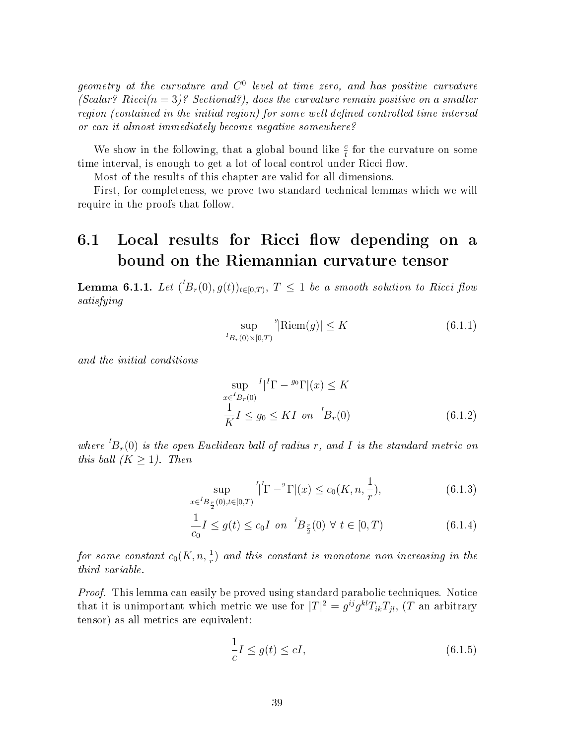geometry at the curvature and  $C^0$  level at time zero, and has positive curvature (Scalar? Ricci( $n = 3$ )? Sectional?), does the curvature remain positive on a smaller  $region (contained in the initial region) for some well defined controlled time interval$ or can it almost immediately become negative somewhere?

We show in the following, that a global bound like  $\frac{e}{t}$  for the curvature on some time interval, is enough to get a lot of local control under Ricci flow.

Most of the results of this chapter are valid for all dimensions.

First, for completeness, we prove two standard technical lemmas which we will require in the proofs that follow.

#### <span id="page-44-0"></span>6.1 Local results for Ricci flow depending on a bound on the Riemannian curvature tensor

<span id="page-44-4"></span>**Lemma 6.1.1.** Let  $({}^{t}B_{r}(0),g(t))_{t\in[0,T)},$   $T \leq 1$  be a smooth solution to Ricci flow satisfying

<span id="page-44-1"></span>
$$
\sup_{{}^{I}B_r(0)\times[0,T)}^g|\text{Riem}(g)|\leq K\tag{6.1.1}
$$

and the initial conditions

<span id="page-44-2"></span>
$$
\sup_{x \in {}^{I}B_{r}(0)} I | {}^{I}\Gamma - {}^{g_{0}}\Gamma |(x) \le K
$$
  

$$
\frac{1}{K} I \le g_{0} \le K I \text{ on } {}^{I}B_{r}(0)
$$
 (6.1.2)

where  ${}^{I}B_{r}(0)$  is the open Euclidean ball of radius r, and I is the standard metric on this ball  $(K \geq 1)$ . Then

$$
\sup_{x \in {}^{I}B_{\frac{r}{2}}(0), t \in [0, T)} {}^{I}[\Gamma - {}^{g}\Gamma](x) \le c_0(K, n, \frac{1}{r}), \tag{6.1.3}
$$

$$
\frac{1}{c_0}I \le g(t) \le c_0 I \text{ on } {}^{I}B_{\frac{r}{2}}(0) \forall t \in [0, T)
$$
\n(6.1.4)

for some constant  $c_0(K,n,\frac{1}{r})$  and this constant is monotone non-increasing in the third variable.

Proof. This lemma can easily be proved using standard parabolic techniques. Notice that it is unimportant which metric we use for  $|T|^2 = g^{ij} g^{kl} T_{ik} T_{jl}$ , (T an arbitrary tensor) as all metrics are equivalent:

<span id="page-44-3"></span>
$$
\frac{1}{c}I \le g(t) \le cI,\tag{6.1.5}
$$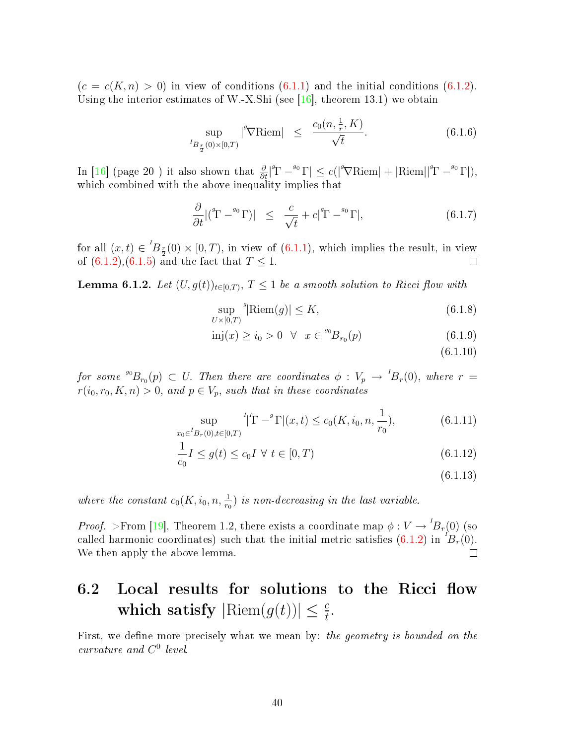$(c = c(K, n) > 0)$  in view of conditions  $(6.1.1)$  and the initial conditions  $(6.1.2)$ . Using the interior estimates of W.-X.Shi (see [\[16\]](#page-69-11), theorem 13.1) we obtain

$$
\sup_{{}^{I}B_{\frac{r}{2}}(0)\times[0,T)}\left| \mathcal{P}\text{Riem} \right| \leq \frac{c_0(n,\frac{1}{r},K)}{\sqrt{t}}.
$$
 (6.1.6)

In [\[16\]](#page-69-11) (page 20) it also shown that  $\frac{\partial}{\partial t}|^{g}\Gamma - ^{g_0}\Gamma| \leq c(|^{g}\nabla \text{Riem}| + |\text{Riem}||^{g}\Gamma - ^{g_0}\Gamma|)$ , which combined with the above inequality implies that

$$
\frac{\partial}{\partial t} |({}^g \Gamma - {}^{g_0} \Gamma)| \leq \frac{c}{\sqrt{t}} + c |{}^{g} \Gamma - {}^{g_0} \Gamma|, \tag{6.1.7}
$$

for all  $(x,t) \in {}^{'}B_{\frac{r}{2}}(0) \times [0,T)$ , in view of  $(6.1.1)$ , which implies the result, in view of  $(6.1.2),(6.1.5)$  $(6.1.2),(6.1.5)$  $(6.1.2),(6.1.5)$  and the fact that  $T \le 1$ .  $\Box$ 

**Lemma 6.1.2.** Let  $(U, g(t))_{t \in [0,T)}, T \leq 1$  be a smooth solution to Ricci flow with

$$
\sup_{U \times [0,T)}^g |\text{Riem}(g)| \le K,\tag{6.1.8}
$$

$$
inj(x) \ge i_0 > 0 \quad \forall \quad x \in {}^{s_0}B_{r_0}(p) \tag{6.1.9}
$$

(6.1.10)

for some  $^{g_0}B_{r_0}(p) \,\subset\, U.$  Then there are coordinates  $\phi\,:\, V_p\, \rightarrow\, {}^I\!B_r(0),$  where  $r\,=\,$  $r(i_0, r_0, K, n) > 0$ , and  $p \in V_p$ , such that in these coordinates

$$
\sup_{x_0 \in {}^{I}B_r(0), t \in [0,T)} {}^{I}|^{I}\Gamma - {}^{g}\Gamma|(x,t) \le c_0(K, i_0, n, \frac{1}{r_0}), \tag{6.1.11}
$$

$$
\frac{1}{c_0}I \le g(t) \le c_0 I \ \forall \ t \in [0, T)
$$
\n(6.1.12)

$$
(6.1.13)
$$

where the constant  $c_0(K, i_0, n, \frac{1}{r_0})$  is non-decreasing in the last variable.

*Proof.* >From [\[19\]](#page-69-12), Theorem 1.2, there exists a coordinate map  $\phi: V \to {}^{I}B_{r}(0)$  (so called harmonic coordinates) such that the initial metric satisfies  $(6.1.2)$  in  ${}^{I}B_{r}(0)$ . We then apply the above lemma.  $\Box$ 

#### <span id="page-45-0"></span>6.2 Local results for solutions to the Ricci flow which satisfy  $|\text{Riem}(g(t))| \leq \frac{c}{t}$ .

<span id="page-45-1"></span>First, we define more precisely what we mean by: the geometry is bounded on the curvature and  $C^0$  level.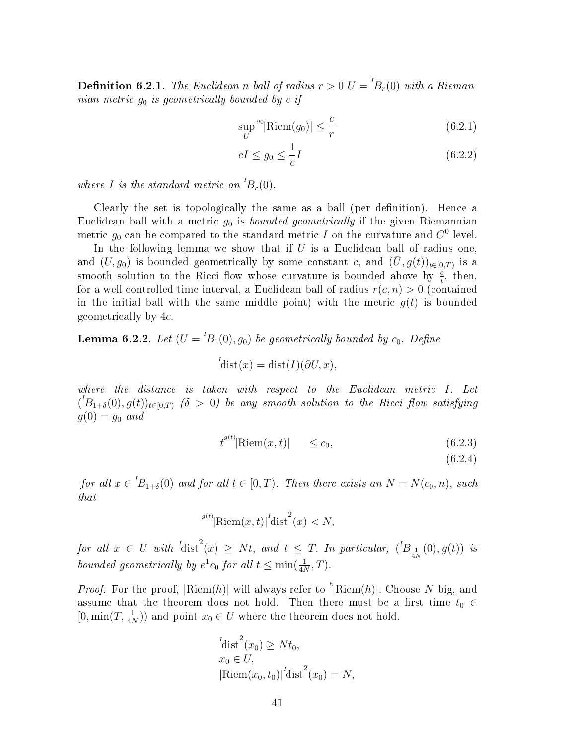**Definition 6.2.1.** The Euclidean n-ball of radius  $r > 0$   $U = {}^{I}B_{r}(0)$  with a Riemannian metric  $g_0$  is geometrically bounded by c if

$$
\sup_{U} {}^{g_0} |\text{Riem}(g_0)| \le \frac{c}{r}
$$
\n(6.2.1)

$$
cI \le g_0 \le \frac{1}{c}I\tag{6.2.2}
$$

where I is the standard metric on  ${}^{1}B_{r}(0)$ .

Clearly the set is topologically the same as a ball (per definition). Hence a Euclidean ball with a metric  $g_0$  is *bounded geometrically* if the given Riemannian metric  $g_0$  can be compared to the standard metric  $I$  on the curvature and  $C^0$  level.

In the following lemma we show that if  $U$  is a Euclidean ball of radius one, and  $(U, g_0)$  is bounded geometrically by some constant c, and  $(\bar{U}, g(t))_{t \in [0,T)}$  is a smooth solution to the Ricci flow whose curvature is bounded above by  $\frac{c}{t}$ , then, for a well controlled time interval, a Euclidean ball of radius  $r(c, n) > 0$  (contained in the initial ball with the same middle point) with the metric  $q(t)$  is bounded geometrically by 4c.

<span id="page-46-0"></span>**Lemma 6.2.2.** Let  $(U = {}^{1}B_{1}(0), g_{0})$  be geometrically bounded by  $c_{0}$ . Define

$$
{}^{I}_{\text{dist}}(x) = \text{dist}(I)(\partial U, x),
$$

where the distance is taken with respect to the Euclidean metric I. Let  $({}^{l}B_{1+\delta}(0),g(t))_{t\in[0,T)}$  ( $\delta$  > 0) be any smooth solution to the Ricci flow satisfying  $g(0) = g_0$  and

<span id="page-46-1"></span>
$$
t^{g(t)}|\text{Riem}(x,t)| \leq c_0,\tag{6.2.3}
$$

(6.2.4)

for all  $x \in {}^{1}B_{1+\delta}(0)$  and for all  $t \in [0,T)$ . Then there exists an  $N = N(c_0,n)$ , such that

$$
^{g(t)}|\text{Riem}(x,t)|^{l}\text{dist}^{2}(x) < N,
$$

for all  $x \in U$  with  $\int_a^1 \text{dist}^2(x) \geq Nt$ , and  $t \leq T$ . In particular,  $\int_a^1 B_{\frac{1}{4N}}(0), g(t)$  is bounded geometrically by  $e^1c_0$  for all  $t \leq \min(\frac{1}{4N},T)$ .

*Proof.* For the proof,  $\lvert \text{Riem}(h) \rvert$  will always refer to  $\lvert \text{Riem}(h) \rvert$ . Choose N big, and assume that the theorem does not hold. Then there must be a first time  $t_0 \in$  $[0, \min(T, \frac{1}{4N}))$  and point  $x_0 \in U$  where the theorem does not hold.

$$
i_{\text{dist}}^{1}(x_0) \geq Nt_0,
$$
  
\n
$$
x_0 \in U,
$$
  
\n
$$
|\text{Riem}(x_0, t_0)|^{1} \text{dist}^{2}(x_0) = N,
$$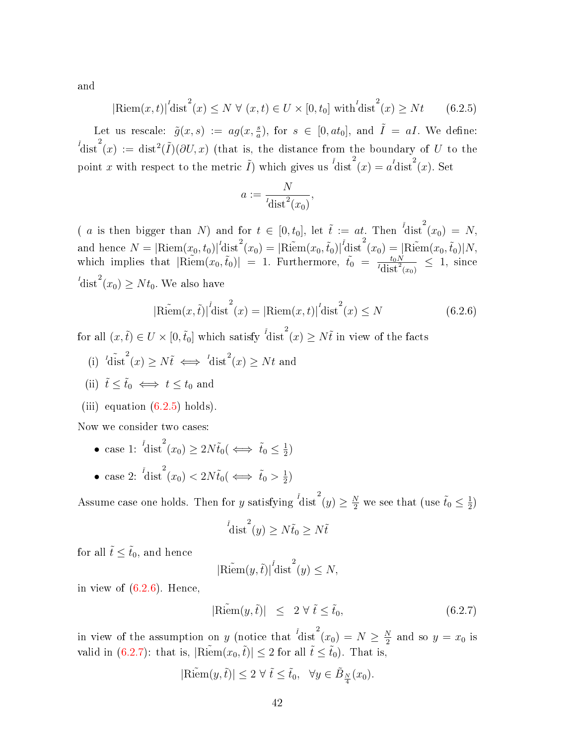and

<span id="page-47-0"></span>
$$
|\text{Riem}(x,t)|^{t} \text{dist}^{2}(x) \leq N \ \forall \ (x,t) \in U \times [0,t_{0}] \ \text{with} \ {t}^{t} \text{dist}^{2}(x) \geq Nt \qquad (6.2.5)
$$

Let us rescale:  $\tilde{g}(x, s) := ag(x, \frac{s}{a})$ , for  $s \in [0, at_0]$ , and  $\tilde{I} = aI$ . We define:  $\tilde{I}$ dist $\int_a^{\tilde{I}}(x) := \text{dist}^2(\tilde{I})(\partial U, x)$  (that is, the distance from the boundary of U to the point x with respect to the metric  $\tilde{I}$ ) which gives us  ${}^{\tilde{I}}$ dist ${}^2(x) = a^I$ dist ${}^2(x)$ . Set

$$
a := \frac{N}{l \operatorname{dist}^2(x_0)},
$$

(*a* is then bigger than N) and for  $t \in [0, t_0]$ , let  $\tilde{t} := at$ . Then  $\int_0^t \text{dist}^2(x_0) = N$ , and hence  $N = |\text{Riem}(x_0, t_0)|^l \text{dist}^2(x_0) = |\text{Riem}(x_0, \tilde{t}_0)|^l \text{dist}^2(x_0) = |\text{Riem}(x_0, \tilde{t}_0)| N$ , which implies that  $|\widetilde{\text{Riem}}(x_0, \tilde{t}_0)| = 1$ . Furthermore,  $\tilde{t}_0 = \frac{t_0 N}{I_{\text{dist}}^2(x_0)} \leq 1$ , since  $I_{\text{dist}}^{I}(x_0) \geq N t_0$ . We also have

<span id="page-47-1"></span>
$$
|\text{Riem}(x,\tilde{t})|^{\tilde{t}} \text{dist}^{2}(x) = |\text{Riem}(x,t)|^{\tilde{t}} \text{dist}^{2}(x) \leq N \tag{6.2.6}
$$

for all  $(x, \tilde{t}) \in U \times [0, \tilde{t}_0]$  which satisfy  $\frac{\tilde{t}_{\text{dist}}^2(x)}{\tilde{t}_{\text{dist}}^2(x)} \geq N \tilde{t}$  in view of the facts

- (i)  ${}^{l}\tilde{\text{dist}}^{2}(x) \geq N\tilde{t} \iff {}^{l}\text{dist}^{2}(x) \geq Nt$  and
- (ii)  $\tilde{t} \leq \tilde{t}_0 \iff t \leq t_0$  and
- (iii) equation  $(6.2.5)$  holds).

Now we consider two cases:

- case 1:  $i \text{dist}^2(x_0) \geq 2N\tilde{t}_0 \iff \tilde{t}_0 \leq \frac{1}{2}$  $\frac{1}{2})$
- case 2:  ${}^{\tilde{t}}\text{dist}^2(x_0) < 2N\tilde{t}_0 \text{ (} \Longleftrightarrow \tilde{t}_0 > \frac{1}{2})$  $\frac{1}{2})$

Assume case one holds. Then for  $y$  satisfying  $^{^{\tilde{t}}}\text{dist}^2(y)\geq \frac{N}{2}$  we see that (use  $\tilde{t}_0\leq \frac{1}{2}$  $\frac{1}{2})$ 

$$
\left\{\operatorname{dist}^2(y) \ge N\tilde{t}_0 \ge N\tilde{t}\right\}
$$

for all  $\tilde{t} \leq \tilde{t}_0$ , and hence

$$
|\widetilde{\text{Riem}}(y,\tilde{t})|^{1} \text{dist}^{2}(y) \leq N,
$$

in view of  $(6.2.6)$ . Hence,

<span id="page-47-2"></span>
$$
|\widetilde{\text{Riem}}(y,\tilde{t})| \leq 2 \,\forall \,\tilde{t} \leq \tilde{t}_0,\tag{6.2.7}
$$

in view of the assumption on y (notice that  $\frac{1}{1}$ dist $(x_0) = N \ge \frac{N}{2}$  $\frac{N}{2}$  and so  $y = x_0$  is valid in [\(6.2.7\)](#page-47-2): that is,  $|\widetilde{\text{Riem}}(x_0,\tilde{t})| \leq 2$  for all  $\tilde{t} \leq \tilde{t}_0$ ). That is

$$
|\widetilde{\text{Riem}}(y,\tilde{t})| \leq 2 \ \forall \ \tilde{t} \leq \tilde{t}_0, \ \ \forall y \in \tilde{B}_{\frac{N}{4}}(x_0).
$$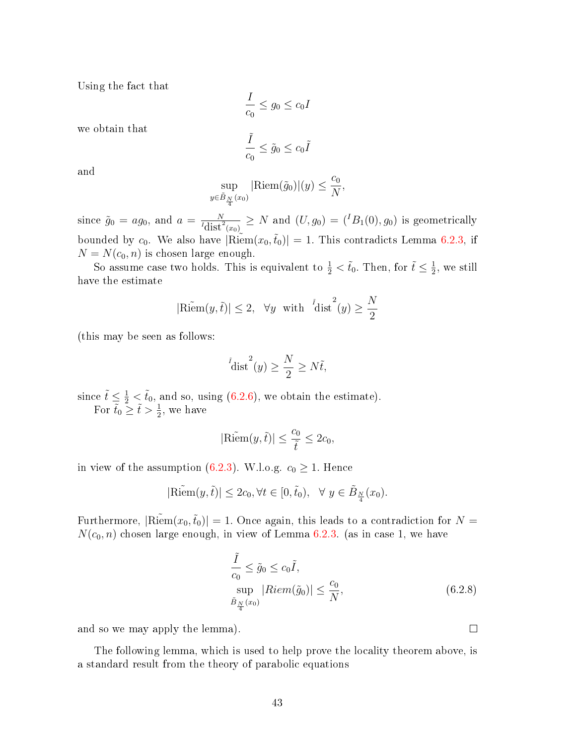Using the fact that

$$
\frac{I}{c_0} \le g_0 \le c_0 I
$$

we obtain that

$$
\frac{\tilde{I}}{c_0} \leq \tilde{g}_0 \leq c_0 \tilde{I}
$$

and

$$
\sup_{y \in \tilde{B}_{\frac{N}{4}}(x_0)} |\text{Riem}(\tilde{g}_0)|(y) \le \frac{c_0}{N},
$$

since  $\tilde{g}_0 = ag_0$ , and  $a = \frac{N}{I_{\text{dist}}^2(x_0)} \geq N$  and  $(U, g_0) = ({}^I B_1(0), g_0)$  is geometrically bounded by  $c_0$ . We also have  $|\widetilde{\text{Riem}}(x_0,\tilde{t}_0)| = 1$ . This contradicts Lemma [6.2.3,](#page-48-0) if  $N = N(c_0, n)$  is chosen large enough.

So assume case two holds. This is equivalent to  $\frac{1}{2} < \tilde{t}_0$ . Then, for  $\tilde{t} \leq \frac{1}{2}$  $\frac{1}{2}$ , we still have the estimate

$$
|\widetilde{\text{Riem}}(y,\tilde{t})| \leq 2
$$
,  $\forall y \text{ with } \operatorname*{dist}^{1}(y) \geq \frac{N}{2}$ 

(this may be seen as follows:

$$
\left\{\operatorname{dist}^2(y) \ge \frac{N}{2} \ge N\tilde{t},\right\}
$$

since  $\tilde{t} \le \frac{1}{2} < \tilde{t}_0$ , and so, using [\(6.2.6\)](#page-47-1), we obtain the estimate). For  $\tilde{t}_0 \geq \tilde{t} > \frac{1}{2}$ , we have

$$
\mathbf{z}^{\prime}
$$

$$
|\widetilde{\text{Riem}}(y,\tilde{t})| \le \frac{c_0}{\tilde{t}} \le 2c_0,
$$

in view of the assumption [\(6.2.3\)](#page-46-1). W.l.o.g.  $c_0 \geq 1$ . Hence

$$
|\widetilde{\text{Riem}}(y,\tilde{t})| \le 2c_0, \forall t \in [0,\tilde{t}_0), \ \forall y \in \tilde{B}_{\frac{N}{4}}(x_0).
$$

Furthermore,  $|\widetilde{\text{Riem}}(x_0,\tilde{t}_0)| = 1$ . Once again, this leads to a contradiction for  $N =$  $N(c_0, n)$  chosen large enough, in view of Lemma [6.2.3.](#page-48-0) (as in case 1, we have

$$
\frac{\tilde{I}}{c_0} \le \tilde{g}_0 \le c_0 \tilde{I},
$$
  
\n
$$
\sup_{\tilde{B}_{\frac{N}{4}}(x_0)} |Riem(\tilde{g}_0)| \le \frac{c_0}{N},
$$
\n(6.2.8)

and so we may apply the lemma).

<span id="page-48-0"></span>The following lemma, which is used to help prove the locality theorem above, is a standard result from the theory of parabolic equations

 $\Box$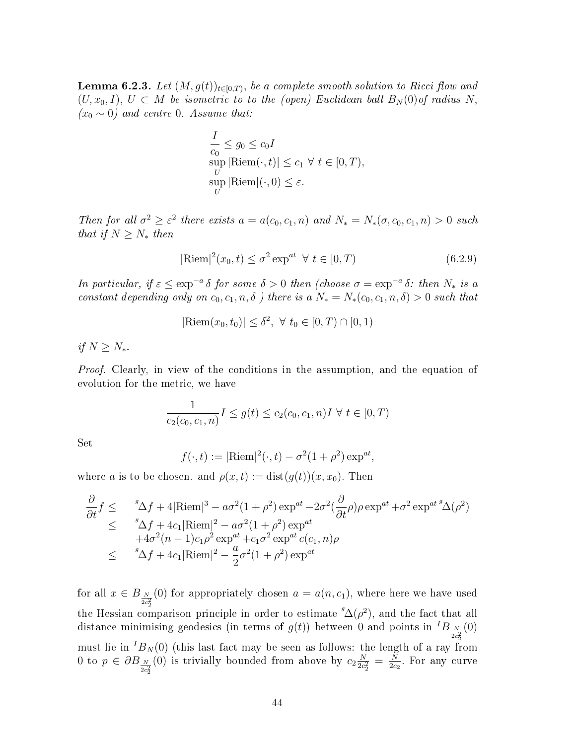**Lemma 6.2.3.** Let  $(M, g(t))_{t \in [0,T)},$  be a complete smooth solution to Ricci flow and  $(U, x_0, I), U \subset M$  be isometric to to the (open) Euclidean ball  $B_N(0)$  of radius N,  $(x_0 \sim 0)$  and centre 0. Assume that:

$$
\frac{I}{c_0} \le g_0 \le c_0 I
$$
  
\n
$$
\sup_{U} |\text{Riem}(\cdot, t)| \le c_1 \ \forall \ t \in [0, T),
$$
  
\n
$$
\sup_{U} |\text{Riem}|(\cdot, 0) \le \varepsilon.
$$

Then for all  $\sigma^2 \geq \varepsilon^2$  there exists  $a = a(c_0, c_1, n)$  and  $N_* = N_*(\sigma, c_0, c_1, n) > 0$  such that if  $N \geq N_*$  then

$$
|\text{Riem}|^2(x_0, t) \le \sigma^2 \exp^{at} \ \forall \ t \in [0, T)
$$
\n(6.2.9)

In particular, if  $\varepsilon \le \exp^{-a} \delta$  for some  $\delta > 0$  then (choose  $\sigma = \exp^{-a} \delta$ : then  $N_*$  is a constant depending only on  $c_0, c_1, n, \delta$  ) there is a  $N_* = N_*(c_0, c_1, n, \delta) > 0$  such that

$$
|\text{Riem}(x_0, t_0)| \leq \delta^2, \ \forall \ t_0 \in [0, T) \cap [0, 1)
$$

if  $N \geq N_*$ .

Proof. Clearly, in view of the conditions in the assumption, and the equation of evolution for the metric, we have

$$
\frac{1}{c_2(c_0, c_1, n)} I \le g(t) \le c_2(c_0, c_1, n) I \ \forall \ t \in [0, T)
$$

Set

$$
f(\cdot, t) := |\text{Riem}|^2(\cdot, t) - \sigma^2 (1 + \rho^2) \exp^{at},
$$

where a is to be chosen. and  $\rho(x,t) := \text{dist}(g(t))(x,x_0)$ . Then

$$
\frac{\partial}{\partial t} f \leq \int_{\Delta}^{\infty} 4f + 4|\text{Riem}|^3 - a\sigma^2(1+\rho^2)\exp^{at} - 2\sigma^2(\frac{\partial}{\partial t}\rho)\rho\exp^{at} + \sigma^2\exp^{at}{}^9\Delta(\rho^2)
$$
\n
$$
\leq \int_{\Delta}^{\infty} 4f + 4c_1|\text{Riem}|^2 - a\sigma^2(1+\rho^2)\exp^{at}
$$
\n
$$
+ 4\sigma^2(n-1)c_1\rho^2\exp^{at} + c_1\sigma^2\exp^{at}c(c_1, n)\rho
$$
\n
$$
\leq \int_{\Delta}^{\infty} 4f + 4c_1|\text{Riem}|^2 - \frac{a}{2}\sigma^2(1+\rho^2)\exp^{at}
$$

for all  $x \in B_{\frac{N}{2c_2^2}}$ (0) for appropriately chosen  $a = a(n, c_1)$ , where here we have used the Hessian comparison principle in order to estimate  ${}^g\Delta(\rho^2)$ , and the fact that all distance minimising geodesics (in terms of  $g(t)$ ) between 0 and points in  ${}^{I}B_{\frac{N}{2c_2^2}}(0)$ must lie in  ${}^{I}B_{N}(0)$  (this last fact may be seen as follows: the length of a ray from 0 to  $p \in \partial B_{\frac{N}{2c_2^2}}$ (0) is trivially bounded from above by  $c_2 \frac{N}{2c}$  $\frac{N}{2c_2^2} = \frac{N}{2c_2}$  $\frac{N}{2c_2}$ . For any curve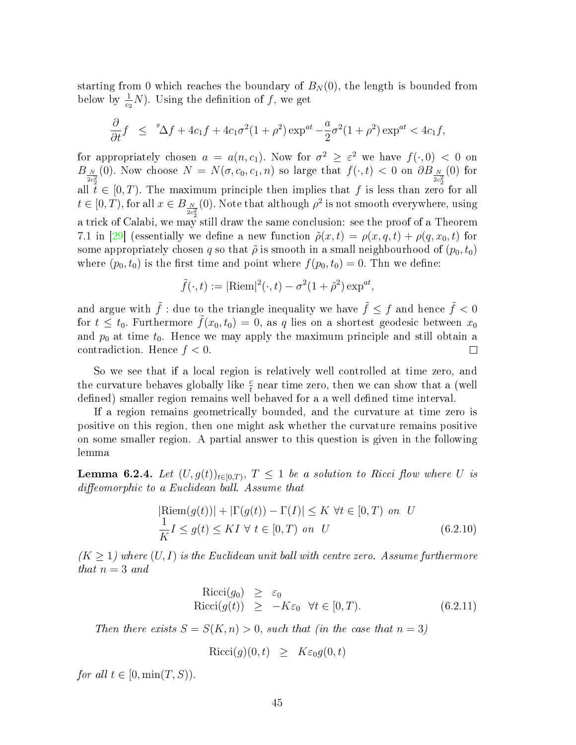starting from 0 which reaches the boundary of  $B_N(0)$ , the length is bounded from below by  $\frac{1}{c_2}N$ ). Using the definition of f, we get

$$
\frac{\partial}{\partial t}f \leq {}^{s}\Delta f + 4c_1 f + 4c_1 \sigma^2 (1+\rho^2) \exp^{at} - \frac{a}{2} \sigma^2 (1+\rho^2) \exp^{at} < 4c_1 f,
$$

for appropriately chosen  $a = a(n, c_1)$ . Now for  $\sigma^2 \geq \varepsilon^2$  we have  $f(\cdot, 0) < 0$  on  $B_{\frac{N}{2c_2^2}}(0)$ . Now choose  $N = N(\sigma, c_0, c_1, n)$  so large that  $f(\cdot, t) < 0$  on  $\partial B_{\frac{N}{2c_2^2}}(0)$  for all  $t \in [0, T)$ . The maximum principle then implies that f is less than zero for all  $t \in [0, T)$ , for all  $x \in B_{\frac{N}{2c_2^2}}$ (0). Note that although  $\rho^2$  is not smooth everywhere, using a trick of Calabi, we may still draw the same conclusion: see the proof of a Theorem 7.1 in [\[29\]](#page-69-3) (essentially we define a new function  $\tilde{\rho}(x,t) = \rho(x,q,t) + \rho(q,x_0,t)$  for some appropriately chosen q so that  $\tilde{\rho}$  is smooth in a small neighbourhood of  $(p_0, t_0)$ where  $(p_0, t_0)$  is the first time and point where  $f(p_0, t_0) = 0$ . Thn we define:

$$
\tilde{f}(\cdot,t):=|\mathrm{Riem}|^2(\cdot,t)-\sigma^2(1+\tilde{\rho}^2)\exp^{at},
$$

and argue with  $\tilde{f}$  : due to the triangle inequality we have  $\tilde{f} \le f$  and hence  $\tilde{f} < 0$ for  $t \leq t_0$ . Furthermore  $\tilde{f}(x_0, t_0) = 0$ , as q lies on a shortest geodesic between  $x_0$ and  $p_0$  at time  $t_0$ . Hence we may apply the maximum principle and still obtain a contradiction. Hence  $f < 0$ .  $\Box$ 

So we see that if a local region is relatively well controlled at time zero, and the curvature behaves globally like  $\frac{c}{t}$  near time zero, then we can show that a (well defined) smaller region remains well behaved for a a well defined time interval.

If a region remains geometrically bounded, and the curvature at time zero is positive on this region, then one might ask whether the curvature remains positive on some smaller region. A partial answer to this question is given in the following lemma

<span id="page-50-2"></span>**Lemma 6.2.4.** Let  $(U, g(t))_{t \in [0,T)}$ ,  $T \leq 1$  be a solution to Ricci flow where U is  $diffeomorphic$  to a Euclidean ball. Assume that

<span id="page-50-0"></span>
$$
|\text{Riem}(g(t))| + |\Gamma(g(t)) - \Gamma(I)| \le K \ \forall t \in [0, T) \ on \ U
$$
  

$$
\frac{1}{K}I \le g(t) \le KI \ \forall \ t \in [0, T) \ on \ U \tag{6.2.10}
$$

 $(K \geq 1)$  where  $(U, I)$  is the Euclidean unit ball with centre zero. Assume furthermore that  $n = 3$  and

<span id="page-50-1"></span>
$$
Ricci(g_0) \geq \varepsilon_0
$$
  
\n
$$
Ricci(g(t)) \geq -K\varepsilon_0 \quad \forall t \in [0, T).
$$
 (6.2.11)

Then there exists  $S = S(K, n) > 0$ , such that (in the case that  $n = 3$ )

$$
Ricci(g)(0,t) \geq K\varepsilon_0 g(0,t)
$$

for all  $t \in [0, \min(T, S))$ .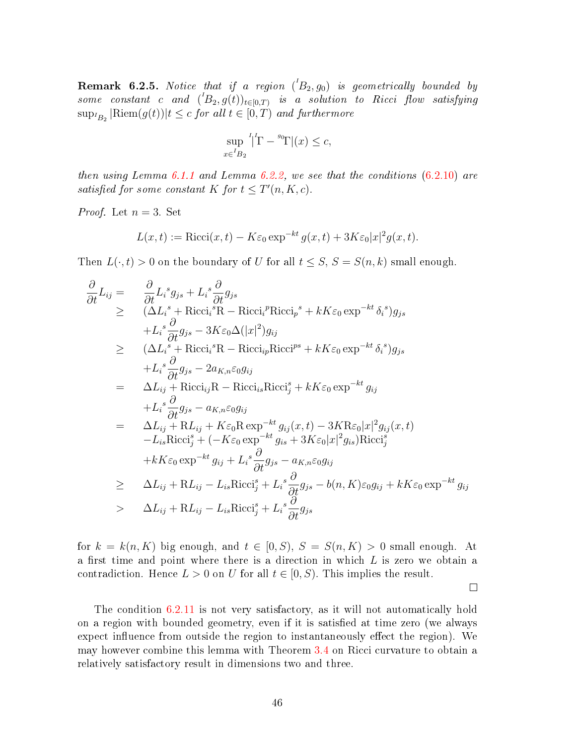**Remark 6.2.5.** Notice that if a region  $({}^lB_2, g_0)$  is geometrically bounded by some constant c and  $({}^tB_2, g(t))_{t \in [0,T)}$  is a solution to Ricci flow satisfying  $\sup_{B_2} |\text{Riem}(g(t))|t \leq c$  for all  $t \in [0, T)$  and furthermore

$$
\sup_{x \in {}^{I}B_2} {}^{I}|\Gamma - {}^{s_0}\Gamma|(x) \le c,
$$

then using Lemma [6.1.1](#page-44-4) and Lemma [6.2.2,](#page-46-0) we see that the conditions  $(6.2.10)$  are satisfied for some constant K for  $t \leq T'(n, K, c)$ .

*Proof.* Let  $n = 3$ . Set

$$
L(x,t) := \text{Ricci}(x,t) - K\varepsilon_0 \exp^{-kt} g(x,t) + 3K\varepsilon_0 |x|^2 g(x,t).
$$

Then  $L(\cdot, t) > 0$  on the boundary of U for all  $t \leq S$ ,  $S = S(n, k)$  small enough.

$$
\frac{\partial}{\partial t} L_{ij} = \frac{\partial}{\partial t} L_{i}{}^{s} g_{js} + L_{i}{}^{s} \frac{\partial}{\partial t} g_{js} \n\geq (\Delta L_{i}{}^{s} + \text{Ricci}_{i}{}^{s} \text{R} - \text{Ricci}_{i}{}^{p} \text{Ricci}_{p}{}^{s} + kK\varepsilon_{0} \exp^{-kt} \delta_{i}{}^{s}) g_{js} \n+ L_{i}{}^{s} \frac{\partial}{\partial t} g_{js} - 3K\varepsilon_{0} \Delta(|x|^{2}) g_{ij} \n\geq (\Delta L_{i}{}^{s} + \text{Ricci}_{i}{}^{s} \text{R} - \text{Ricci}_{ip} \text{Ricci}^{ps} + kK\varepsilon_{0} \exp^{-kt} \delta_{i}{}^{s}) g_{js} \n+ L_{i}{}^{s} \frac{\partial}{\partial t} g_{js} - 2a_{K,n}\varepsilon_{0} g_{ij} \n= \Delta L_{ij} + \text{Ricci}_{ij} \text{R} - \text{Ricci}_{is} \text{Ricci}_{j}^{s} + kK\varepsilon_{0} \exp^{-kt} g_{ij} \n+ L_{i}{}^{s} \frac{\partial}{\partial t} g_{js} - a_{K,n}\varepsilon_{0} g_{ij} \n= \Delta L_{ij} + \text{R} L_{ij} + K\varepsilon_{0} \text{R} \exp^{-kt} g_{ij}(x, t) - 3K \text{R}\varepsilon_{0}|x|^{2} g_{ij}(x, t) \n- L_{is} \text{Ricci}_{j}^{s} + (-K\varepsilon_{0} \exp^{-kt} g_{is} + 3K\varepsilon_{0}|x|^{2} g_{is}) \text{Ricci}_{j}^{s} \n+ kK\varepsilon_{0} \exp^{-kt} g_{ij} + L_{i}{}^{s} \frac{\partial}{\partial t} g_{js} - a_{K,n}\varepsilon_{0} g_{ij} \n\geq \Delta L_{ij} + \text{R} L_{ij} - L_{is} \text{Ricci}_{j}^{s} + L_{i}{}^{s} \frac{\partial}{\partial t} g_{js} - b(n, K)\varepsilon_{0} g_{ij} + kK\varepsilon_{0} \exp^{-kt} g_{ij} \n> \Delta L_{ij} + \text{R} L_{ij} - L_{is} \text{
$$

for  $k = k(n, K)$  big enough, and  $t \in [0, S)$ ,  $S = S(n, K) > 0$  small enough. At a first time and point where there is a direction in which  $L$  is zero we obtain a contradiction. Hence  $L > 0$  on U for all  $t \in [0, S)$ . This implies the result.

 $\Box$ 

<span id="page-51-0"></span>The condition [6.2.11](#page-50-1) is not very satisfactory, as it will not automatically hold on a region with bounded geometry, even if it is satisfied at time zero (we always expect influence from outside the region to instantaneously effect the region). We may however combine this lemma with Theorem [3.4](#page-34-0) on Ricci curvature to obtain a relatively satisfactory result in dimensions two and three.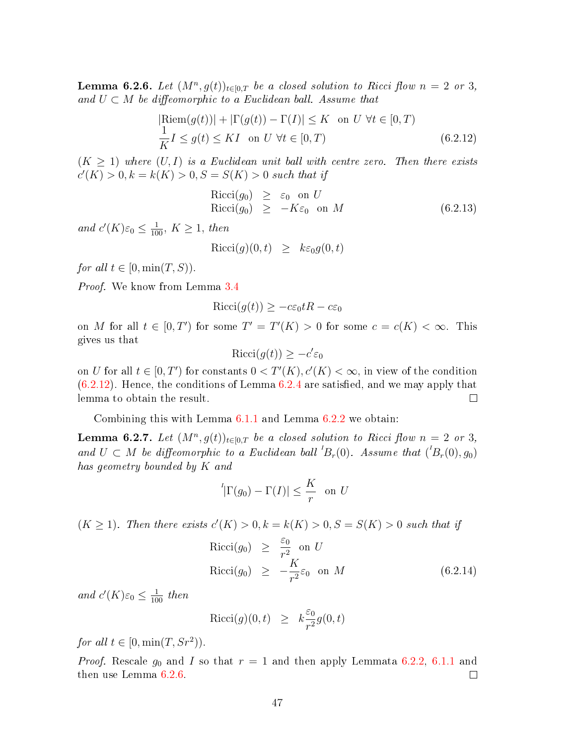**Lemma 6.2.6.** Let  $(M^n, g(t))_{t \in [0,T]}$  be a closed solution to Ricci flow  $n = 2$  or 3, and  $U \subset M$  be diffeomorphic to a Euclidean ball. Assume that

<span id="page-52-0"></span>
$$
|\text{Riem}(g(t))| + |\Gamma(g(t)) - \Gamma(I)| \le K \text{ on } U \,\forall t \in [0, T)
$$
  

$$
\frac{1}{K}I \le g(t) \le KI \text{ on } U \,\forall t \in [0, T)
$$
 (6.2.12)

 $(K \geq 1)$  where  $(U, I)$  is a Euclidean unit ball with centre zero. Then there exists  $c'(K) > 0, k = k(K) > 0, S = S(K) > 0$  such that if

$$
Ricci(g_0) \geq \varepsilon_0 \text{ on } U
$$
  
\n
$$
Ricci(g_0) \geq -K\varepsilon_0 \text{ on } M
$$
 (6.2.13)

and  $c'(K)\varepsilon_0 \leq \frac{1}{100}$ ,  $K \geq 1$ , then

$$
\text{Ricci}(g)(0,t) \geq k\varepsilon_0 g(0,t)
$$

for all  $t \in [0, \min(T, S))$ .

Proof. We know from Lemma [3.4](#page-34-0)

$$
Ricci(g(t)) \ge -c\varepsilon_0 tR - c\varepsilon_0
$$

on M for all  $t \in [0, T')$  for some  $T' = T'(K) > 0$  for some  $c = c(K) < \infty$ . This gives us that

$$
Ricci(g(t)) \ge -c'\varepsilon_0
$$

on U for all  $t \in [0, T')$  for constants  $0 < T'(K)$ ,  $c'(K) < \infty$ , in view of the condition  $(6.2.12)$ . Hence, the conditions of Lemma [6.2.4](#page-50-2) are satisfied, and we may apply that lemma to obtain the result.  $\Box$ 

Combining this with Lemma [6.1.1](#page-44-4) and Lemma [6.2.2](#page-46-0) we obtain:

**Lemma 6.2.7.** Let  $(M^n, g(t))_{t \in [0,T]}$  be a closed solution to Ricci flow  $n = 2$  or 3, and  $U \subset M$  be diffeomorphic to a Euclidean ball  ${}^{1}B_{r}(0)$ . Assume that  $({}^{1}B_{r}(0),g_{0})$ has geometry bounded by K and

$$
{}^{I}|\Gamma(g_{0}) - \Gamma(I)| \leq \frac{K}{r} \text{ on } U
$$

 $(K \geq 1)$ . Then there exists  $c'(K) > 0, k = k(K) > 0, S = S(K) > 0$  such that if

$$
Ricci(g_0) \geq \frac{\varepsilon_0}{r^2} \text{ on } U
$$
  
\n
$$
Ricci(g_0) \geq -\frac{K}{r^2} \varepsilon_0 \text{ on } M
$$
 (6.2.14)

and  $c'(K)\varepsilon_0 \leq \frac{1}{100}$  then

$$
\text{Ricci}(g)(0,t) \geq k \frac{\varepsilon_0}{r^2} g(0,t)
$$

for all  $t \in [0, \min(T, Sr^2)).$ 

*Proof.* Rescale  $g_0$  and I so that  $r = 1$  and then apply Lemmata [6.2.2,](#page-46-0) [6.1.1](#page-44-4) and then use Lemma [6.2.6.](#page-51-0)  $\Box$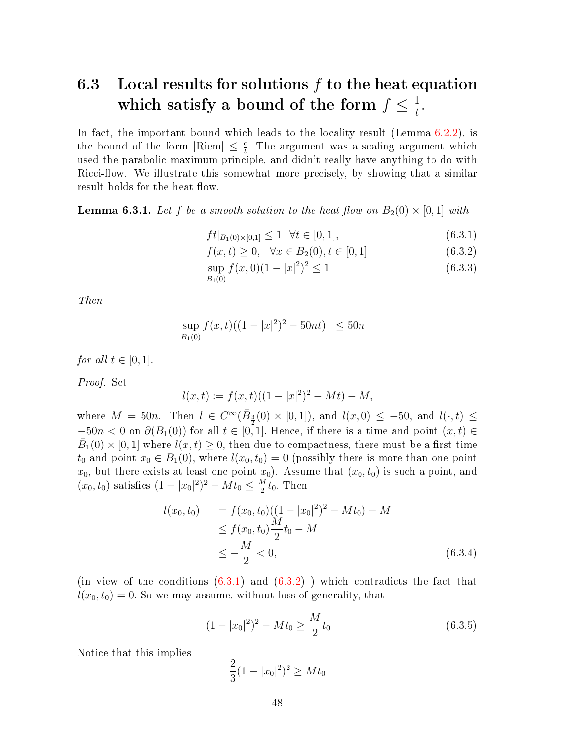#### <span id="page-53-0"></span>6.3 Local results for solutions f to the heat equation which satisfy a bound of the form  $f \leq \frac{1}{t}$  $\frac{1}{t}$ .

In fact, the important bound which leads to the locality result (Lemma [6.2.2\)](#page-46-0), is the bound of the form  $|\text{Riem}| \leq \frac{c}{t}$ . The argument was a scaling argument which used the parabolic maximum principle, and didn't really have anything to do with Ricci-flow. We illustrate this somewhat more precisely, by showing that a similar result holds for the heat flow.

**Lemma 6.3.1.** Let f be a smooth solution to the heat flow on  $B_2(0) \times [0, 1]$  with

<span id="page-53-1"></span>
$$
ft|_{B_1(0)\times[0,1]} \le 1 \quad \forall t \in [0,1],\tag{6.3.1}
$$

$$
f(x,t) \ge 0, \quad \forall x \in B_2(0), t \in [0,1]
$$
\n
$$
(6.3.2)
$$

$$
\sup_{\bar{B}_1(0)} f(x,0)(1-|x|^2)^2 \le 1
$$
\n(6.3.3)

Then

$$
\sup_{\bar{B}_1(0)} f(x,t)((1-|x|^2)^2 - 50nt) \le 50n
$$

for all  $t \in [0,1]$ .

Proof. Set

$$
l(x,t) := f(x,t)((1-|x|^2)^2 - Mt) - M,
$$

where  $M = 50n$ . Then  $l \in C^{\infty}(\bar{B}_{\frac{3}{2}}(0) \times [0,1])$ , and  $l(x,0) \le -50$ , and  $l(\cdot,t) \le$  $-50n < 0$  on  $\partial(B_1(0))$  for all  $t \in [0,1]$ . Hence, if there is a time and point  $(x,t) \in$  $\bar{B}_1(0) \times [0,1]$  where  $l(x,t) \geq 0$ , then due to compactness, there must be a first time  $t_0$  and point  $x_0 \in B_1(0)$ , where  $l(x_0, t_0) = 0$  (possibly there is more than one point  $x_0$ , but there exists at least one point  $x_0$ ). Assume that  $(x_0, t_0)$  is such a point, and  $(x_0, t_0)$  satisfies  $(1 - |x_0|^2)^2 - Mt_0 \leq \frac{M}{2}$  $\frac{M}{2}t_0$ . Then

$$
l(x_0, t_0) = f(x_0, t_0)((1 - |x_0|^2)^2 - Mt_0) - M
$$
  
\n
$$
\leq f(x_0, t_0) \frac{M}{2} t_0 - M
$$
  
\n
$$
\leq -\frac{M}{2} < 0,
$$
 (6.3.4)

(in view of the conditions  $(6.3.1)$  and  $(6.3.2)$ ) which contradicts the fact that  $l(x_0, t_0) = 0$ . So we may assume, without loss of generality, that

<span id="page-53-2"></span>
$$
(1 - |x_0|^2)^2 - Mt_0 \ge \frac{M}{2}t_0
$$
\n(6.3.5)

Notice that this implies

$$
\frac{2}{3}(1-|x_0|^2)^2 \ge Mt_0
$$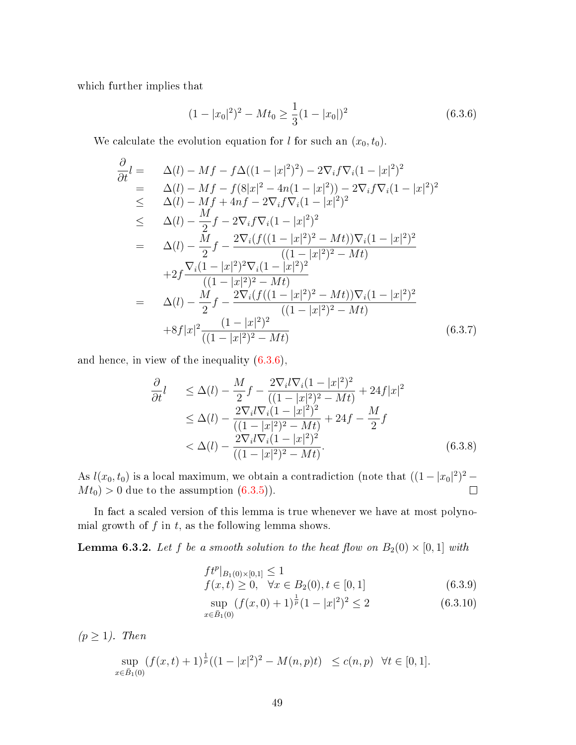which further implies that

<span id="page-54-0"></span>
$$
(1 - |x_0|^2)^2 - Mt_0 \ge \frac{1}{3}(1 - |x_0|)^2
$$
\n(6.3.6)

We calculate the evolution equation for l for such an  $(x_0, t_0)$ .

$$
\frac{\partial}{\partial t}l = \Delta(l) - Mf - f\Delta((1-|x|^2)^2) - 2\nabla_i f\nabla_i (1-|x|^2)^2
$$
\n
$$
= \Delta(l) - Mf - f(8|x|^2 - 4n(1-|x|^2)) - 2\nabla_i f\nabla_i (1-|x|^2)^2
$$
\n
$$
\leq \Delta(l) - Mf + 4nf - 2\nabla_i f\nabla_i (1-|x|^2)^2
$$
\n
$$
\leq \Delta(l) - \frac{M}{2}f - 2\nabla_i f\nabla_i (1-|x|^2)^2
$$
\n
$$
= \Delta(l) - \frac{M}{2}f - \frac{2\nabla_i (f((1-|x|^2)^2 - Mt))\nabla_i (1-|x|^2)^2}{((1-|x|^2)^2 - Mt)}
$$
\n
$$
+ 2f\frac{\nabla_i (1-|x|^2)^2\nabla_i (1-|x|^2)^2}{((1-|x|^2)^2 - Mt)}
$$
\n
$$
= \Delta(l) - \frac{M}{2}f - \frac{2\nabla_i (f((1-|x|^2)^2 - Mt))\nabla_i (1-|x|^2)^2}{((1-|x|^2)^2 - Mt)}
$$
\n
$$
+ 8f|x|^2 \frac{(1-|x|^2)^2}{((1-|x|^2)^2 - Mt)}
$$
\n(6.3.7)

and hence, in view of the inequality [\(6.3.6\)](#page-54-0),

$$
\frac{\partial}{\partial t}l \leq \Delta(l) - \frac{M}{2}f - \frac{2\nabla_i l \nabla_i (1 - |x|^2)^2}{((1 - |x|^2)^2 - Mt)} + 24f|x|^2
$$
\n
$$
\leq \Delta(l) - \frac{2\nabla_i l \nabla_i (1 - |x|^2)^2}{((1 - |x|^2)^2 - Mt)} + 24f - \frac{M}{2}f
$$
\n
$$
< \Delta(l) - \frac{2\nabla_i l \nabla_i (1 - |x|^2)^2}{((1 - |x|^2)^2 - Mt)}.
$$
\n(6.3.8)

As  $l(x_0, t_0)$  is a local maximum, we obtain a contradiction (note that  $((1 - |x_0|^2)^2 Mt_0 > 0$  due to the assumption  $(6.3.5)$ .  $\Box$ 

In fact a scaled version of this lemma is true whenever we have at most polynomial growth of  $f$  in  $t$ , as the following lemma shows.

**Lemma 6.3.2.** Let f be a smooth solution to the heat flow on  $B_2(0) \times [0,1]$  with

$$
f t^p |_{B_1(0) \times [0,1]} \le 1
$$
  

$$
f(x,t) \ge 0, \quad \forall x \in B_2(0), t \in [0,1]
$$
 (6.3.9)

$$
\sup_{x \in \bar{B}_1(0)} (f(x,0) + 1)^{\frac{1}{p}} (1 - |x|^2)^2 \le 2
$$
\n(6.3.10)

 $(p \geq 1)$ . Then

$$
\sup_{x \in \bar{B}_1(0)} (f(x,t) + 1)^{\frac{1}{p}} ((1 - |x|^2)^2 - M(n,p)t) \le c(n,p) \quad \forall t \in [0,1].
$$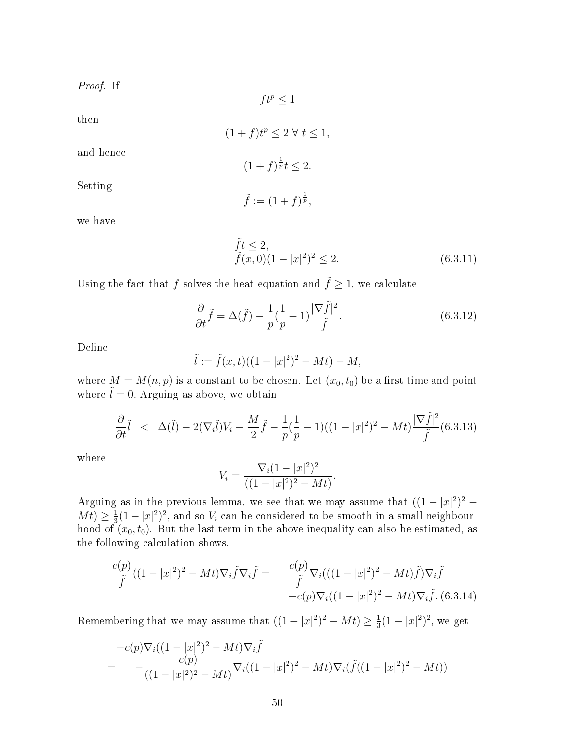Proof. If

$$
ft^p \le 1
$$

then

$$
(1+f)t^p \le 2 \,\,\forall \,\, t \le 1,
$$

and hence

$$
(1+f)^{\frac{1}{p}}t \le 2.
$$

Setting

$$
\tilde{f} := (1+f)^{\frac{1}{p}},
$$

we have

$$
\tilde{f}t \le 2,\tilde{f}(x,0)(1-|x|^2)^2 \le 2.
$$
\n(6.3.11)

Using the fact that f solves the heat equation and  $\tilde{f} \geq 1$ , we calculate

$$
\frac{\partial}{\partial t}\tilde{f} = \Delta(\tilde{f}) - \frac{1}{p}(\frac{1}{p} - 1)\frac{|\nabla \tilde{f}|^2}{\tilde{f}}.
$$
\n(6.3.12)

Define

$$
\tilde{l} := \tilde{f}(x,t)((1-|x|^2)^2 - Mt) - M,
$$

where  $M = M(n, p)$  is a constant to be chosen. Let  $(x_0, t_0)$  be a first time and point where  $\tilde{l} = 0$ . Arguing as above, we obtain

<span id="page-55-1"></span>
$$
\frac{\partial}{\partial t}\tilde{l} \quad < \quad \Delta(\tilde{l}) - 2(\nabla_i \tilde{l})V_i - \frac{M}{2}\tilde{f} - \frac{1}{p}(\frac{1}{p} - 1)((1 - |x|^2)^2 - Mt)\frac{|\nabla \tilde{f}|^2}{\tilde{f}}(6.3.13)
$$

where

$$
V_i = \frac{\nabla_i (1 - |x|^2)^2}{((1 - |x|^2)^2 - Mt)}.
$$

Arguing as in the previous lemma, we see that we may assume that  $((1-|x|^2)^2 Mt) \geq \frac{1}{3}$  $\frac{1}{3}(1-|x|^2)^2$ , and so  $V_i$  can be considered to be smooth in a small neighbourhood of  $(x_0, t_0)$ . But the last term in the above inequality can also be estimated, as the following calculation shows.

<span id="page-55-0"></span>
$$
\frac{c(p)}{\tilde{f}}((1-|x|^2)^2 - Mt)\nabla_i \tilde{f} \nabla_i \tilde{f} = \frac{c(p)}{\tilde{f}} \nabla_i (((1-|x|^2)^2 - Mt)\tilde{f})\nabla_i \tilde{f} \n-c(p)\nabla_i ((1-|x|^2)^2 - Mt)\nabla_i \tilde{f}. (6.3.14)
$$

Remembering that we may assume that  $((1-|x|^2)^2 - Mt) \geq \frac{1}{3}$  $\frac{1}{3}(1-|x|^2)^2$ , we get

$$
-c(p)\nabla_i((1-|x|^2)^2 - Mt)\nabla_i \tilde{f}
$$
  
= 
$$
-\frac{c(p)}{((1-|x|^2)^2 - Mt)}\nabla_i((1-|x|^2)^2 - Mt)\nabla_i(\tilde{f}((1-|x|^2)^2 - Mt))
$$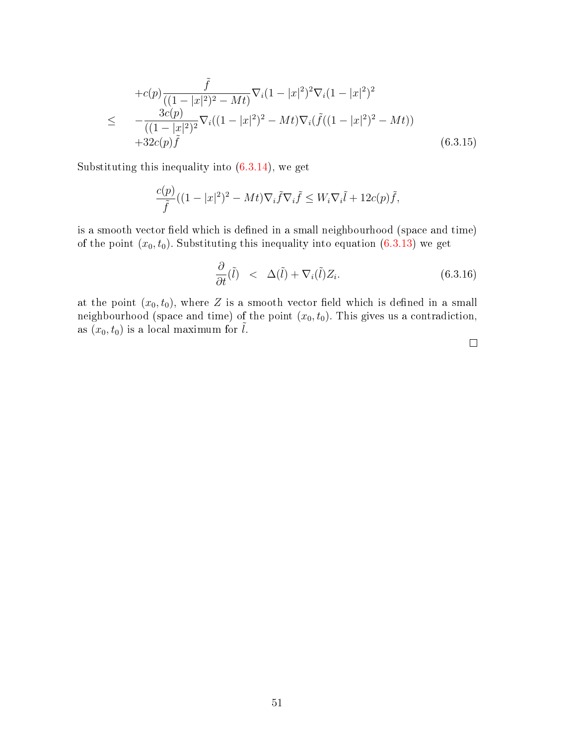$$
+c(p)\frac{\tilde{f}}{((1-|x|^2)^2 - Mt)}\nabla_i(1-|x|^2)^2\nabla_i(1-|x|^2)^2
$$
\n
$$
\leq -\frac{3c(p)}{((1-|x|^2)^2}\nabla_i((1-|x|^2)^2 - Mt)\nabla_i(\tilde{f}((1-|x|^2)^2 - Mt))
$$
\n
$$
+32c(p)\tilde{f}
$$
\n(6.3.15)

Substituting this inequality into  $(6.3.14)$ , we get

$$
\frac{c(p)}{\tilde{f}}((1-|x|^2)^2 - Mt)\nabla_i \tilde{f} \nabla_i \tilde{f} \leq W_i \nabla_i \tilde{l} + 12c(p)\tilde{f},
$$

is a smooth vector field which is defined in a small neighbourhood (space and time) of the point  $(x_0, t_0)$ . Substituting this inequality into equation [\(6.3.13\)](#page-55-1) we get

$$
\frac{\partial}{\partial t}(\tilde{l}) \quad < \quad \Delta(\tilde{l}) + \nabla_i(\tilde{l}) Z_i. \tag{6.3.16}
$$

at the point  $(x_0, t_0)$ , where Z is a smooth vector field which is defined in a small neighbourhood (space and time) of the point  $(x_0, t_0)$ . This gives us a contradiction, as  $(x_0, t_0)$  is a local maximum for  $\tilde{l}$ .

 $\Box$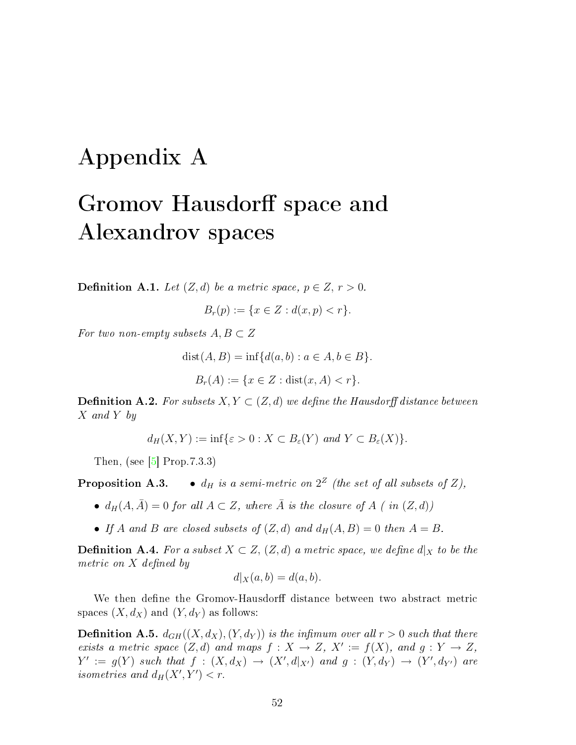## <span id="page-57-0"></span>Appendix A

## Gromov Hausdorff space and Alexandrov spaces

**Definition A.1.** Let  $(Z, d)$  be a metric space,  $p \in Z$ ,  $r > 0$ .

$$
B_r(p) := \{ x \in Z : d(x, p) < r \}.
$$

For two non-empty subsets  $A, B \subset Z$ 

$$
dist(A, B) = inf{d(a, b) : a \in A, b \in B}.
$$

$$
B_r(A) := \{ x \in Z : \text{dist}(x, A) < r \}.
$$

**Definition A.2.** For subsets  $X, Y \subset (Z, d)$  we define the Hausdorff distance between X and Y by

$$
d_H(X,Y) := \inf \{ \varepsilon > 0 : X \subset B_{\varepsilon}(Y) \text{ and } Y \subset B_{\varepsilon}(X) \}.
$$

Then, (see  $|5|$  Prop.7.3.3)

**Proposition A.3.**  $\bullet$   $d_H$  is a semi-metric on  $2^Z$  (the set of all subsets of Z),

- $d_H(A, \overline{A}) = 0$  for all  $A \subset Z$ , where  $\overline{A}$  is the closure of  $A$  (in  $(Z, d)$ )
- If A and B are closed subsets of  $(Z, d)$  and  $d_H(A, B) = 0$  then  $A = B$ .

**Definition A.4.** For a subset  $X \subset Z$ ,  $(Z,d)$  a metric space, we define  $d|_X$  to be the metric on  $X$  defined by

$$
d|_X(a,b) = d(a,b).
$$

We then define the Gromov-Hausdorff distance between two abstract metric spaces  $(X, d_X)$  and  $(Y, d_Y)$  as follows:

**Definition A.5.**  $d_{GH}((X, d_X), (Y, d_Y))$  is the infimum over all  $r > 0$  such that there exists a metric space  $(Z,d)$  and maps  $f: X \to Z$ ,  $X' := f(X)$ , and  $g: Y \to Z$ ,  $Y' := g(Y)$  such that  $f : (X, d_X) \rightarrow (X', d|_{X'})$  and  $g : (Y, d_Y) \rightarrow (Y', d_{Y'})$  are isometries and  $d_H(X', Y') < r$ .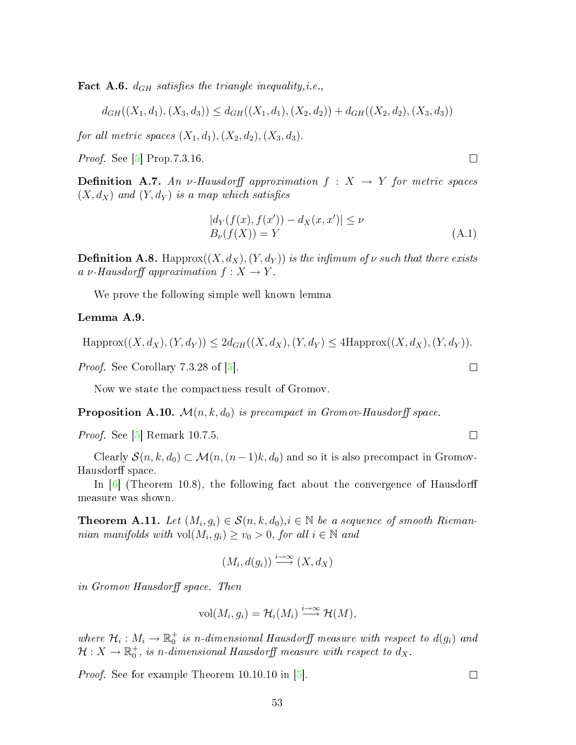**Fact A.6.**  $d_{GH}$  satisfies the triangle inequality, *i.e.*,

$$
d_{GH}((X_1, d_1), (X_3, d_3)) \leq d_{GH}((X_1, d_1), (X_2, d_2)) + d_{GH}((X_2, d_2), (X_3, d_3))
$$

for all metric spaces  $(X_1, d_1), (X_2, d_2), (X_3, d_3)$ .

*Proof.* See [\[5\]](#page-68-4) Prop.7.3.16.

**Definition A.7.** An v-Hausdorff approximation  $f : X \rightarrow Y$  for metric spaces  $(X, d_X)$  and  $(Y, d_Y)$  is a map which satisfies

$$
|d_Y(f(x), f(x')) - d_X(x, x')| \le \nu
$$
  
\n
$$
B_{\nu}(f(X)) = Y
$$
\n(A.1)

<span id="page-58-1"></span>**Definition A.8.** Happrox $((X, d_X), (Y, d_Y))$  is the infimum of  $\nu$  such that there exists a v-Hausdorff approximation  $f: X \to Y$ .

We prove the following simple well known lemma

#### <span id="page-58-0"></span>Lemma A.9.

 $\text{Happrox}((X, d_X), (Y, d_Y)) \leq 2d_{GH}((X, d_X), (Y, d_Y) \leq 4\text{Happrox}((X, d_X), (Y, d_Y)).$ 

*Proof.* See Corollary 7.3.28 of  $\vert 5 \vert$ .

Now we state the compactness result of Gromov.

**Proposition A.10.**  $\mathcal{M}(n, k, d_0)$  is precompact in Gromov-Hausdorff space.

Proof. See [\[5\]](#page-68-4) Remark 10.7.5.

Clearly  $S(n, k, d_0) \subset \mathcal{M}(n, (n-1)k, d_0)$  and so it is also precompact in Gromov-Hausdorff space.

In  $\vert 6 \vert$  (Theorem 10.8), the following fact about the convergence of Hausdorff measure was shown.

**Theorem A.11.** Let  $(M_i, g_i) \in \mathcal{S}(n, k, d_0), i \in \mathbb{N}$  be a sequence of smooth Riemannian manifolds with  $vol(M_i, g_i) \ge v_0 > 0$ , for all  $i \in \mathbb{N}$  and

$$
(M_i, d(g_i)) \xrightarrow{i \to \infty} (X, d_X)
$$

in Gromov Hausdorff space. Then

$$
\text{vol}(M_i, g_i) = \mathcal{H}_i(M_i) \stackrel{i \to \infty}{\longrightarrow} \mathcal{H}(M),
$$

where  $\mathcal{H}_i : M_i \to \mathbb{R}_0^+$  is n-dimensional Hausdorff measure with respect to  $d(g_i)$  and  $\mathcal{H}:X\rightarrow \mathbb{R}^+_0, \hbox{ is $n$-dimensional Hausdorff measure with respect to }d_X.$ 

Proof. See for example Theorem 10.10.10 in [\[5\]](#page-68-4).

 $\Box$ 

 $\Box$ 

 $\Box$ 

 $\Box$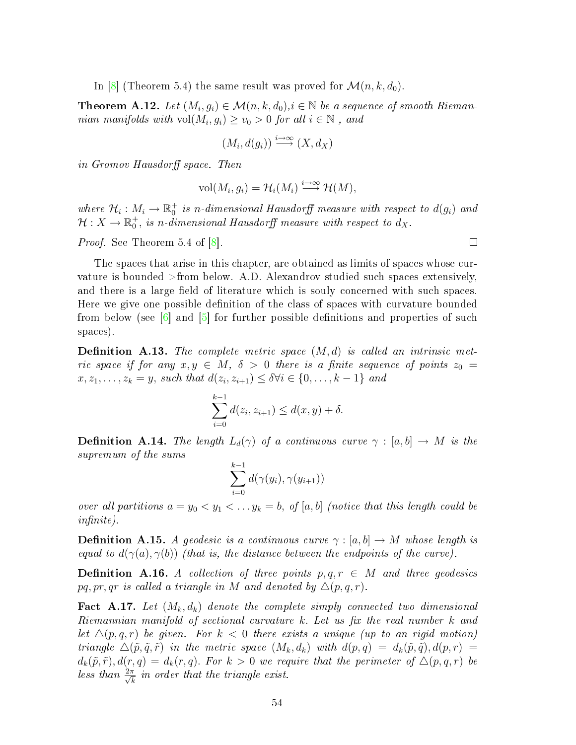In [\[8\]](#page-68-8) (Theorem 5.4) the same result was proved for  $\mathcal{M}(n, k, d_0)$ .

**Theorem A.12.** Let  $(M_i, g_i) \in \mathcal{M}(n, k, d_0), i \in \mathbb{N}$  be a sequence of smooth Riemannian manifolds with  $vol(M_i, g_i) \ge v_0 > 0$  for all  $i \in \mathbb{N}$ , and

$$
(M_i, d(g_i)) \stackrel{i \to \infty}{\longrightarrow} (X, d_X)
$$

in Gromov Hausdorff space. Then

$$
\text{vol}(M_i, g_i) = \mathcal{H}_i(M_i) \stackrel{i \to \infty}{\longrightarrow} \mathcal{H}(M),
$$

where  $\mathcal{H}_i : M_i \to \mathbb{R}_0^+$  is n-dimensional Hausdorff measure with respect to  $d(g_i)$  and  $\mathcal{H}:X\rightarrow \mathbb{R}^+_0,$  is n-dimensional Hausdorff measure with respect to  $d_X.$ 

Proof. See Theorem 5.4 of [\[8\]](#page-68-8).

The spaces that arise in this chapter, are obtained as limits of spaces whose curvature is bounded >from below. A.D. Alexandrov studied such spaces extensively, and there is a large field of literature which is souly concerned with such spaces. Here we give one possible definition of the class of spaces with curvature bounded from below (see  $\lceil 6 \rceil$  and  $\lceil 5 \rceil$  for further possible definitions and properties of such spaces).

**Definition A.13.** The complete metric space  $(M, d)$  is called an intrinsic metric space if for any  $x, y \in M$ ,  $\delta > 0$  there is a finite sequence of points  $z_0 =$  $x, z_1, \ldots, z_k = y$ , such that  $d(z_i, z_{i+1}) \leq \delta \forall i \in \{0, \ldots, k-1\}$  and

$$
\sum_{i=0}^{k-1} d(z_i, z_{i+1}) \le d(x, y) + \delta.
$$

**Definition A.14.** The length  $L_d(\gamma)$  of a continuous curve  $\gamma : [a, b] \to M$  is the supremum of the sums

$$
\sum_{i=0}^{k-1} d(\gamma(y_i), \gamma(y_{i+1}))
$$

over all partitions  $a = y_0 < y_1 < \ldots y_k = b$ , of [a, b] (notice that this length could be  $infinite$ ).

**Definition A.15.** A geodesic is a continuous curve  $\gamma : [a, b] \to M$  whose length is equal to  $d(\gamma(a), \gamma(b))$  (that is, the distance between the endpoints of the curve).

**Definition A.16.** A collection of three points  $p, q, r \in M$  and three geodesics pq, pr, qr is called a triangle in M and denoted by  $\Delta(p, q, r)$ .

<span id="page-59-0"></span>**Fact A.17.** Let  $(M_k, d_k)$  denote the complete simply connected two dimensional Riemannian manifold of sectional curvature  $k$ . Let us fix the real number  $k$  and let  $\Delta(p,q,r)$  be given. For  $k < 0$  there exists a unique (up to an rigid motion) triangle  $\Delta(\tilde{p}, \tilde{q}, \tilde{r})$  in the metric space  $(M_k, d_k)$  with  $d(p, q) = d_k(\tilde{p}, \tilde{q}), d(p, r) =$  $d_k(\tilde{p}, \tilde{r}), d(r, q) = d_k(r, q)$ . For  $k > 0$  we require that the perimeter of  $\Delta(p, q, r)$  be less than  $\frac{2\pi}{\sqrt{2}}$  $\frac{\pi}{k}$  in order that the triangle exist.

 $\Box$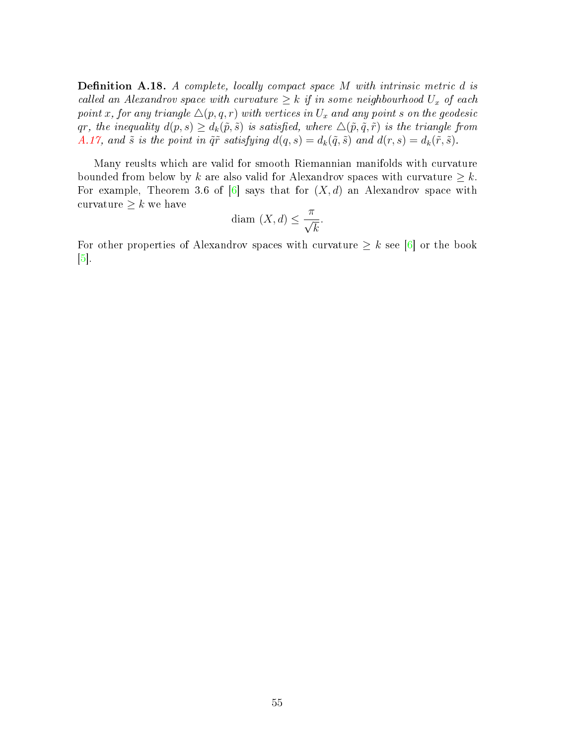**Definition A.18.** A complete, locally compact space  $M$  with intrinsic metric  $d$  is called an Alexandrov space with curvature  $\geq k$  if in some neighbourhood  $U_x$  of each point x, for any triangle  $\Delta(p, q, r)$  with vertices in  $U_x$  and any point s on the geodesic qr, the inequality  $d(p, s) \geq d_k(\tilde{p}, \tilde{s})$  is satisfied, where  $\Delta(\tilde{p}, \tilde{q}, \tilde{r})$  is the triangle from [A.17,](#page-59-0) and  $\tilde{s}$  is the point in  $\tilde{q}\tilde{r}$  satisfying  $d(q, s) = d_k(\tilde{q}, \tilde{s})$  and  $d(r, s) = d_k(\tilde{r}, \tilde{s})$ .

Many reuslts which are valid for smooth Riemannian manifolds with curvature bounded from below by k are also valid for Alexandrov spaces with curvature  $\geq k$ . For example, Theorem 3.6 of  $[6]$  says that for  $(X, d)$  an Alexandrov space with curvature  $\geq k$  we have

$$
diam (X, d) \le \frac{\pi}{\sqrt{k}}.
$$

For other properties of Alexandrov spaces with curvature  $\geq k$  see [\[6\]](#page-68-7) or the book  $\lceil 5 \rceil$ .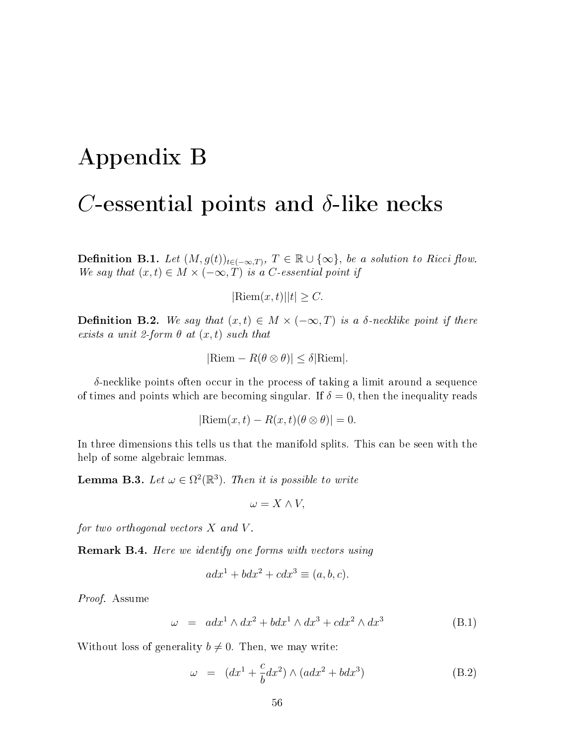## <span id="page-61-0"></span>Appendix B

### C-essential points and  $\delta$ -like necks

**Definition B.1.** Let  $(M, g(t))_{t \in (-\infty, T)}$ ,  $T \in \mathbb{R} \cup \{\infty\}$ , be a solution to Ricci flow. We say that  $(x, t) \in M \times (-\infty, T)$  is a C-essential point if

 $|\text{Riem}(x, t)| |t| > C.$ 

**Definition B.2.** We say that  $(x, t) \in M \times (-\infty, T)$  is a  $\delta$ -necklike point if there exists a unit 2-form  $\theta$  at  $(x, t)$  such that

$$
|\text{Riem} - R(\theta \otimes \theta)| \le \delta |\text{Riem}|.
$$

 $\delta$ -necklike points often occur in the process of taking a limit around a sequence of times and points which are becoming singular. If  $\delta = 0$ , then the inequality reads

 $|\text{Riem}(x, t) - R(x, t)(\theta \otimes \theta)| = 0.$ 

In three dimensions this tells us that the manifold splits. This can be seen with the help of some algebraic lemmas.

**Lemma B.3.** Let  $\omega \in \Omega^2(\mathbb{R}^3)$ . Then it is possible to write

$$
\omega = X \wedge V,
$$

for two orthogonal vectors  $X$  and  $V$ .

**Remark B.4.** Here we identify one forms with vectors using

$$
adx1 + bdx2 + cdx3 \equiv (a, b, c).
$$

Proof. Assume

$$
\omega = adx^1 \wedge dx^2 + bdx^1 \wedge dx^3 + cdx^2 \wedge dx^3 \tag{B.1}
$$

Without loss of generality  $b \neq 0$ . Then, we may write:

$$
\omega = (dx^1 + \frac{c}{b}dx^2) \wedge (adx^2 + bdx^3)
$$
 (B.2)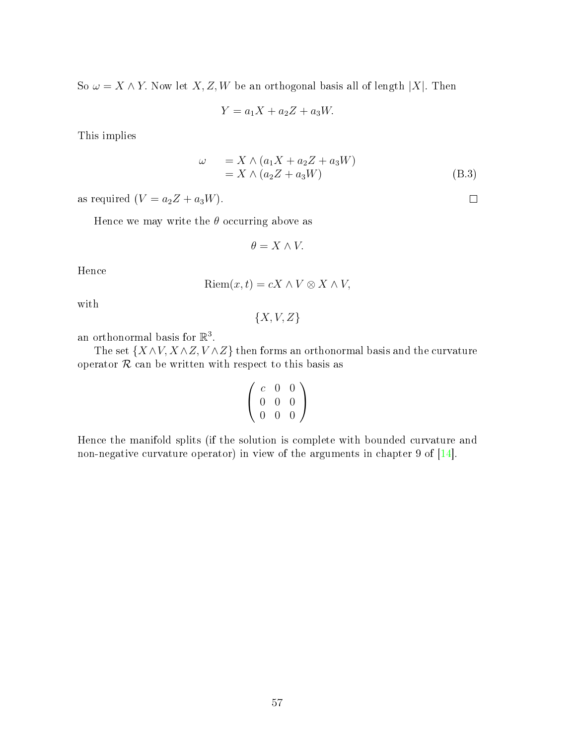So  $\omega = X \wedge Y$ . Now let X, Z, W be an orthogonal basis all of length |X|. Then

$$
Y = a_1 X + a_2 Z + a_3 W.
$$

This implies

$$
\omega = X \wedge (a_1 X + a_2 Z + a_3 W)
$$
  
=  $X \wedge (a_2 Z + a_3 W)$  (B.3)

as required  $(V = a_2Z + a_3W)$ .

Hence we may write the  $\theta$  occurring above as

$$
\theta = X \wedge V.
$$

Hence

$$
Riem(x,t) = cX \wedge V \otimes X \wedge V,
$$

with

 ${X, V, Z}$ 

an orthonormal basis for  $\mathbb{R}^3$ .

The set  $\{X \wedge V, X \wedge Z, V \wedge Z\}$  then forms an orthonormal basis and the curvature operator  $R$  can be written with respect to this basis as

$$
\left(\begin{array}{ccc} c & 0 & 0 \\ 0 & 0 & 0 \\ 0 & 0 & 0 \end{array}\right)
$$

Hence the manifold splits (if the solution is complete with bounded curvature and non-negative curvature operator) in view of the arguments in chapter 9 of [\[14\]](#page-69-0).

 $\Box$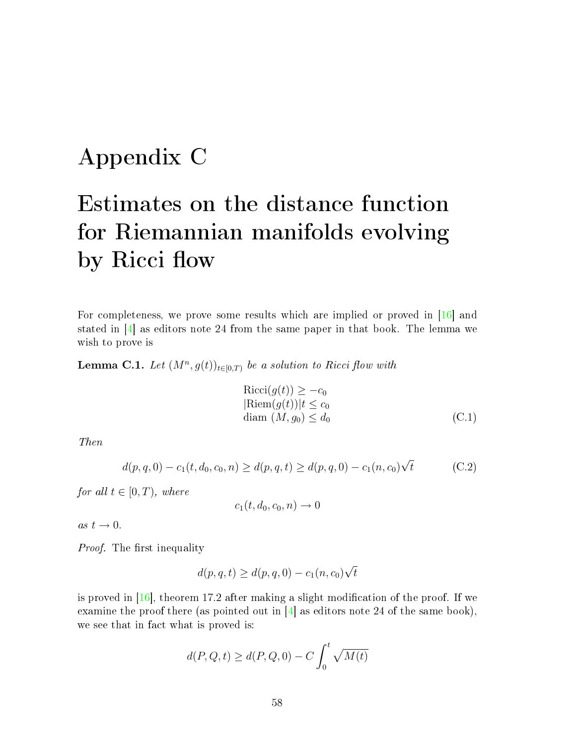## <span id="page-63-0"></span>Appendix C

# Estimates on the distance function for Riemannian manifolds evolving by Ricci flow

For completeness, we prove some results which are implied or proved in [\[16\]](#page-69-11) and stated in  $[4]$  as editors note 24 from the same paper in that book. The lemma we wish to prove is

**Lemma C.1.** Let  $(M^n, g(t))_{t \in [0,T)}$  be a solution to Ricci flow with

$$
Ricci(g(t)) \ge -c_0
$$
  
\n
$$
Riem(g(t))|t \le c_0
$$
  
\ndiam  $(M, g_0) \le d_0$  (C.1)

Then

$$
d(p,q,0) - c_1(t,d_0,c_0,n) \ge d(p,q,t) \ge d(p,q,0) - c_1(n,c_0)\sqrt{t}
$$
 (C.2)

for all  $t \in [0, T)$ , where

$$
c_1(t, d_0, c_0, n) \to 0
$$

as  $t \rightarrow 0$ .

*Proof.* The first inequality

$$
d(p,q,t) \ge d(p,q,0) - c_1(n,c_0)\sqrt{t}
$$

is proved in  $[16]$ , theorem 17.2 after making a slight modification of the proof. If we examine the proof there (as pointed out in  $[4]$  as editors note 24 of the same book), we see that in fact what is proved is:

$$
d(P, Q, t) \ge d(P, Q, 0) - C \int_0^t \sqrt{M(t)}
$$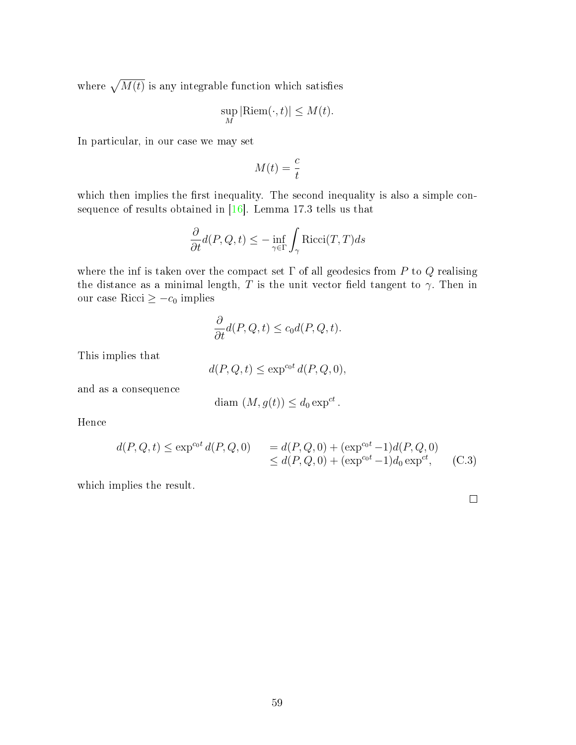where  $\sqrt{M(t)}$  is any integrable function which satisfies

$$
\sup_{M} |\text{Riem}(\cdot, t)| \le M(t).
$$

In particular, in our case we may set

$$
M(t) = \frac{c}{t}
$$

which then implies the first inequality. The second inequality is also a simple consequence of results obtained in [\[16\]](#page-69-11). Lemma 17.3 tells us that

$$
\frac{\partial}{\partial t}d(P,Q,t) \le -\inf_{\gamma \in \Gamma} \int_{\gamma} \text{Ricci}(T,T)ds
$$

where the inf is taken over the compact set  $\Gamma$  of all geodesics from P to Q realising the distance as a minimal length, T is the unit vector field tangent to  $\gamma$ . Then in our case Ricci ≥  $-c_0$  implies

$$
\frac{\partial}{\partial t}d(P,Q,t) \le c_0 d(P,Q,t).
$$

This implies that

$$
d(P, Q, t) \le \exp^{c_0 t} d(P, Q, 0),
$$

and as a consequence

$$
\text{diam } (M, g(t)) \leq d_0 \exp^{ct}.
$$

Hence

$$
d(P, Q, t) \le \exp^{cot} d(P, Q, 0) = d(P, Q, 0) + (\exp^{cot} - 1)d(P, Q, 0)
$$
  
 
$$
\le d(P, Q, 0) + (\exp^{cot} - 1)d_0 \exp^{ct},
$$
 (C.3)

which implies the result.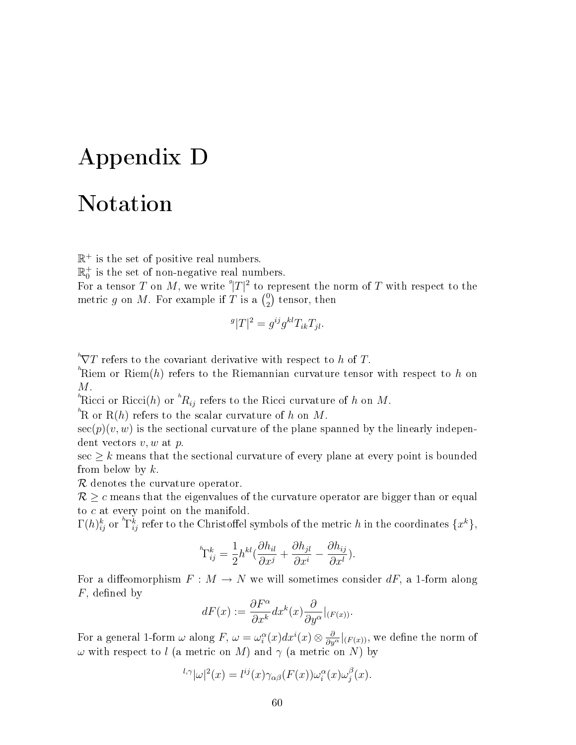## <span id="page-65-0"></span>Appendix D

### Notation

 $\mathbb{R}^+$  is the set of positive real numbers.

 $\mathbb{R}^+_0$  is the set of non-negative real numbers.

For a tensor T on M, we write  $^g|T|^2$  to represent the norm of T with respect to the metric g on M. For example if T is a  $\binom{0}{2}$  $_{2}^{0})$  tensor, then

$$
g|T|^2 = g^{ij}g^{kl}T_{ik}T_{jl}.
$$

 $N^{\prime}$  refers to the covariant derivative with respect to h of T.

 ${}^{\hbar}\text{Riem}$  or Riem $(h)$  refers to the Riemannian curvature tensor with respect to  $h$  on M.

<sup>h</sup>Ricci or Ricci(h) or  ${}^h R_{ij}$  refers to the Ricci curvature of h on M.

 ${}^{\hbar}\!{\rm R}$  or  ${\rm R}(h)$  refers to the scalar curvature of  $h$  on  $M.$ 

 $\sec(p)(v, w)$  is the sectional curvature of the plane spanned by the linearly independent vectors  $v, w$  at  $p$ .

 $\sec \geq k$  means that the sectional curvature of every plane at every point is bounded from below by  $k$ .

R denotes the curvature operator.

 $R \geq c$  means that the eigenvalues of the curvature operator are bigger than or equal to c at every point on the manifold.

 $\Gamma(h)_{ij}^k$  or  ${}^h\! \Gamma_{ij}^k$  refer to the Christoffel symbols of the metric  $h$  in the coordinates  $\{x^k\},$ 

$$
{}^{\scriptscriptstyle h}\!\Gamma^k_{ij} = \frac{1}{2} h^{kl} \big( \frac{\partial h_{il}}{\partial x^j} + \frac{\partial h_{jl}}{\partial x^i} - \frac{\partial h_{ij}}{\partial x^l} \big).
$$

For a diffeomorphism  $F : M \to N$  we will sometimes consider dF, a 1-form along  $F$ , defined by

$$
dF(x) := \frac{\partial F^{\alpha}}{\partial x^{k}} dx^{k}(x) \frac{\partial}{\partial y^{\alpha}}|_{(F(x))}.
$$

For a general 1-form  $\omega$  along  $F$ ,  $\omega = \omega_i^{\alpha}(x)dx^i(x)\otimes \frac{\partial}{\partial y^{\alpha}}|_{(F(x))},$  we define the norm of  $ω$  with respect to l (a metric on M) and  $γ$  (a metric on N) by

$$
{}^{l,\gamma}|\omega|^2(x) = l^{ij}(x)\gamma_{\alpha\beta}(F(x))\omega_i^{\alpha}(x)\omega_j^{\beta}(x).
$$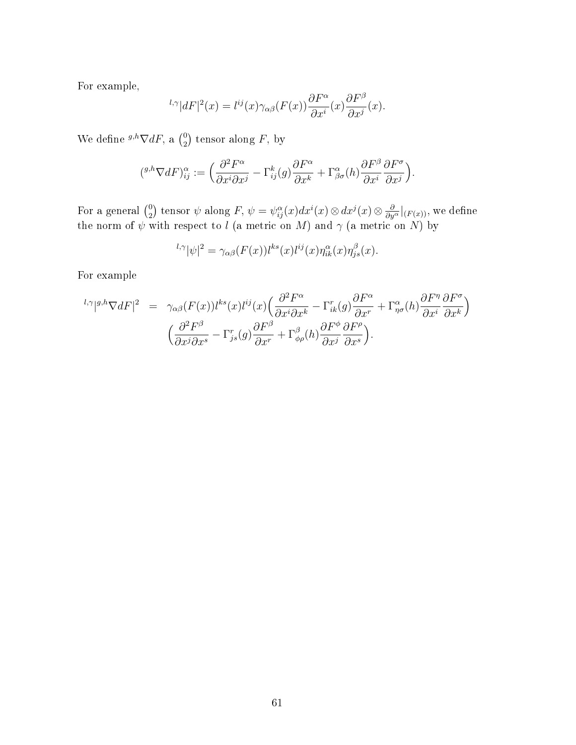For example,

$$
{}^{l,\gamma}|dF|^2(x) = l^{ij}(x)\gamma_{\alpha\beta}(F(x))\frac{\partial F^{\alpha}}{\partial x^i}(x)\frac{\partial F^{\beta}}{\partial x^j}(x).
$$

We define  ${}^{g,h}\nabla dF$ , a  $\binom{0}{2}$  $_{2}^{0}$ ) tensor along F, by

$$
({}^{g,h}\nabla dF)^{\alpha}_{ij} := \left(\frac{\partial^2 F^{\alpha}}{\partial x^i \partial x^j} - \Gamma^k_{ij}(g)\frac{\partial F^{\alpha}}{\partial x^k} + \Gamma^{\alpha}_{\beta\sigma}(h)\frac{\partial F^{\beta}}{\partial x^i}\frac{\partial F^{\sigma}}{\partial x^j}\right).
$$

For a general  $\binom{0}{2}$  $\frac{1}{2}$ ) tensor  $\psi$  along  $F,$   $\psi = \psi_{ij}^\alpha(x)dx^i(x)\otimes dx^j(x)\otimes \frac{\partial}{\partial y^\alpha}|_{(F(x))},$  we define the norm of  $\psi$  with respect to  $l$  (a metric on  $M$ ) and  $\gamma$  (a metric on  $N$ ) by

$$
{}^{l,\gamma}|\psi|^2 = \gamma_{\alpha\beta}(F(x))l^{ks}(x)l^{ij}(x)\eta_{ik}^{\alpha}(x)\eta_{js}^{\beta}(x).
$$

For example

$$
{}^{l,\gamma}|{}^{g,h}\nabla dF|^{2} = \gamma_{\alpha\beta}(F(x))l^{ks}(x)l^{ij}(x)\left(\frac{\partial^{2}F^{\alpha}}{\partial x^{i}\partial x^{k}} - \Gamma^{r}_{ik}(g)\frac{\partial F^{\alpha}}{\partial x^{r}} + \Gamma^{\alpha}_{\eta\sigma}(h)\frac{\partial F^{\eta}}{\partial x^{i}}\frac{\partial F^{\sigma}}{\partial x^{k}}\right) \newline \left(\frac{\partial^{2}F^{\beta}}{\partial x^{j}\partial x^{s}} - \Gamma^{r}_{js}(g)\frac{\partial F^{\beta}}{\partial x^{r}} + \Gamma^{\beta}_{\phi\rho}(h)\frac{\partial F^{\phi}}{\partial x^{j}}\frac{\partial F^{\rho}}{\partial x^{s}}\right).
$$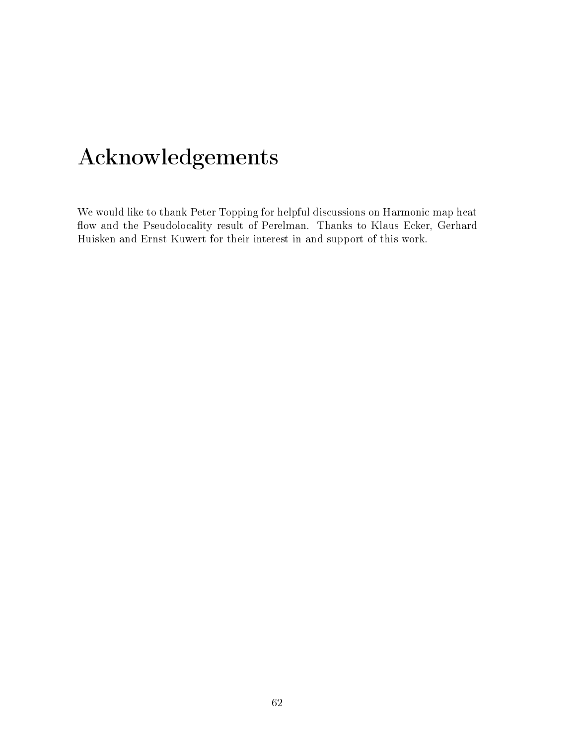# Acknowledgements

We would like to thank Peter Topping for helpful discussions on Harmonic map heat flow and the Pseudolocality result of Perelman. Thanks to Klaus Ecker, Gerhard Huisken and Ernst Kuwert for their interest in and support of this work.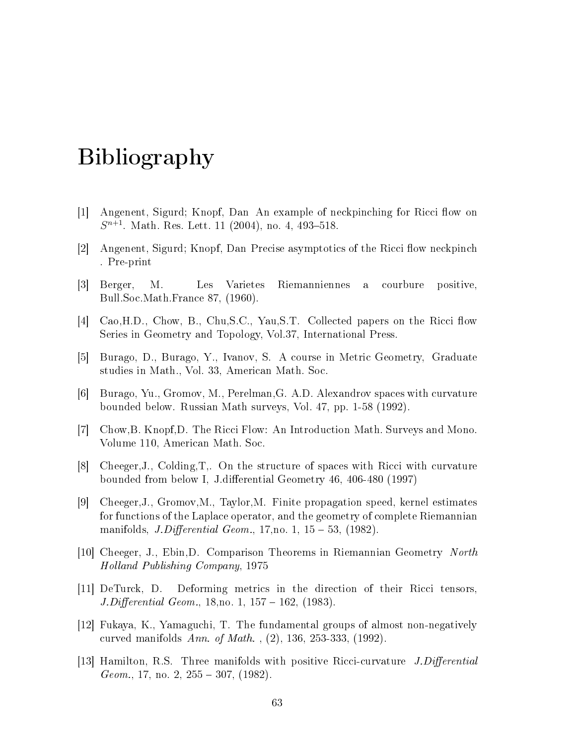## Bibliography

- [1] Angenent, Sigurd; Knopf, Dan An example of neckpinching for Ricci flow on  $S^{n+1}$ . Math. Res. Lett. 11 (2004), no. 4, 493-518.
- [2] Angenent, Sigurd; Knopf, Dan Precise asymptotics of the Ricci flow neckpinch . Pre-print
- <span id="page-68-1"></span>[3] Berger, M. Les Varietes Riemanniennes a courbure positive, Bull.Soc.Math.France 87, (1960).
- <span id="page-68-9"></span>[4] Cao, H.D., Chow, B., Chu, S.C., Yau, S.T. Collected papers on the Ricci flow Series in Geometry and Topology, Vol.37, International Press.
- <span id="page-68-4"></span>[5] Burago, D., Burago, Y., Ivanov, S. A course in Metric Geometry, Graduate studies in Math., Vol. 33, American Math. Soc.
- <span id="page-68-7"></span>[6] Burago, Yu., Gromov, M., Perelman,G. A.D. Alexandrov spaces with curvature bounded below. Russian Math surveys, Vol. 47, pp. 1-58 (1992).
- <span id="page-68-5"></span>[7] Chow,B. Knopf,D. The Ricci Flow: An Introduction Math. Surveys and Mono. Volume 110, American Math. Soc.
- <span id="page-68-8"></span>[8] Cheeger,J., Colding,T,. On the structure of spaces with Ricci with curvature bounded from below I, J.differential Geometry 46, 406-480 (1997)
- <span id="page-68-6"></span>[9] Cheeger,J., Gromov,M., Taylor,M. Finite propagation speed, kernel estimates for functions of the Laplace operator, and the geometry of complete Riemannian manifolds, *J.Differential Geom.*, 17, no. 1,  $15 - 53$ , (1982).
- <span id="page-68-2"></span>[10] Cheeger, J., Ebin,D. Comparison Theorems in Riemannian Geometry North Holland Publishing Company, 1975
- [11] DeTurck, D. Deforming metrics in the direction of their Ricci tensors,  $J.Differential Geom., 18, no. 1, 157 - 162, (1983).$
- <span id="page-68-3"></span>[12] Fukaya, K., Yamaguchi, T. The fundamental groups of almost non-negatively curved manifolds Ann. of Math. , (2), 136, 253-333, (1992).
- <span id="page-68-0"></span>[13] Hamilton, R.S. Three manifolds with positive Ricci-curvature  $J.Differential$  $Geom., 17, no. 2, 255 - 307, (1982).$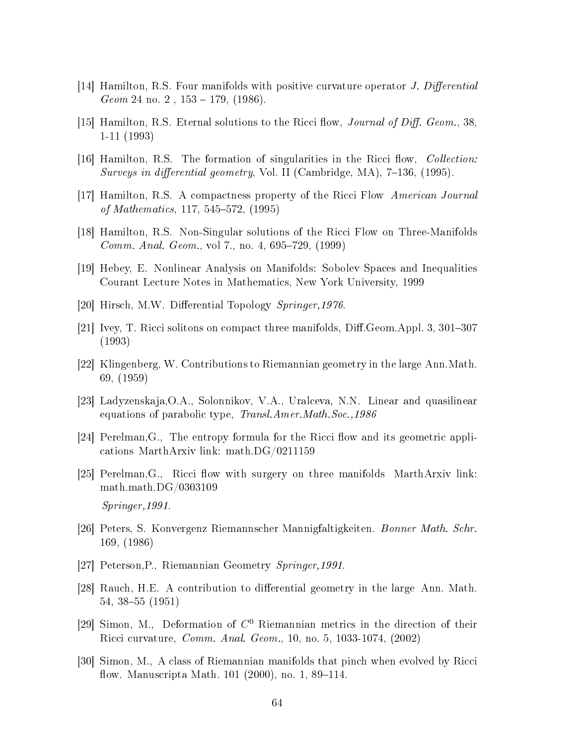- <span id="page-69-0"></span>[14] Hamilton, R.S. Four manifolds with positive curvature operator J. Differential  $Geom 24$  no. 2,  $153 - 179$ ,  $(1986)$ .
- <span id="page-69-10"></span>[15] Hamilton, R.S. Eternal solutions to the Ricci flow, *Journal of Diff. Geom.*, 38, 1-11 (1993)
- <span id="page-69-11"></span>[16] Hamilton, R.S. The formation of singularities in the Ricci flow, *Collection*: Surveys in differential geometry, Vol. II (Cambridge, MA),  $7-136$ , (1995).
- <span id="page-69-7"></span>[17] Hamilton, R.S. A compactness property of the Ricci Flow American Journal of Mathematics, 117, 545–572, (1995)
- <span id="page-69-8"></span>[18] Hamilton, R.S. Non-Singular solutions of the Ricci Flow on Three-Manifolds *Comm. Anal. Geom.*, vol 7., no. 4, 695–729,  $(1999)$
- <span id="page-69-12"></span>[19] Hebey, E. Nonlinear Analysis on Manifolds: Sobolev Spaces and Inequalities Courant Lecture Notes in Mathematics, New York University, 1999
- [20] Hirsch, M.W. Differential Topology Springer, 1976.
- <span id="page-69-9"></span>[21] Ivey, T. Ricci solitons on compact three manifolds, Diff. Geom. Appl. 3,  $301-307$ (1993)
- <span id="page-69-2"></span>[22] Klingenberg, W. Contributions to Riemannian geometry in the large Ann.Math. 69, (1959)
- [23] Ladyzenskaja,O.A., Solonnikov, V.A., Uralceva, N.N. Linear and quasilinear equations of parabolic type, Transl.Amer.Math.Soc.,1986
- <span id="page-69-5"></span>[24] Perelman, G., The entropy formula for the Ricci flow and its geometric applications MarthArxiv link: math.DG/0211159
- <span id="page-69-6"></span> $[25]$  Perelman, G., Ricci flow with surgery on three manifolds MarthArxiv link: math.math.DG/0303109 Springer,1991.
- <span id="page-69-4"></span>[26] Peters, S. Konvergenz Riemannscher Mannigfaltigkeiten. Bonner Math. Schr. 169, (1986)
- [27] Peterson,P., Riemannian Geometry Springer,1991.
- <span id="page-69-1"></span>[28] Rauch, H.E. A contribution to differential geometry in the large Ann. Math.  $54, 38-55$  (1951)
- <span id="page-69-3"></span>[29] Simon, M., Deformation of  $C^0$  Riemannian metrics in the direction of their Ricci curvature, Comm. Anal. Geom., 10, no. 5, 1033-1074, (2002)
- [30] Simon, M., A class of Riemannian manifolds that pinch when evolved by Ricci flow. Manuscripta Math.  $101$  (2000), no. 1, 89–114.